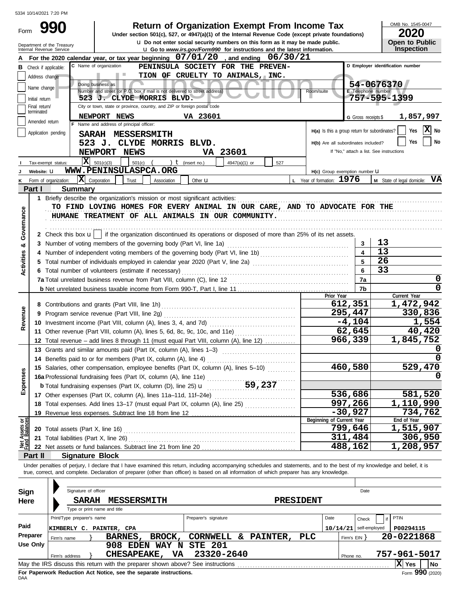| Form                    | 990                                                    | <b>Return of Organization Exempt From Income Tax</b><br>Under section 501(c), 527, or 4947(a)(1) of the Internal Revenue Code (except private foundations)                 |                                               | OMB No. 1545-0047<br>2020                  |
|-------------------------|--------------------------------------------------------|----------------------------------------------------------------------------------------------------------------------------------------------------------------------------|-----------------------------------------------|--------------------------------------------|
|                         | Department of the Treasury<br>Internal Revenue Service | La Do not enter social security numbers on this form as it may be made public.<br><b>u</b> Go to www.irs.gov/Form990 for instructions and the latest information.          |                                               | <b>Open to Public</b><br><b>Inspection</b> |
|                         |                                                        | For the 2020 calendar year, or tax year beginning 07/01/20, and ending 06/30/21                                                                                            |                                               |                                            |
|                         | <b>B</b> Check if applicable:                          | C Name of organization<br>PENINSULA SOCIETY FOR THE PREVEN-                                                                                                                |                                               | D Employer identification number           |
|                         | Address change                                         | TION OF CRUELTY TO ANIMALS, INC.                                                                                                                                           |                                               |                                            |
|                         | Name change                                            | Doing business as                                                                                                                                                          |                                               | 54-0676370                                 |
|                         | Initial return                                         | Number and street (or P.O. box if mail is not delivered to street address)<br>Room/suite<br>523 J. CLYDE MORRIS BLVD.                                                      | E Telephone number                            | 757-595-1399                               |
|                         | Final return/                                          | City or town, state or province, country, and ZIP or foreign postal code                                                                                                   |                                               |                                            |
|                         | terminated                                             | <b>VA 23601</b><br>NEWPORT NEWS                                                                                                                                            | G Gross receipts \$                           | 1,857,997                                  |
|                         | Amended return                                         | F Name and address of principal officer:                                                                                                                                   |                                               |                                            |
|                         | Application pending                                    | SARAH MESSERSMITH                                                                                                                                                          | H(a) Is this a group return for subordinates? | $ \mathbf{X} $ No<br>Yes                   |
|                         |                                                        | 523 J. CLYDE MORRIS BLVD.                                                                                                                                                  | H(b) Are all subordinates included?           | No<br>Yes                                  |
|                         |                                                        | VA 23601<br>NEWPORT NEWS                                                                                                                                                   |                                               | If "No," attach a list. See instructions   |
|                         | Tax-exempt status:                                     | $\overline{\mathbf{X}}$ 501(c)(3)<br>) $t$ (insert no.)<br>$501(c)$ (<br>4947(a)(1) or<br>527                                                                              |                                               |                                            |
|                         | Website: U                                             | WWW.PENINSULASPCA.ORG                                                                                                                                                      | H(c) Group exemption number LI                |                                            |
|                         | K Form of organization:                                | X Corporation<br>L Year of formation: $1976$<br>Trust<br>Other <b>u</b><br>Association                                                                                     |                                               | M State of legal domicile: VA              |
|                         | Part I                                                 | <b>Summary</b>                                                                                                                                                             |                                               |                                            |
|                         |                                                        | 1 Briefly describe the organization's mission or most significant activities:                                                                                              |                                               |                                            |
|                         |                                                        | TO FIND LOVING HOMES FOR EVERY ANIMAL IN OUR CARE, AND TO ADVOCATE FOR THE                                                                                                 |                                               |                                            |
| Governance              |                                                        | HUMANE TREATMENT OF ALL ANIMALS IN OUR COMMUNITY.                                                                                                                          |                                               |                                            |
|                         |                                                        |                                                                                                                                                                            |                                               |                                            |
|                         |                                                        | 2 Check this box <b>u</b>   if the organization discontinued its operations or disposed of more than 25% of its net assets.                                                |                                               |                                            |
| ఱ                       |                                                        | 3 Number of voting members of the governing body (Part VI, line 1a)                                                                                                        | 3                                             | 13                                         |
|                         |                                                        |                                                                                                                                                                            | $\overline{\mathbf{4}}$                       | 13                                         |
| <b>Activities</b>       |                                                        |                                                                                                                                                                            | 5                                             | 26<br>33                                   |
|                         |                                                        | 6 Total number of volunteers (estimate if necessary)                                                                                                                       | 6                                             | 0                                          |
|                         |                                                        |                                                                                                                                                                            | 7a<br>7b                                      | 0                                          |
|                         |                                                        | Prior Year                                                                                                                                                                 |                                               | Current Year                               |
|                         |                                                        |                                                                                                                                                                            | 612,351                                       | 1,472,942                                  |
|                         |                                                        |                                                                                                                                                                            | 295,447                                       | 330,836                                    |
| Revenue                 |                                                        | 10 Investment income (Part VIII, column (A), lines 3, 4, and 7d)                                                                                                           | $-4,104$                                      | 1,554                                      |
|                         |                                                        | 11 Other revenue (Part VIII, column (A), lines 5, 6d, 8c, 9c, 10c, and 11e)                                                                                                | 62,645                                        | 40,420                                     |
|                         |                                                        | 12 Total revenue - add lines 8 through 11 (must equal Part VIII, column (A), line 12)                                                                                      | 966,339                                       | 1,845,752                                  |
|                         |                                                        | 13 Grants and similar amounts paid (Part IX, column (A), lines 1-3)                                                                                                        |                                               | O                                          |
|                         |                                                        |                                                                                                                                                                            |                                               | 0                                          |
|                         |                                                        | 15 Salaries, other compensation, employee benefits (Part IX, column (A), lines 5-10)                                                                                       | 460,580                                       | 529,470                                    |
| Expenses                |                                                        |                                                                                                                                                                            |                                               |                                            |
|                         |                                                        |                                                                                                                                                                            |                                               |                                            |
|                         |                                                        | 17 Other expenses (Part IX, column (A), lines 11a-11d, 11f-24e)<br>18 Total expenses. Add lines 13-17 (must equal Part IX, column (A), line 25)                            | 536,686<br>997,266                            | 581,520<br>1,110,990                       |
|                         |                                                        |                                                                                                                                                                            | $-30,927$                                     | 734,762                                    |
|                         |                                                        | Beginning of Current Year                                                                                                                                                  |                                               | End of Year                                |
| Assets or<br>1 Balances |                                                        |                                                                                                                                                                            | 799,646                                       | 1,515,907                                  |
|                         |                                                        | 21 Total liabilities (Part X, line 26)                                                                                                                                     | 311,484                                       | 306,950                                    |
|                         |                                                        |                                                                                                                                                                            | 488,162                                       | 1,208,957                                  |
|                         | Part II                                                | <b>Signature Block</b>                                                                                                                                                     |                                               |                                            |
|                         |                                                        | Under penalties of perjury, I declare that I have examined this return, including accompanying schedules and statements, and to the best of my knowledge and belief, it is |                                               |                                            |
|                         |                                                        | true, correct, and complete. Declaration of preparer (other than officer) is based on all information of which preparer has any knowledge.                                 |                                               |                                            |
|                         |                                                        | Signature of officer                                                                                                                                                       |                                               |                                            |
| Sign                    |                                                        |                                                                                                                                                                            | Date                                          |                                            |
| Here                    |                                                        | <b>SARAH</b><br><b>MESSERSMITH</b><br><b>PRESIDENT</b><br>Type or print name and title                                                                                     |                                               |                                            |
|                         |                                                        | Print/Type preparer's name<br>Preparer's signature<br>Date                                                                                                                 |                                               | PTIN<br>if                                 |
| Paid                    |                                                        |                                                                                                                                                                            | Check                                         |                                            |
|                         | Preparer                                               | KIMBERLY C. PAINTER, CPA<br>BROCK,<br>CORNWELL & PAINTER,<br><b>PLC</b><br><b>BARNES,</b>                                                                                  | $10/14/21$ self-employed<br>Firm's $EIN$ }    | P00294115<br>20-0221868                    |
|                         | Firm's name<br><b>Use Only</b>                         | <b>STE 201</b><br>908 EDEN WAY N                                                                                                                                           |                                               |                                            |
|                         |                                                        | 23320-2640<br>CHESAPEAKE, VA<br>Firm's address                                                                                                                             | Phone no.                                     | 757-961-5017                               |
|                         |                                                        | May the IRS discuss this return with the preparer shown above? See instructions                                                                                            |                                               | $\overline{\mathbf{X}}$ Yes<br>No l        |

| Sign     | Signature of officer                                                            |                                   | Date                                           |
|----------|---------------------------------------------------------------------------------|-----------------------------------|------------------------------------------------|
| Here     | <b>MESSERSMITH</b><br><b>SARAH</b>                                              | <b>PRESIDENT</b>                  |                                                |
|          | Type or print name and title<br>Print/Type preparer's name                      | Preparer's signature              | <b>PTIN</b><br>Date<br>if                      |
| Paid     | KIMBERLY C.<br>PAINTER, CPA                                                     |                                   | Check<br>$10/14/21$ self-employed<br>P00294115 |
| Preparer | BROCK,<br><b>BARNES,</b><br>Firm's name                                         | PAINTER,<br>PLC<br>CORNWELL<br>&. | 20-0221868<br>Firm's EIN Y                     |
| Use Only | 908<br><b>EDEN</b>                                                              | WAY N STE 201                     |                                                |
|          | VA.<br>CHESAPEAKE,<br>Firm's address                                            | 23320-2640                        | 757-961-5017<br>Phone no.                      |
|          | May the IRS discuss this return with the preparer shown above? See instructions |                                   | $ X $ Yes<br><b>No</b>                         |
|          |                                                                                 |                                   | ---                                            |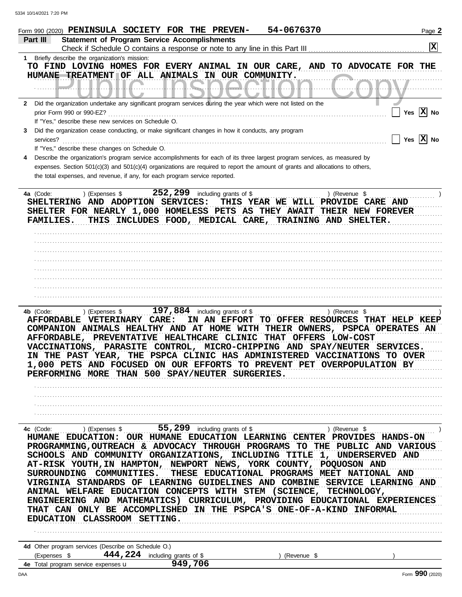|     | 54-0676370<br>Form 990 (2020) PENINSULA SOCIETY FOR THE PREVEN-                                                                                                                                                                                                                                                                                                                                                                                                                                                                                                                                                                                                                                                           | Page 2               |
|-----|---------------------------------------------------------------------------------------------------------------------------------------------------------------------------------------------------------------------------------------------------------------------------------------------------------------------------------------------------------------------------------------------------------------------------------------------------------------------------------------------------------------------------------------------------------------------------------------------------------------------------------------------------------------------------------------------------------------------------|----------------------|
|     | Part III<br><b>Statement of Program Service Accomplishments</b>                                                                                                                                                                                                                                                                                                                                                                                                                                                                                                                                                                                                                                                           | $\boxed{\mathbf{X}}$ |
|     | 1 Briefly describe the organization's mission:<br>TO FIND LOVING HOMES FOR EVERY ANIMAL IN OUR CARE, AND TO ADVOCATE FOR THE                                                                                                                                                                                                                                                                                                                                                                                                                                                                                                                                                                                              |                      |
|     | HUMANE TREATMENT OF ALL ANIMALS IN OUR COMMUNITY.                                                                                                                                                                                                                                                                                                                                                                                                                                                                                                                                                                                                                                                                         |                      |
|     |                                                                                                                                                                                                                                                                                                                                                                                                                                                                                                                                                                                                                                                                                                                           |                      |
|     | 2 Did the organization undertake any significant program services during the year which were not listed on the<br>prior Form 990 or 990-EZ?                                                                                                                                                                                                                                                                                                                                                                                                                                                                                                                                                                               | Yes $ X $ No         |
| 3   | If "Yes," describe these new services on Schedule O.<br>Did the organization cease conducting, or make significant changes in how it conducts, any program                                                                                                                                                                                                                                                                                                                                                                                                                                                                                                                                                                |                      |
|     | services?                                                                                                                                                                                                                                                                                                                                                                                                                                                                                                                                                                                                                                                                                                                 | Yes $ X $ No         |
|     | If "Yes," describe these changes on Schedule O.<br>Describe the organization's program service accomplishments for each of its three largest program services, as measured by                                                                                                                                                                                                                                                                                                                                                                                                                                                                                                                                             |                      |
|     | expenses. Section 501(c)(3) and 501(c)(4) organizations are required to report the amount of grants and allocations to others,<br>the total expenses, and revenue, if any, for each program service reported.                                                                                                                                                                                                                                                                                                                                                                                                                                                                                                             |                      |
|     | ) (Revenue \$<br>SHELTERING AND ADOPTION SERVICES:<br>THIS YEAR WE WILL PROVIDE CARE AND<br>SHELTER FOR NEARLY 1,000 HOMELESS PETS AS THEY AWAIT THEIR NEW FOREVER<br>FAMILIES. THIS INCLUDES FOOD, MEDICAL CARE, TRAINING AND SHELTER.                                                                                                                                                                                                                                                                                                                                                                                                                                                                                   |                      |
|     |                                                                                                                                                                                                                                                                                                                                                                                                                                                                                                                                                                                                                                                                                                                           |                      |
|     |                                                                                                                                                                                                                                                                                                                                                                                                                                                                                                                                                                                                                                                                                                                           |                      |
|     |                                                                                                                                                                                                                                                                                                                                                                                                                                                                                                                                                                                                                                                                                                                           |                      |
|     |                                                                                                                                                                                                                                                                                                                                                                                                                                                                                                                                                                                                                                                                                                                           |                      |
|     |                                                                                                                                                                                                                                                                                                                                                                                                                                                                                                                                                                                                                                                                                                                           |                      |
|     | ) (Expenses $\frac{197}{197}$ , 884 including grants of \$<br>4b (Code:<br>) (Revenue \$<br>AFFORDABLE VETERINARY CARE:<br>IN AN EFFORT TO OFFER RESOURCES THAT HELP KEEP<br>COMPANION ANIMALS HEALTHY AND AT HOME WITH THEIR OWNERS, PSPCA OPERATES AN<br>AFFORDABLE, PREVENTATIVE HEALTHCARE CLINIC THAT OFFERS LOW-COST<br>VACCINATIONS, PARASITE CONTROL, MICRO-CHIPPING AND SPAY/NEUTER SERVICES.<br>IN THE PAST YEAR, THE PSPCA CLINIC HAS ADMINISTERED VACCINATIONS TO OVER<br>1,000 PETS AND FOCUSED ON OUR EFFORTS TO PREVENT PET OVERPOPULATION BY<br>PERFORMING MORE THAN 500 SPAY/NEUTER SURGERIES.                                                                                                           |                      |
|     |                                                                                                                                                                                                                                                                                                                                                                                                                                                                                                                                                                                                                                                                                                                           |                      |
|     |                                                                                                                                                                                                                                                                                                                                                                                                                                                                                                                                                                                                                                                                                                                           |                      |
|     |                                                                                                                                                                                                                                                                                                                                                                                                                                                                                                                                                                                                                                                                                                                           |                      |
|     | HUMANE EDUCATION: OUR HUMANE EDUCATION LEARNING CENTER PROVIDES HANDS-ON<br>PROGRAMMING, OUTREACH & ADVOCACY THROUGH PROGRAMS TO THE PUBLIC AND VARIOUS<br>SCHOOLS AND COMMUNITY ORGANIZATIONS, INCLUDING TITLE 1, UNDERSERVED AND<br>AT-RISK YOUTH, IN HAMPTON, NEWPORT NEWS, YORK COUNTY, POQUOSON AND<br>SURROUNDING COMMUNITIES. THESE EDUCATIONAL PROGRAMS MEET NATIONAL AND<br>VIRGINIA STANDARDS OF LEARNING GUIDELINES AND COMBINE SERVICE LEARNING AND<br>ANIMAL WELFARE EDUCATION CONCEPTS WITH STEM (SCIENCE, TECHNOLOGY,<br>ENGINEERING AND MATHEMATICS) CURRICULUM, PROVIDING EDUCATIONAL EXPERIENCES<br>THAT CAN ONLY BE ACCOMPLISHED IN THE PSPCA'S ONE-OF-A-KIND INFORMAL<br>EDUCATION CLASSROOM SETTING. |                      |
|     | 4d Other program services (Describe on Schedule O.)                                                                                                                                                                                                                                                                                                                                                                                                                                                                                                                                                                                                                                                                       |                      |
|     | (Expenses $$444,224$ including grants of \$<br>(Revenue \$<br>949,706<br>4e Total program service expenses u                                                                                                                                                                                                                                                                                                                                                                                                                                                                                                                                                                                                              |                      |
| DAA |                                                                                                                                                                                                                                                                                                                                                                                                                                                                                                                                                                                                                                                                                                                           | Form 990 (2020)      |

Form 990 (2020)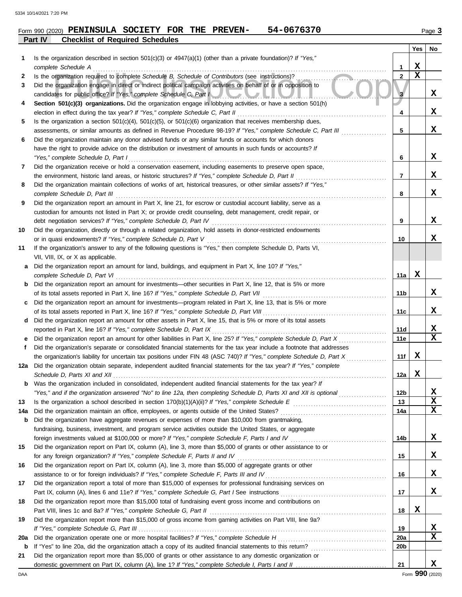# **Form 990 (2020) PENINSULA SOCIETY FOR THE PREVEN-** 54-0676370

|--|

|     | Part IV<br><b>Checklist of Required Schedules</b>                                                                       |                 |             |             |
|-----|-------------------------------------------------------------------------------------------------------------------------|-----------------|-------------|-------------|
|     |                                                                                                                         |                 | Yes         | No          |
| 1   | Is the organization described in section 501(c)(3) or $4947(a)(1)$ (other than a private foundation)? If "Yes,"         |                 |             |             |
|     | complete Schedule A                                                                                                     | 1               | X           |             |
| 2   | Is the organization required to complete Schedule B, Schedule of Contributors (see instructions)?                       | $\mathbf{2}$    | $\mathbf x$ |             |
| 3   | Did the organization engage in direct or indirect political campaign activities on behalf of or in opposition to        |                 |             |             |
|     | candidates for public office? If "Yes," complete Schedule C, Part I MARIO AND A LATER MARIO AND THE                     | $\mathbf{3}$    |             | x           |
| 4   | Section 501(c)(3) organizations. Did the organization engage in lobbying activities, or have a section 501(h)           |                 |             |             |
|     | election in effect during the tax year? If "Yes," complete Schedule C, Part II                                          | 4               |             | x           |
| 5   | Is the organization a section $501(c)(4)$ , $501(c)(5)$ , or $501(c)(6)$ organization that receives membership dues,    |                 |             |             |
|     | assessments, or similar amounts as defined in Revenue Procedure 98-19? If "Yes," complete Schedule C, Part III          | 5               |             | x           |
| 6   | Did the organization maintain any donor advised funds or any similar funds or accounts for which donors                 |                 |             |             |
|     | have the right to provide advice on the distribution or investment of amounts in such funds or accounts? If             |                 |             |             |
|     | "Yes," complete Schedule D, Part I                                                                                      | 6               |             | x           |
| 7   | Did the organization receive or hold a conservation easement, including easements to preserve open space,               |                 |             |             |
|     | the environment, historic land areas, or historic structures? If "Yes," complete Schedule D, Part II                    | 7               |             | x           |
| 8   | Did the organization maintain collections of works of art, historical treasures, or other similar assets? If "Yes,"     |                 |             |             |
|     | complete Schedule D, Part III                                                                                           | 8               |             | x           |
| 9   | Did the organization report an amount in Part X, line 21, for escrow or custodial account liability, serve as a         |                 |             |             |
|     | custodian for amounts not listed in Part X; or provide credit counseling, debt management, credit repair, or            |                 |             |             |
|     | debt negotiation services? If "Yes," complete Schedule D, Part IV                                                       | 9               |             | x           |
| 10  | Did the organization, directly or through a related organization, hold assets in donor-restricted endowments            |                 |             |             |
|     | or in quasi endowments? If "Yes," complete Schedule D, Part V                                                           | 10              |             | x           |
| 11  | If the organization's answer to any of the following questions is "Yes," then complete Schedule D, Parts VI,            |                 |             |             |
|     | VII, VIII, IX, or X as applicable.                                                                                      |                 |             |             |
| a   | Did the organization report an amount for land, buildings, and equipment in Part X, line 10? If "Yes,"                  |                 |             |             |
|     | complete Schedule D, Part VI                                                                                            | 11a             | X           |             |
| b   | Did the organization report an amount for investments—other securities in Part X, line 12, that is 5% or more           |                 |             |             |
|     |                                                                                                                         | 11b             |             | X           |
| c   | Did the organization report an amount for investments—program related in Part X, line 13, that is 5% or more            |                 |             |             |
|     |                                                                                                                         | 11c             |             | X           |
| d   | Did the organization report an amount for other assets in Part X, line 15, that is 5% or more of its total assets       |                 |             |             |
|     | reported in Part X, line 16? If "Yes," complete Schedule D, Part IX                                                     | 11d             |             | X           |
| е   | Did the organization report an amount for other liabilities in Part X, line 25? If "Yes," complete Schedule D, Part X   | 11e             |             | $\mathbf x$ |
| f   | Did the organization's separate or consolidated financial statements for the tax year include a footnote that addresses |                 |             |             |
|     | the organization's liability for uncertain tax positions under FIN 48 (ASC 740)? If "Yes," complete Schedule D, Part X  | 11f             | x           |             |
| 12a | Did the organization obtain separate, independent audited financial statements for the tax year? If "Yes," complete     |                 |             |             |
|     | Schedule D, Parts XI and XII                                                                                            | 12a             | х           |             |
| b   | Was the organization included in consolidated, independent audited financial statements for the tax year? If            |                 |             |             |
|     | "Yes," and if the organization answered "No" to line 12a, then completing Schedule D, Parts XI and XII is optional      | 12 <sub>b</sub> |             | X           |
| 13  |                                                                                                                         | 13              |             | X           |
| 14a | Did the organization maintain an office, employees, or agents outside of the United States?                             | 14a             |             | X           |
| b   | Did the organization have aggregate revenues or expenses of more than \$10,000 from grantmaking,                        |                 |             |             |
|     | fundraising, business, investment, and program service activities outside the United States, or aggregate               |                 |             |             |
|     | foreign investments valued at \$100,000 or more? If "Yes," complete Schedule F, Parts I and IV [[[[[[[[[[[[[[[          | 14b             |             | X           |
| 15  | Did the organization report on Part IX, column (A), line 3, more than \$5,000 of grants or other assistance to or       |                 |             |             |
|     | for any foreign organization? If "Yes," complete Schedule F, Parts II and IV                                            | 15              |             | X,          |
| 16  | Did the organization report on Part IX, column (A), line 3, more than \$5,000 of aggregate grants or other              |                 |             |             |
|     | assistance to or for foreign individuals? If "Yes," complete Schedule F, Parts III and IV [[[[[[[[[[[[[[[[[[[           | 16              |             | X.          |
| 17  | Did the organization report a total of more than \$15,000 of expenses for professional fundraising services on          |                 |             |             |
|     |                                                                                                                         | 17              |             | X.          |
| 18  | Did the organization report more than \$15,000 total of fundraising event gross income and contributions on             |                 |             |             |
|     | Part VIII, lines 1c and 8a? If "Yes," complete Schedule G, Part II                                                      | 18              | X           |             |
| 19  | Did the organization report more than \$15,000 of gross income from gaming activities on Part VIII, line 9a?            |                 |             |             |
|     |                                                                                                                         | 19              |             | x           |
| 20a |                                                                                                                         | 20a             |             | X           |
| b   |                                                                                                                         | 20 <sub>b</sub> |             |             |
| 21  | Did the organization report more than \$5,000 of grants or other assistance to any domestic organization or             |                 |             |             |
|     |                                                                                                                         | 21              |             | x           |
|     |                                                                                                                         |                 |             |             |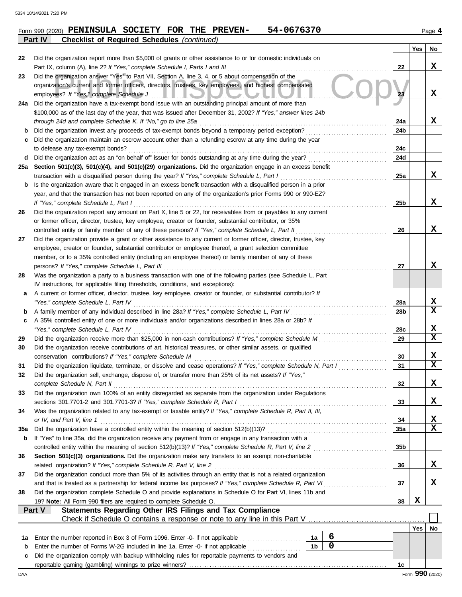|     | <b>Checklist of Required Schedules (continued)</b><br><b>Part IV</b>                                               |                |             |           |     |                  |  |  |
|-----|--------------------------------------------------------------------------------------------------------------------|----------------|-------------|-----------|-----|------------------|--|--|
|     |                                                                                                                    |                |             |           | Yes | No               |  |  |
| 22  | Did the organization report more than \$5,000 of grants or other assistance to or for domestic individuals on      |                |             |           |     |                  |  |  |
|     | Part IX, column (A), line 2? If "Yes," complete Schedule I, Parts I and III                                        |                |             | 22        |     | X                |  |  |
| 23  | Did the organization answer "Yes" to Part VII, Section A, line 3, 4, or 5 about compensation of the                |                |             |           |     |                  |  |  |
|     | organization's current and former officers, directors, trustees, key employees, and highest compensated            |                |             |           |     |                  |  |  |
|     | employees? If "Yes," complete Schedule J<br><u> HEROICACA UNITE</u>                                                |                |             |           |     |                  |  |  |
| 24a | Did the organization have a tax-exempt bond issue with an outstanding principal amount of more than                |                |             |           |     |                  |  |  |
|     | \$100,000 as of the last day of the year, that was issued after December 31, 2002? If "Yes," answer lines 24b      |                |             |           |     |                  |  |  |
|     | through 24d and complete Schedule K. If "No," go to line 25a                                                       |                |             | 24a       |     | X                |  |  |
| b   |                                                                                                                    |                |             | 24b       |     |                  |  |  |
| c   | Did the organization maintain an escrow account other than a refunding escrow at any time during the year          |                |             |           |     |                  |  |  |
|     | to defease any tax-exempt bonds?                                                                                   |                |             | 24c       |     |                  |  |  |
| d   |                                                                                                                    |                |             | 24d       |     |                  |  |  |
| 25a | Section 501(c)(3), 501(c)(4), and 501(c)(29) organizations. Did the organization engage in an excess benefit       |                |             |           |     |                  |  |  |
|     | transaction with a disqualified person during the year? If "Yes," complete Schedule L, Part I                      |                |             | 25a       |     | x                |  |  |
| b   | Is the organization aware that it engaged in an excess benefit transaction with a disqualified person in a prior   |                |             |           |     |                  |  |  |
|     | year, and that the transaction has not been reported on any of the organization's prior Forms 990 or 990-EZ?       |                |             |           |     |                  |  |  |
|     | If "Yes," complete Schedule L, Part I                                                                              |                |             | 25b       |     | x                |  |  |
| 26  | Did the organization report any amount on Part X, line 5 or 22, for receivables from or payables to any current    |                |             |           |     |                  |  |  |
|     | or former officer, director, trustee, key employee, creator or founder, substantial contributor, or 35%            |                |             |           |     |                  |  |  |
|     | controlled entity or family member of any of these persons? If "Yes," complete Schedule L, Part II                 |                |             | 26        |     | x                |  |  |
| 27  | Did the organization provide a grant or other assistance to any current or former officer, director, trustee, key  |                |             |           |     |                  |  |  |
|     | employee, creator or founder, substantial contributor or employee thereof, a grant selection committee             |                |             |           |     |                  |  |  |
|     | member, or to a 35% controlled entity (including an employee thereof) or family member of any of these             |                |             |           |     |                  |  |  |
|     | persons? If "Yes," complete Schedule L, Part III                                                                   |                |             | 27        |     | x                |  |  |
| 28  | Was the organization a party to a business transaction with one of the following parties (see Schedule L, Part     |                |             |           |     |                  |  |  |
|     | IV instructions, for applicable filing thresholds, conditions, and exceptions):                                    |                |             |           |     |                  |  |  |
| а   | A current or former officer, director, trustee, key employee, creator or founder, or substantial contributor? If   |                |             |           |     |                  |  |  |
|     | "Yes," complete Schedule L, Part IV                                                                                |                |             | 28a       |     | X                |  |  |
| b   |                                                                                                                    |                |             | 28b       |     | $\mathbf x$      |  |  |
| c   | A 35% controlled entity of one or more individuals and/or organizations described in lines 28a or 28b? If          |                |             |           |     |                  |  |  |
|     | "Yes," complete Schedule L, Part IV                                                                                |                |             |           |     |                  |  |  |
| 29  |                                                                                                                    |                |             | 28c<br>29 |     | x<br>$\mathbf x$ |  |  |
| 30  | Did the organization receive contributions of art, historical treasures, or other similar assets, or qualified     |                |             |           |     |                  |  |  |
|     | conservation contributions? If "Yes," complete Schedule M                                                          |                |             | 30        |     | x                |  |  |
| 31  | Did the organization liquidate, terminate, or dissolve and cease operations? If "Yes," complete Schedule N, Part I |                |             | 31        |     | $\mathbf x$      |  |  |
|     | Did the organization sell, exchange, dispose of, or transfer more than 25% of its net assets? If "Yes,"            |                |             |           |     |                  |  |  |
|     | complete Schedule N, Part II                                                                                       |                |             | 32        |     | x                |  |  |
| 33  | Did the organization own 100% of an entity disregarded as separate from the organization under Regulations         |                |             |           |     |                  |  |  |
|     |                                                                                                                    |                |             | 33        |     | x                |  |  |
| 34  | Was the organization related to any tax-exempt or taxable entity? If "Yes," complete Schedule R, Part II, III,     |                |             |           |     |                  |  |  |
|     | or IV, and Part V, line 1                                                                                          |                |             | 34        |     | x                |  |  |
| 35a |                                                                                                                    |                |             | 35a       |     | $\mathbf x$      |  |  |
| b   | If "Yes" to line 35a, did the organization receive any payment from or engage in any transaction with a            |                |             |           |     |                  |  |  |
|     | controlled entity within the meaning of section 512(b)(13)? If "Yes," complete Schedule R, Part V, line 2          |                |             | 35b       |     |                  |  |  |
| 36  | Section 501(c)(3) organizations. Did the organization make any transfers to an exempt non-charitable               |                |             |           |     |                  |  |  |
|     | related organization? If "Yes," complete Schedule R, Part V, line 2                                                |                |             | 36        |     | X                |  |  |
| 37  | Did the organization conduct more than 5% of its activities through an entity that is not a related organization   |                |             |           |     |                  |  |  |
|     | and that is treated as a partnership for federal income tax purposes? If "Yes," complete Schedule R, Part VI       |                |             | 37        |     | X                |  |  |
| 38  | Did the organization complete Schedule O and provide explanations in Schedule O for Part VI, lines 11b and         |                |             |           |     |                  |  |  |
|     | 19? Note: All Form 990 filers are required to complete Schedule O.                                                 |                |             | 38        | X   |                  |  |  |
|     | Statements Regarding Other IRS Filings and Tax Compliance<br>Part V                                                |                |             |           |     |                  |  |  |
|     |                                                                                                                    |                |             |           |     |                  |  |  |
|     |                                                                                                                    |                |             |           | Yes | No               |  |  |
| 1а  | Enter the number reported in Box 3 of Form 1096. Enter -0- if not applicable [                                     | 1a             | 6           |           |     |                  |  |  |
| b   | Enter the number of Forms W-2G included in line 1a. Enter -0- if not applicable                                    | 1 <sub>b</sub> | $\mathbf 0$ |           |     |                  |  |  |
| c   | Did the organization comply with backup withholding rules for reportable payments to vendors and                   |                |             |           |     |                  |  |  |
|     |                                                                                                                    |                |             | 1c        |     |                  |  |  |

#### Form 990 (2020) PENINSULA SOCIETY FOR THE PREVEN-<br>**Form 990 (2020) PENINSULA SOCIETY FOR THE PREVEN-** 54-0676370 **PENINSULA SOCIETY FOR THE PREVEN- 54-0676370**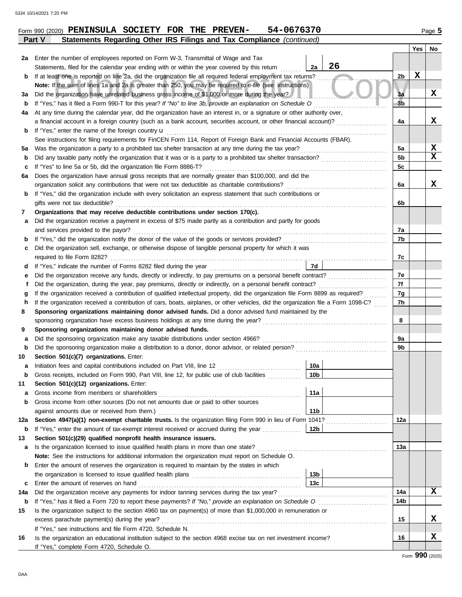|        |                                                                                                                                                                                                                                               |                 |    |                | Yes | No                               |  |  |  |  |
|--------|-----------------------------------------------------------------------------------------------------------------------------------------------------------------------------------------------------------------------------------------------|-----------------|----|----------------|-----|----------------------------------|--|--|--|--|
| 2a l   | Enter the number of employees reported on Form W-3, Transmittal of Wage and Tax                                                                                                                                                               |                 |    |                |     |                                  |  |  |  |  |
|        | Statements, filed for the calendar year ending with or within the year covered by this return                                                                                                                                                 | 2a              | 26 | 2b             | X   |                                  |  |  |  |  |
| b      | If at least one is reported on line 2a, did the organization file all required federal employment tax returns?                                                                                                                                |                 |    |                |     |                                  |  |  |  |  |
|        | Note: If the sum of lines 1a and 2a is greater than 250, you may be required to e-file (see instructions)                                                                                                                                     |                 |    |                |     |                                  |  |  |  |  |
| За     | Did the organization have unrelated business gross income of \$1,000 or more during the year?<br>If "Yes," has it filed a Form 990-T for this year? If "No" to line 3b, provide an explanation on Schedule O                                  |                 |    |                |     |                                  |  |  |  |  |
| b      |                                                                                                                                                                                                                                               |                 |    | 3 <sub>b</sub> |     |                                  |  |  |  |  |
| 4a     | At any time during the calendar year, did the organization have an interest in, or a signature or other authority over,<br>a financial account in a foreign country (such as a bank account, securities account, or other financial account)? |                 |    |                |     |                                  |  |  |  |  |
| b      | If "Yes," enter the name of the foreign country $\mathbf u$                                                                                                                                                                                   |                 |    | 4a             |     | X                                |  |  |  |  |
|        | See instructions for filing requirements for FinCEN Form 114, Report of Foreign Bank and Financial Accounts (FBAR).                                                                                                                           |                 |    |                |     |                                  |  |  |  |  |
| 5a     |                                                                                                                                                                                                                                               |                 |    | 5a             |     | х                                |  |  |  |  |
| b      |                                                                                                                                                                                                                                               |                 |    | 5 <sub>b</sub> |     | $\mathbf x$                      |  |  |  |  |
| c      | If "Yes" to line 5a or 5b, did the organization file Form 8886-T?                                                                                                                                                                             |                 |    | 5c             |     |                                  |  |  |  |  |
| 6а     | Does the organization have annual gross receipts that are normally greater than \$100,000, and did the                                                                                                                                        |                 |    |                |     |                                  |  |  |  |  |
|        |                                                                                                                                                                                                                                               |                 |    | 6a             |     | X                                |  |  |  |  |
| b      | If "Yes," did the organization include with every solicitation an express statement that such contributions or                                                                                                                                |                 |    |                |     |                                  |  |  |  |  |
|        | gifts were not tax deductible?                                                                                                                                                                                                                |                 |    | 6b             |     |                                  |  |  |  |  |
| 7      | Organizations that may receive deductible contributions under section 170(c).                                                                                                                                                                 |                 |    |                |     |                                  |  |  |  |  |
| а      | Did the organization receive a payment in excess of \$75 made partly as a contribution and partly for goods                                                                                                                                   |                 |    |                |     |                                  |  |  |  |  |
|        | and services provided to the payor?                                                                                                                                                                                                           |                 |    | 7a             |     |                                  |  |  |  |  |
| b      |                                                                                                                                                                                                                                               |                 |    | 7b             |     |                                  |  |  |  |  |
| c      | Did the organization sell, exchange, or otherwise dispose of tangible personal property for which it was                                                                                                                                      |                 |    |                |     |                                  |  |  |  |  |
|        | required to file Form 8282?                                                                                                                                                                                                                   |                 |    | 7c             |     |                                  |  |  |  |  |
| d      |                                                                                                                                                                                                                                               | 7d              |    | 7e             |     |                                  |  |  |  |  |
|        | Did the organization receive any funds, directly or indirectly, to pay premiums on a personal benefit contract?<br>е                                                                                                                          |                 |    |                |     |                                  |  |  |  |  |
|        | f<br>If the organization received a contribution of qualified intellectual property, did the organization file Form 8899 as required?                                                                                                         |                 |    |                |     |                                  |  |  |  |  |
| g<br>h | If the organization received a contribution of cars, boats, airplanes, or other vehicles, did the organization file a Form 1098-C?                                                                                                            |                 |    |                |     |                                  |  |  |  |  |
| 8      | Sponsoring organizations maintaining donor advised funds. Did a donor advised fund maintained by the                                                                                                                                          |                 |    |                |     |                                  |  |  |  |  |
|        |                                                                                                                                                                                                                                               |                 |    |                |     |                                  |  |  |  |  |
| 9      | Sponsoring organizations maintaining donor advised funds.                                                                                                                                                                                     |                 |    |                |     |                                  |  |  |  |  |
| а      | Did the sponsoring organization make any taxable distributions under section 4966?                                                                                                                                                            |                 |    | 9a             |     |                                  |  |  |  |  |
| b      |                                                                                                                                                                                                                                               |                 |    | 9b             |     |                                  |  |  |  |  |
| 10     | Section 501(c)(7) organizations. Enter:                                                                                                                                                                                                       |                 |    |                |     |                                  |  |  |  |  |
| а      | Initiation fees and capital contributions included on Part VIII, line 12 [11][11][11][11][11][11][11][11][11][                                                                                                                                | 10a             |    |                |     |                                  |  |  |  |  |
| b      | Gross receipts, included on Form 990, Part VIII, line 12, for public use of club facilities                                                                                                                                                   | 10 <sub>b</sub> |    |                |     |                                  |  |  |  |  |
| 11     | Section 501(c)(12) organizations. Enter:                                                                                                                                                                                                      |                 |    |                |     |                                  |  |  |  |  |
| а      |                                                                                                                                                                                                                                               | 11a             |    |                |     |                                  |  |  |  |  |
| b      | Gross income from other sources (Do not net amounts due or paid to other sources                                                                                                                                                              |                 |    |                |     |                                  |  |  |  |  |
|        |                                                                                                                                                                                                                                               | 11 b            |    |                |     |                                  |  |  |  |  |
| 12a    | Section 4947(a)(1) non-exempt charitable trusts. Is the organization filing Form 990 in lieu of Form 1041?                                                                                                                                    |                 |    | 12a            |     |                                  |  |  |  |  |
| b      | If "Yes," enter the amount of tax-exempt interest received or accrued during the year                                                                                                                                                         | 12 <sub>b</sub> |    |                |     |                                  |  |  |  |  |
| 13     | Section 501(c)(29) qualified nonprofit health insurance issuers.                                                                                                                                                                              |                 |    | 13а            |     |                                  |  |  |  |  |
| а      | Note: See the instructions for additional information the organization must report on Schedule O.                                                                                                                                             |                 |    |                |     |                                  |  |  |  |  |
| b      | Enter the amount of reserves the organization is required to maintain by the states in which                                                                                                                                                  |                 |    |                |     |                                  |  |  |  |  |
|        |                                                                                                                                                                                                                                               | 13b             |    |                |     |                                  |  |  |  |  |
| c      |                                                                                                                                                                                                                                               | 13с             |    |                |     |                                  |  |  |  |  |
| 14a    |                                                                                                                                                                                                                                               |                 |    | 14a            |     | X                                |  |  |  |  |
| b      |                                                                                                                                                                                                                                               |                 |    | 14b            |     |                                  |  |  |  |  |
| 15     | Is the organization subject to the section 4960 tax on payment(s) of more than \$1,000,000 in remuneration or                                                                                                                                 |                 |    |                |     |                                  |  |  |  |  |
|        |                                                                                                                                                                                                                                               |                 |    | 15             |     | x                                |  |  |  |  |
|        | If "Yes," see instructions and file Form 4720, Schedule N.                                                                                                                                                                                    |                 |    |                |     |                                  |  |  |  |  |
| 16     | Is the organization an educational institution subject to the section 4968 excise tax on net investment income?                                                                                                                               |                 |    | 16             |     | X                                |  |  |  |  |
|        | If "Yes," complete Form 4720, Schedule O.                                                                                                                                                                                                     |                 |    |                |     |                                  |  |  |  |  |
|        |                                                                                                                                                                                                                                               |                 |    |                |     | $\mathbf{Q}\mathbf{Q}\mathbf{Q}$ |  |  |  |  |

# **Part V Statements Regarding Other IRS Filings and Tax Compliance** *(continued)* **Form 990 (2020) PENINSULA SOCIETY FOR THE PREVEN-** 54-0676370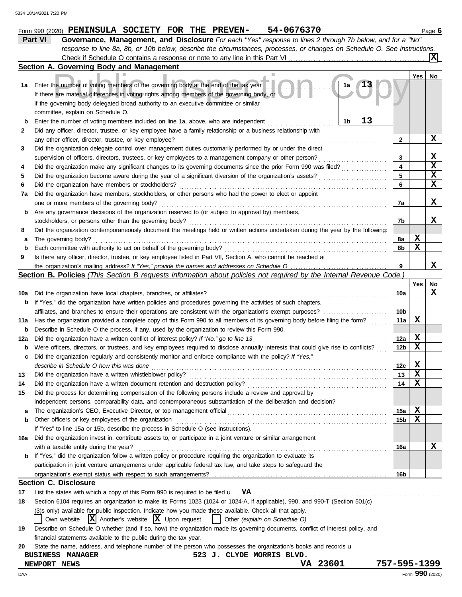|     | 54-0676370<br>Form 990 (2020) PENINSULA SOCIETY FOR THE PREVEN-                                                                     |                         |     | Page 6          |
|-----|-------------------------------------------------------------------------------------------------------------------------------------|-------------------------|-----|-----------------|
|     | Part VI<br>Governance, Management, and Disclosure For each "Yes" response to lines 2 through 7b below, and for a "No"               |                         |     |                 |
|     | response to line 8a, 8b, or 10b below, describe the circumstances, processes, or changes on Schedule O. See instructions.           |                         |     |                 |
|     |                                                                                                                                     |                         |     | Iхl             |
|     | Section A. Governing Body and Management                                                                                            |                         |     |                 |
|     |                                                                                                                                     |                         | Yes | No              |
| 1а  | 1a<br>Enter the number of voting members of the governing body at the end of the tax year                                           |                         |     |                 |
|     | If there are material differences in voting rights among members of the governing body, or                                          |                         |     |                 |
|     | if the governing body delegated broad authority to an executive committee or similar                                                |                         |     |                 |
|     | committee, explain on Schedule O.                                                                                                   |                         |     |                 |
| b   | 13<br>1b<br>Enter the number of voting members included on line 1a, above, who are independent                                      |                         |     |                 |
|     |                                                                                                                                     |                         |     |                 |
| 2   | Did any officer, director, trustee, or key employee have a family relationship or a business relationship with                      |                         |     | X               |
|     | any other officer, director, trustee, or key employee?                                                                              | $\mathbf{2}$            |     |                 |
| 3   | Did the organization delegate control over management duties customarily performed by or under the direct                           |                         |     | X               |
|     | supervision of officers, directors, trustees, or key employees to a management company or other person?                             | 3                       |     | $\mathbf x$     |
| 4   | Did the organization make any significant changes to its governing documents since the prior Form 990 was filed?                    | $\overline{\mathbf{4}}$ |     |                 |
| 5   |                                                                                                                                     | 5                       |     | X               |
| 6   | Did the organization have members or stockholders?                                                                                  | 6                       |     | X               |
| 7a  | Did the organization have members, stockholders, or other persons who had the power to elect or appoint                             |                         |     |                 |
|     | one or more members of the governing body?                                                                                          | 7a                      |     | X               |
| b   | Are any governance decisions of the organization reserved to (or subject to approval by) members,                                   |                         |     |                 |
|     | stockholders, or persons other than the governing body?                                                                             | 7b                      |     | x               |
| 8   | Did the organization contemporaneously document the meetings held or written actions undertaken during the year by the following:   |                         |     |                 |
| а   | The governing body?                                                                                                                 | 8a                      | X   |                 |
| b   | Each committee with authority to act on behalf of the governing body?                                                               | 8b                      | X   |                 |
| 9   | Is there any officer, director, trustee, or key employee listed in Part VII, Section A, who cannot be reached at                    |                         |     |                 |
|     |                                                                                                                                     | 9                       |     | X               |
|     | Section B. Policies (This Section B requests information about policies not required by the Internal Revenue Code.)                 |                         |     |                 |
|     |                                                                                                                                     |                         | Yes | No              |
| 10a | Did the organization have local chapters, branches, or affiliates?                                                                  | 10a                     |     | x               |
| b   | If "Yes," did the organization have written policies and procedures governing the activities of such chapters,                      |                         |     |                 |
|     | affiliates, and branches to ensure their operations are consistent with the organization's exempt purposes?                         | 10b                     |     |                 |
| 11a | Has the organization provided a complete copy of this Form 990 to all members of its governing body before filing the form?         | 11a                     | X   |                 |
| b   | Describe in Schedule O the process, if any, used by the organization to review this Form 990.                                       |                         |     |                 |
| 12a | Did the organization have a written conflict of interest policy? If "No," go to line 13                                             | 12a                     | X   |                 |
| b   | Were officers, directors, or trustees, and key employees required to disclose annually interests that could give rise to conflicts? | 12b                     | X   |                 |
| c   | Did the organization regularly and consistently monitor and enforce compliance with the policy? If "Yes,"                           |                         |     |                 |
|     | describe in Schedule O how this was done                                                                                            | 12c                     | X   |                 |
| 13  | Did the organization have a written whistleblower policy?                                                                           | 13                      | X   |                 |
| 14  | Did the organization have a written document retention and destruction policy?                                                      | 14                      | X   |                 |
|     | Did the process for determining compensation of the following persons include a review and approval by                              |                         |     |                 |
| 15  |                                                                                                                                     |                         |     |                 |
|     | independent persons, comparability data, and contemporaneous substantiation of the deliberation and decision?                       |                         | X   |                 |
| а   |                                                                                                                                     | 15a                     |     |                 |
| b   | Other officers or key employees of the organization                                                                                 | 15b                     | X   |                 |
|     | If "Yes" to line 15a or 15b, describe the process in Schedule O (see instructions).                                                 |                         |     |                 |
| 16a | Did the organization invest in, contribute assets to, or participate in a joint venture or similar arrangement                      |                         |     |                 |
|     | with a taxable entity during the year?                                                                                              | 16a                     |     | X               |
| b   | If "Yes," did the organization follow a written policy or procedure requiring the organization to evaluate its                      |                         |     |                 |
|     | participation in joint venture arrangements under applicable federal tax law, and take steps to safeguard the                       |                         |     |                 |
|     |                                                                                                                                     | 16b                     |     |                 |
|     | <b>Section C. Disclosure</b>                                                                                                        |                         |     |                 |
| 17  | List the states with which a copy of this Form 990 is required to be filed $\mathbf u$ VA                                           |                         |     |                 |
| 18  | Section 6104 requires an organization to make its Forms 1023 (1024 or 1024-A, if applicable), 990, and 990-T (Section 501(c)        |                         |     |                 |
|     | (3)s only) available for public inspection. Indicate how you made these available. Check all that apply.                            |                         |     |                 |
|     | $ \mathbf{X} $ Another's website $ \mathbf{X} $ Upon request<br>$\vert$ Other (explain on Schedule O)<br>Own website                |                         |     |                 |
| 19  | Describe on Schedule O whether (and if so, how) the organization made its governing documents, conflict of interest policy, and     |                         |     |                 |
|     | financial statements available to the public during the tax year.                                                                   |                         |     |                 |
| 20  | State the name, address, and telephone number of the person who possesses the organization's books and records u                    |                         |     |                 |
|     | 523 J. CLYDE MORRIS BLVD.<br><b>BUSINESS MANAGER</b>                                                                                |                         |     |                 |
|     | VA 23601<br>NEWPORT NEWS                                                                                                            | 757-595-1399            |     |                 |
| DAA |                                                                                                                                     |                         |     | Form 990 (2020) |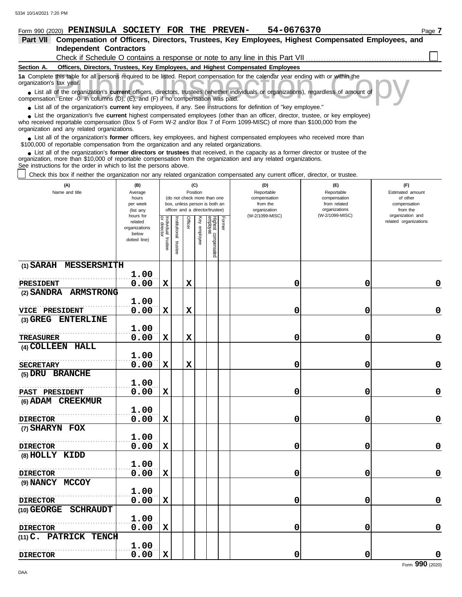| Part VII                                                                                                                                                                                                                    |                        |                               |               |         |              |                                                              |        |                                                                                 | Compensation of Officers, Directors, Trustees, Key Employees, Highest Compensated Employees, and |                              |  |  |
|-----------------------------------------------------------------------------------------------------------------------------------------------------------------------------------------------------------------------------|------------------------|-------------------------------|---------------|---------|--------------|--------------------------------------------------------------|--------|---------------------------------------------------------------------------------|--------------------------------------------------------------------------------------------------|------------------------------|--|--|
| <b>Independent Contractors</b>                                                                                                                                                                                              |                        |                               |               |         |              |                                                              |        |                                                                                 |                                                                                                  |                              |  |  |
| Section A.                                                                                                                                                                                                                  |                        |                               |               |         |              |                                                              |        | Officers, Directors, Trustees, Key Employees, and Highest Compensated Employees | Check if Schedule O contains a response or note to any line in this Part VII                     |                              |  |  |
| 1a Complete this table for all persons required to be listed. Report compensation for the calendar year ending with or within the                                                                                           |                        |                               |               |         |              |                                                              |        |                                                                                 |                                                                                                  |                              |  |  |
| organization's tax year.                                                                                                                                                                                                    |                        |                               |               |         |              |                                                              |        |                                                                                 |                                                                                                  |                              |  |  |
| • List all of the organization's current officers, directors, trustees (whether individuals or organizations), regardless of amount of<br>compensation. Enter -0- in columns (D), (E), and (F) if no compensation was paid. |                        |                               |               |         |              |                                                              |        |                                                                                 |                                                                                                  |                              |  |  |
| • List all of the organization's current key employees, if any. See instructions for definition of "key employee."                                                                                                          |                        |                               |               |         |              |                                                              |        |                                                                                 |                                                                                                  |                              |  |  |
| • List the organization's five current highest compensated employees (other than an officer, director, trustee, or key employee)                                                                                            |                        |                               |               |         |              |                                                              |        |                                                                                 |                                                                                                  |                              |  |  |
| who received reportable compensation (Box 5 of Form W-2 and/or Box 7 of Form 1099-MISC) of more than \$100,000 from the<br>organization and any related organizations.                                                      |                        |                               |               |         |              |                                                              |        |                                                                                 |                                                                                                  |                              |  |  |
| List all of the organization's former officers, key employees, and highest compensated employees who received more than<br>\$100,000 of reportable compensation from the organization and any related organizations.        |                        |                               |               |         |              |                                                              |        |                                                                                 |                                                                                                  |                              |  |  |
| List all of the organization's former directors or trustees that received, in the capacity as a former director or trustee of the                                                                                           |                        |                               |               |         |              |                                                              |        |                                                                                 |                                                                                                  |                              |  |  |
| organization, more than \$10,000 of reportable compensation from the organization and any related organizations.<br>See instructions for the order in which to list the persons above.                                      |                        |                               |               |         |              |                                                              |        |                                                                                 |                                                                                                  |                              |  |  |
| Check this box if neither the organization nor any related organization compensated any current officer, director, or trustee.                                                                                              |                        |                               |               |         |              |                                                              |        |                                                                                 |                                                                                                  |                              |  |  |
| (A)                                                                                                                                                                                                                         | (B)                    |                               |               |         | (C)          |                                                              |        | (D)                                                                             | (E)                                                                                              | (F)                          |  |  |
| Name and title                                                                                                                                                                                                              | Average                |                               |               |         | Position     |                                                              |        | Reportable                                                                      | Reportable                                                                                       | Estimated amount             |  |  |
|                                                                                                                                                                                                                             | hours<br>per week      |                               |               |         |              | (do not check more than one<br>box, unless person is both an |        | compensation<br>from the                                                        | compensation<br>from related                                                                     | of other<br>compensation     |  |  |
|                                                                                                                                                                                                                             | (list any<br>hours for |                               |               |         |              | officer and a director/trustee)                              |        | organization<br>(W-2/1099-MISC)                                                 | organizations<br>(W-2/1099-MISC)                                                                 | from the<br>organization and |  |  |
|                                                                                                                                                                                                                             | related                | ₽.                            |               | Officer |              |                                                              | Former |                                                                                 |                                                                                                  | related organizations        |  |  |
|                                                                                                                                                                                                                             | organizations<br>below | Individual trustee<br>irectol | Institutional |         | Key employee |                                                              |        |                                                                                 |                                                                                                  |                              |  |  |
|                                                                                                                                                                                                                             | dotted line)           |                               |               |         |              |                                                              |        |                                                                                 |                                                                                                  |                              |  |  |
|                                                                                                                                                                                                                             |                        |                               | trustee       |         |              | Highest compensated<br>employee                              |        |                                                                                 |                                                                                                  |                              |  |  |
| (1) SARAH MESSERSMITH                                                                                                                                                                                                       |                        |                               |               |         |              |                                                              |        |                                                                                 |                                                                                                  |                              |  |  |
|                                                                                                                                                                                                                             | 1.00                   |                               |               |         |              |                                                              |        |                                                                                 |                                                                                                  |                              |  |  |
| <b>PRESIDENT</b>                                                                                                                                                                                                            | 0.00                   | $\mathbf x$                   |               | X       |              |                                                              |        | 0                                                                               | 0                                                                                                | $\mathbf 0$                  |  |  |
| <b>ARMSTRONG</b><br>(2) SANDRA                                                                                                                                                                                              |                        |                               |               |         |              |                                                              |        |                                                                                 |                                                                                                  |                              |  |  |
|                                                                                                                                                                                                                             | 1.00                   |                               |               |         |              |                                                              |        |                                                                                 |                                                                                                  |                              |  |  |
| <b>VICE PRESIDENT</b>                                                                                                                                                                                                       | 0.00                   | $\mathbf x$                   |               | X       |              |                                                              |        | 0                                                                               | 0                                                                                                | $\mathbf 0$                  |  |  |
| (3) GREG ENTERLINE                                                                                                                                                                                                          |                        |                               |               |         |              |                                                              |        |                                                                                 |                                                                                                  |                              |  |  |
|                                                                                                                                                                                                                             | 1.00                   |                               |               |         |              |                                                              |        |                                                                                 |                                                                                                  |                              |  |  |
| <b>TREASURER</b><br>(4) COLLEEN HALL                                                                                                                                                                                        | 0.00                   | X                             |               | X       |              |                                                              |        | 0                                                                               | 0                                                                                                | $\mathbf 0$                  |  |  |
|                                                                                                                                                                                                                             | 1.00                   |                               |               |         |              |                                                              |        |                                                                                 |                                                                                                  |                              |  |  |
| <b>SECRETARY</b>                                                                                                                                                                                                            | 0.00                   | X                             |               | X       |              |                                                              |        | 0                                                                               | 0                                                                                                | $\mathbf 0$                  |  |  |
| (5) DRU BRANCHE                                                                                                                                                                                                             |                        |                               |               |         |              |                                                              |        |                                                                                 |                                                                                                  |                              |  |  |
|                                                                                                                                                                                                                             | 1.00                   |                               |               |         |              |                                                              |        |                                                                                 |                                                                                                  |                              |  |  |
| PAST PRESIDENT                                                                                                                                                                                                              | 0.00                   | x                             |               |         |              |                                                              |        | 0                                                                               | 0                                                                                                | $\mathbf 0$                  |  |  |
| (6) ADAM CREEKMUR                                                                                                                                                                                                           |                        |                               |               |         |              |                                                              |        |                                                                                 |                                                                                                  |                              |  |  |
|                                                                                                                                                                                                                             | 1.00                   |                               |               |         |              |                                                              |        |                                                                                 |                                                                                                  |                              |  |  |
| <b>DIRECTOR</b><br>(7) SHARYN FOX                                                                                                                                                                                           | 0.00                   | X                             |               |         |              |                                                              |        | 0                                                                               | 0                                                                                                | $\mathbf 0$                  |  |  |
|                                                                                                                                                                                                                             | 1.00                   |                               |               |         |              |                                                              |        |                                                                                 |                                                                                                  |                              |  |  |
| <b>DIRECTOR</b>                                                                                                                                                                                                             | 0.00                   | x                             |               |         |              |                                                              |        | 0                                                                               | 0                                                                                                | $\mathbf 0$                  |  |  |
| (8) HOLLY KIDD                                                                                                                                                                                                              |                        |                               |               |         |              |                                                              |        |                                                                                 |                                                                                                  |                              |  |  |
|                                                                                                                                                                                                                             | 1.00                   |                               |               |         |              |                                                              |        |                                                                                 |                                                                                                  |                              |  |  |
| <b>DIRECTOR</b>                                                                                                                                                                                                             | 0.00                   | X                             |               |         |              |                                                              |        | 0                                                                               | 0                                                                                                | $\mathbf 0$                  |  |  |
| (9) NANCY MCCOY                                                                                                                                                                                                             |                        |                               |               |         |              |                                                              |        |                                                                                 |                                                                                                  |                              |  |  |
|                                                                                                                                                                                                                             | 1.00                   |                               |               |         |              |                                                              |        |                                                                                 |                                                                                                  |                              |  |  |
| <b>DIRECTOR</b>                                                                                                                                                                                                             | 0.00                   | X                             |               |         |              |                                                              |        | 0                                                                               | 0                                                                                                | $\mathbf 0$                  |  |  |
| (10) GEORGE SCHRAUDT                                                                                                                                                                                                        | 1.00                   |                               |               |         |              |                                                              |        |                                                                                 |                                                                                                  |                              |  |  |
| <b>DIRECTOR</b>                                                                                                                                                                                                             | 0.00                   | X                             |               |         |              |                                                              |        | 0                                                                               | 0                                                                                                | $\mathbf 0$                  |  |  |
| (11) C. PATRICK TENCH                                                                                                                                                                                                       |                        |                               |               |         |              |                                                              |        |                                                                                 |                                                                                                  |                              |  |  |
|                                                                                                                                                                                                                             | 1.00                   |                               |               |         |              |                                                              |        |                                                                                 |                                                                                                  |                              |  |  |

**Form 990 (2020) PENINSULA SOCIETY FOR THE PREVEN-** 54-0676370

**DIRECTOR**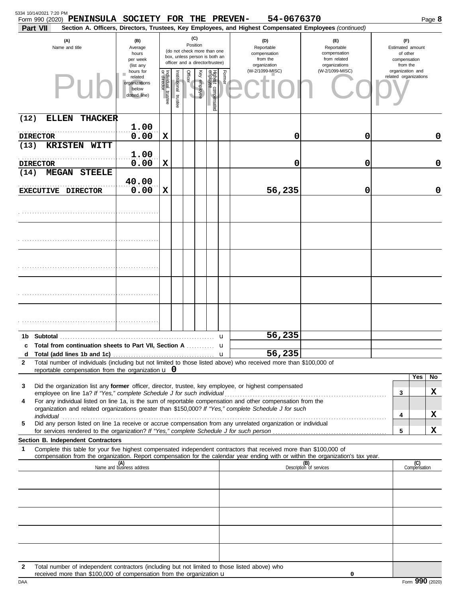| 5334 10/14/2021 7:20 PM<br>Form 990 (2020) PENINSULA SOCIETY FOR THE PREVEN-<br>Part VII                                                                                              |                |                                                                             |                                   |                                                                                                                    |         |              |                                 |        | 54-0676370<br>Section A. Officers, Directors, Trustees, Key Employees, and Highest Compensated Employees (continued)                                                                                                 |                                                                                                                                  |                                                                 |                     | Page 8      |
|---------------------------------------------------------------------------------------------------------------------------------------------------------------------------------------|----------------|-----------------------------------------------------------------------------|-----------------------------------|--------------------------------------------------------------------------------------------------------------------|---------|--------------|---------------------------------|--------|----------------------------------------------------------------------------------------------------------------------------------------------------------------------------------------------------------------------|----------------------------------------------------------------------------------------------------------------------------------|-----------------------------------------------------------------|---------------------|-------------|
| (A)<br>Name and title                                                                                                                                                                 |                | (B)<br>Average<br>hours<br>per week                                         |                                   | (C)<br>Position<br>(do not check more than one<br>box, unless person is both an<br>officer and a director/trustee) |         |              |                                 |        | (D)<br>Reportable<br>compensation<br>from the<br>organization                                                                                                                                                        | (E)<br>Reportable<br>compensation<br>from related<br>organizations                                                               | (F)<br>Estimated amount<br>of other<br>compensation<br>from the |                     |             |
|                                                                                                                                                                                       |                | (list any<br>hours for<br>related<br>organizations<br>below<br>dotted line) | Individual trustee<br>or director | Institutional trustee                                                                                              | Officer | Key employee | Highest compensated<br>employee | Former | (W-2/1099-MISC)                                                                                                                                                                                                      | (W-2/1099-MISC)                                                                                                                  | organization and<br>related organizations                       |                     |             |
| (12)<br><b>ELLEN</b>                                                                                                                                                                  | <b>THACKER</b> |                                                                             |                                   |                                                                                                                    |         |              |                                 |        |                                                                                                                                                                                                                      |                                                                                                                                  |                                                                 |                     |             |
| <b>DIRECTOR</b>                                                                                                                                                                       |                | 1.00<br>0.00                                                                | X                                 |                                                                                                                    |         |              |                                 |        | 0                                                                                                                                                                                                                    | 0                                                                                                                                |                                                                 |                     | 0           |
| <b>KRISTEN</b><br>(13)                                                                                                                                                                | <b>WITT</b>    |                                                                             |                                   |                                                                                                                    |         |              |                                 |        |                                                                                                                                                                                                                      |                                                                                                                                  |                                                                 |                     |             |
| <b>DIRECTOR</b>                                                                                                                                                                       |                | 1.00<br>0.00                                                                | X                                 |                                                                                                                    |         |              |                                 |        | 0                                                                                                                                                                                                                    | 0                                                                                                                                |                                                                 |                     | $\mathbf 0$ |
| (14)<br><b>MEGAN</b>                                                                                                                                                                  | <b>STEELE</b>  |                                                                             |                                   |                                                                                                                    |         |              |                                 |        |                                                                                                                                                                                                                      |                                                                                                                                  |                                                                 |                     |             |
| EXECUTIVE DIRECTOR                                                                                                                                                                    |                | 40.00<br>0.00                                                               | X                                 |                                                                                                                    |         |              |                                 |        | 56,235                                                                                                                                                                                                               | 0                                                                                                                                |                                                                 |                     | $\mathbf 0$ |
|                                                                                                                                                                                       |                |                                                                             |                                   |                                                                                                                    |         |              |                                 |        |                                                                                                                                                                                                                      |                                                                                                                                  |                                                                 |                     |             |
|                                                                                                                                                                                       |                |                                                                             |                                   |                                                                                                                    |         |              |                                 |        |                                                                                                                                                                                                                      |                                                                                                                                  |                                                                 |                     |             |
|                                                                                                                                                                                       |                |                                                                             |                                   |                                                                                                                    |         |              |                                 |        |                                                                                                                                                                                                                      |                                                                                                                                  |                                                                 |                     |             |
|                                                                                                                                                                                       |                |                                                                             |                                   |                                                                                                                    |         |              |                                 |        |                                                                                                                                                                                                                      |                                                                                                                                  |                                                                 |                     |             |
|                                                                                                                                                                                       |                |                                                                             |                                   |                                                                                                                    |         |              |                                 |        |                                                                                                                                                                                                                      |                                                                                                                                  |                                                                 |                     |             |
|                                                                                                                                                                                       |                |                                                                             |                                   |                                                                                                                    |         |              |                                 |        |                                                                                                                                                                                                                      |                                                                                                                                  |                                                                 |                     |             |
|                                                                                                                                                                                       |                |                                                                             |                                   |                                                                                                                    |         |              |                                 | u      | 56,235                                                                                                                                                                                                               |                                                                                                                                  |                                                                 |                     |             |
| Total from continuation sheets to Part VII, Section A<br>c<br>d                                                                                                                       |                |                                                                             |                                   |                                                                                                                    |         |              |                                 | u      | 56,235                                                                                                                                                                                                               |                                                                                                                                  |                                                                 |                     |             |
| 2                                                                                                                                                                                     |                |                                                                             |                                   |                                                                                                                    |         |              |                                 |        | Total number of individuals (including but not limited to those listed above) who received more than \$100,000 of                                                                                                    |                                                                                                                                  |                                                                 |                     |             |
| reportable compensation from the organization $\bf{u}$ 0                                                                                                                              |                |                                                                             |                                   |                                                                                                                    |         |              |                                 |        |                                                                                                                                                                                                                      |                                                                                                                                  |                                                                 | Yes                 | No          |
| 3                                                                                                                                                                                     |                |                                                                             |                                   |                                                                                                                    |         |              |                                 |        | Did the organization list any former officer, director, trustee, key employee, or highest compensated                                                                                                                |                                                                                                                                  | 3                                                               |                     | x           |
| 4                                                                                                                                                                                     |                |                                                                             |                                   |                                                                                                                    |         |              |                                 |        | For any individual listed on line 1a, is the sum of reportable compensation and other compensation from the<br>organization and related organizations greater than \$150,000? If "Yes," complete Schedule J for such |                                                                                                                                  |                                                                 |                     |             |
| individual                                                                                                                                                                            |                |                                                                             |                                   |                                                                                                                    |         |              |                                 |        |                                                                                                                                                                                                                      |                                                                                                                                  | 4                                                               |                     | X           |
| 5                                                                                                                                                                                     |                |                                                                             |                                   |                                                                                                                    |         |              |                                 |        | Did any person listed on line 1a receive or accrue compensation from any unrelated organization or individual                                                                                                        |                                                                                                                                  | 5                                                               |                     | X           |
| Section B. Independent Contractors<br>1                                                                                                                                               |                |                                                                             |                                   |                                                                                                                    |         |              |                                 |        | Complete this table for your five highest compensated independent contractors that received more than \$100,000 of                                                                                                   |                                                                                                                                  |                                                                 |                     |             |
|                                                                                                                                                                                       |                |                                                                             |                                   |                                                                                                                    |         |              |                                 |        |                                                                                                                                                                                                                      | compensation from the organization. Report compensation for the calendar year ending with or within the organization's tax year. |                                                                 |                     |             |
|                                                                                                                                                                                       |                | (A)<br>Name and business address                                            |                                   |                                                                                                                    |         |              |                                 |        |                                                                                                                                                                                                                      | (B)<br>Description of services                                                                                                   |                                                                 | (C)<br>Compensation |             |
|                                                                                                                                                                                       |                |                                                                             |                                   |                                                                                                                    |         |              |                                 |        |                                                                                                                                                                                                                      |                                                                                                                                  |                                                                 |                     |             |
|                                                                                                                                                                                       |                |                                                                             |                                   |                                                                                                                    |         |              |                                 |        |                                                                                                                                                                                                                      |                                                                                                                                  |                                                                 |                     |             |
|                                                                                                                                                                                       |                |                                                                             |                                   |                                                                                                                    |         |              |                                 |        |                                                                                                                                                                                                                      |                                                                                                                                  |                                                                 |                     |             |
|                                                                                                                                                                                       |                |                                                                             |                                   |                                                                                                                    |         |              |                                 |        |                                                                                                                                                                                                                      |                                                                                                                                  |                                                                 |                     |             |
|                                                                                                                                                                                       |                |                                                                             |                                   |                                                                                                                    |         |              |                                 |        |                                                                                                                                                                                                                      |                                                                                                                                  |                                                                 |                     |             |
| Total number of independent contractors (including but not limited to those listed above) who<br>$\mathbf{2}$<br>received more than \$100,000 of compensation from the organization u |                |                                                                             |                                   |                                                                                                                    |         |              |                                 |        |                                                                                                                                                                                                                      | 0                                                                                                                                |                                                                 |                     |             |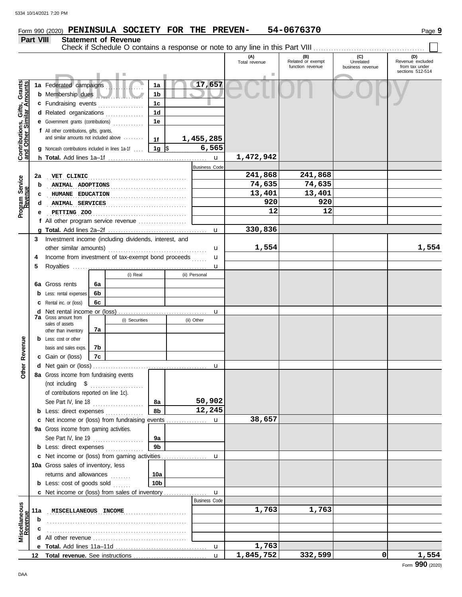#### **Part VIII Statement of Revenue** Check if Schedule O contains a response or note to any line in this Part VIII ................................ **(A) (B) (C) (D)** Total revenue **Related or exempt** Unrelated Provenue Revenue exclude<br>
function revenue business revenue from tax under husiness revenue sections 512-514 derated campaigns<br>
mbership dues<br>
ndraising events Contributions, Gifts, Grants<br>and Other Similar Amounts **17,657 Contributions, Gifts, Grants and Other Similar Amounts 1a 1a** Federated campaigns **. . . . . . . . . . . . 1b b** Membership dues . . . . . . . . . . . . . . . . . . . **1c c** Fundraising events . . . . . . . . . . . . . . . **1d d** Related organizations . . . . . . . . . . . . . **1e e** Government grants (contributions) . . . . . . . . . . . . **f** All other contributions, gifts, grants, and similar amounts not included above ........ **1,455,285 1f** 1g  $\sqrt{ }$ \$ . . . . . . . . . . . . . . . . . . . . . **6,565 g** Noncash contributions included in lines 1a-1f ... **1,472,942** u **h Total.** Add lines 1a–1f . . . . . . . . . . . . . . . . . . . . . . . . . . . . . . . . . . . . . . . Business Cod . . . . . . . . . . . . . . . . . . . . . . . . . . . . . . . . . . . . . . . . . . . . . . . . . . . . . . . **2a VET CLINIC 241,868 241,868** Program Service<br>Revenue **Program Service** . . . . . . . . . . . . . . . . . . . . . . . . . . . . . . . . . . . . . . . . . . . . . . . . . . . . . . . **b ANIMAL ADOPTIONS 74,635 74,635 c** . HUMANE EDUCATION **13,401 13,401** . . . . . . . . . . . . . . . . . . . . . . . . . . . . . . . . . . . . . . . . . . . . . . . . . . . . . . . **ANIMAL SERVICES 920 920 d** . . . . . . . . . . . . . . . . . . . . . . . . . . . . . . . . . . . . . . . . . . . . . . . . . . . . . . . **e PETTING ZOO 12 12 f** All other program service revenue . . . . . . . . . . . . . . . . . . . **330,836 g Total.** Add lines 2a–2f . . . . . . . . . . . . . . . . . . . . . . . . . . . . . . . . . . . . . . . u **3** Investment income (including dividends, interest, and **1,554 1,554** u other similar amounts) . . . . . . . . . . . . . . . . . . . . . . . . . . . . . . . . . . . . . . . **4** Income from investment of tax-exempt bond proceeds ...... u **5** Royalties ...... u (i) Real (ii) Personal **6a 6a** Gross rents **6b b** Less: rental expenses **6c c** Rental inc. or (loss) **d** Net rental income or (loss) . . . . . . . . . . . . . . . . . . . . . . . . . . . . . . . . . . . u **7a** Gross amount from (i) Securities (ii) Other sales of assets other than inventory **7a Other Revenue Other Revenue b** Less: cost or other basis and sales exps. **7b 7c c** Gain or (loss) **d** u Net gain or (loss) . . . . . . . . . . . . . . . . . . . . . . . . . . . . . . . . . . . . . . . . . . . . . **8a** Gross income from fundraising events (not including \$ . . . . . . . . . . . . . . . . . . . . . of contributions reported on line 1c). See Part IV, line 18 . . . . . . . . . . . . . . . . . . . . **50,902 8a 12,245 8b b** Less: direct expenses . . . . . . . . . . . . . **38,657 c** Net income or (loss) from fundraising events ................ u 9a Gross income from gaming activities. See Part IV, line 19 . . . . . . . . . . . . . . . . . . . . **9a 9b b** Less: direct expenses ................ Net income or (loss) from gaming activities . . . . . . . . . . . . . . . . . . **c** u 10a Gross sales of inventory, less returns and allowances ........ **10a 10b b** Less: cost of goods sold ....... Net income or (loss) from sales of inventory . . . . . . . . . . . . . . . . . **c** u Business Code **Scellaneous**<br>Revenue **Miscellaneous MISCELLANEOUS INCOME 1,763 1,763 11a b** . . . . . . . . . . . . . . . . . . . . . . . . . . . . . . . . . . . . . . . . . . . . . . . . . . . . . . . **c** . . . . . . . . . . . . . . . . . . . . . . . . . . . . . . . . . . . . . . . . . . . . . . . . . . . . . . . **d** All other revenue . . . . . . . . . . . . . . . . . . . . . . . . . . . . . . . . . . . . . **1,763 e Total.** Add lines 11a–11d . . . . . . . . . . . . . . . . . . . . . . . . . . . . . . . . . . . . u **1,845,752 332,599 0 1,554** Total revenue. See instructions . . . . . . . . . . . . . **12** u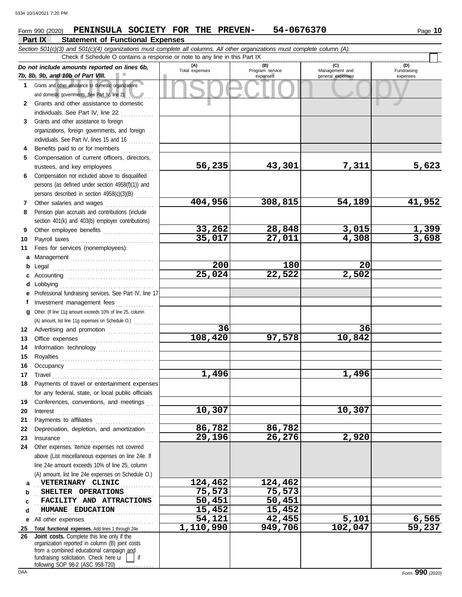## **Form 990 (2020) PENINSULA SOCIETY FOR THE PREVEN-** 54-0676370 Page 10 **Part IX Statement of Functional Expenses** *Section 501(c)(3) and 501(c)(4) organizations must complete all columns. All other organizations must complete column (A).* Check if Schedule O contains a response or note to any line in this Part IX . . . . . . . . . . . . . . . . . . . . . . . . . . . . . . . . . . . . . . . . . . . . . . . . . . . . . . . . . . . . . . . .  $\overline{a}$

| Check if Schedule O contains a response or note to any line in this Part IX |                                                                                                                                                                                                                                                                                                                                                                                                                                                                                                                               |                       |                                    |                                           |                                |  |  |  |  |  |
|-----------------------------------------------------------------------------|-------------------------------------------------------------------------------------------------------------------------------------------------------------------------------------------------------------------------------------------------------------------------------------------------------------------------------------------------------------------------------------------------------------------------------------------------------------------------------------------------------------------------------|-----------------------|------------------------------------|-------------------------------------------|--------------------------------|--|--|--|--|--|
|                                                                             | Do not include amounts reported on lines 6b,<br>7b, 8b, 9b, and 10b of Part VIII.                                                                                                                                                                                                                                                                                                                                                                                                                                             | (A)<br>Total expenses | (B)<br>Program service<br>expenses | (C)<br>Management and<br>general expenses | (D)<br>Fundraising<br>expenses |  |  |  |  |  |
| 1.                                                                          | Grants and other assistance to domestic organizations                                                                                                                                                                                                                                                                                                                                                                                                                                                                         |                       |                                    |                                           |                                |  |  |  |  |  |
|                                                                             | and domestic governments. See Part IV, line 21                                                                                                                                                                                                                                                                                                                                                                                                                                                                                |                       |                                    |                                           |                                |  |  |  |  |  |
| $\mathbf{2}$                                                                | Grants and other assistance to domestic                                                                                                                                                                                                                                                                                                                                                                                                                                                                                       |                       |                                    |                                           |                                |  |  |  |  |  |
|                                                                             | individuals. See Part IV, line 22                                                                                                                                                                                                                                                                                                                                                                                                                                                                                             |                       |                                    |                                           |                                |  |  |  |  |  |
| 3                                                                           | Grants and other assistance to foreign                                                                                                                                                                                                                                                                                                                                                                                                                                                                                        |                       |                                    |                                           |                                |  |  |  |  |  |
|                                                                             | organizations, foreign governments, and foreign                                                                                                                                                                                                                                                                                                                                                                                                                                                                               |                       |                                    |                                           |                                |  |  |  |  |  |
|                                                                             | individuals. See Part IV, lines 15 and 16                                                                                                                                                                                                                                                                                                                                                                                                                                                                                     |                       |                                    |                                           |                                |  |  |  |  |  |
| 4                                                                           | Benefits paid to or for members                                                                                                                                                                                                                                                                                                                                                                                                                                                                                               |                       |                                    |                                           |                                |  |  |  |  |  |
| 5                                                                           | Compensation of current officers, directors,                                                                                                                                                                                                                                                                                                                                                                                                                                                                                  |                       |                                    |                                           |                                |  |  |  |  |  |
|                                                                             | trustees, and key employees                                                                                                                                                                                                                                                                                                                                                                                                                                                                                                   | 56,235                | 43,301                             | 7,311                                     | 5,623                          |  |  |  |  |  |
| 6                                                                           | Compensation not included above to disqualified                                                                                                                                                                                                                                                                                                                                                                                                                                                                               |                       |                                    |                                           |                                |  |  |  |  |  |
|                                                                             | persons (as defined under section 4958(f)(1)) and                                                                                                                                                                                                                                                                                                                                                                                                                                                                             |                       |                                    |                                           |                                |  |  |  |  |  |
|                                                                             | persons described in section 4958(c)(3)(B)                                                                                                                                                                                                                                                                                                                                                                                                                                                                                    |                       |                                    |                                           |                                |  |  |  |  |  |
| 7                                                                           | Other salaries and wages                                                                                                                                                                                                                                                                                                                                                                                                                                                                                                      | 404,956               | 308,815                            | 54,189                                    | 41,952                         |  |  |  |  |  |
| 8                                                                           | Pension plan accruals and contributions (include                                                                                                                                                                                                                                                                                                                                                                                                                                                                              |                       |                                    |                                           |                                |  |  |  |  |  |
|                                                                             | section 401(k) and 403(b) employer contributions)                                                                                                                                                                                                                                                                                                                                                                                                                                                                             | 33,262                | 28,848                             | 3,015                                     | 1,399                          |  |  |  |  |  |
| 9<br>10                                                                     | Other employee benefits                                                                                                                                                                                                                                                                                                                                                                                                                                                                                                       | 35,017                | 27,011                             | 4,308                                     | 3,698                          |  |  |  |  |  |
| 11                                                                          | Fees for services (nonemployees):                                                                                                                                                                                                                                                                                                                                                                                                                                                                                             |                       |                                    |                                           |                                |  |  |  |  |  |
| a                                                                           | Management                                                                                                                                                                                                                                                                                                                                                                                                                                                                                                                    |                       |                                    |                                           |                                |  |  |  |  |  |
| b                                                                           |                                                                                                                                                                                                                                                                                                                                                                                                                                                                                                                               | 200                   | 180                                | 20                                        |                                |  |  |  |  |  |
| c                                                                           |                                                                                                                                                                                                                                                                                                                                                                                                                                                                                                                               | 25,024                | 22,522                             | 2,502                                     |                                |  |  |  |  |  |
|                                                                             |                                                                                                                                                                                                                                                                                                                                                                                                                                                                                                                               |                       |                                    |                                           |                                |  |  |  |  |  |
| е                                                                           | Professional fundraising services. See Part IV, line 17                                                                                                                                                                                                                                                                                                                                                                                                                                                                       |                       |                                    |                                           |                                |  |  |  |  |  |
| f                                                                           | Investment management fees                                                                                                                                                                                                                                                                                                                                                                                                                                                                                                    |                       |                                    |                                           |                                |  |  |  |  |  |
| a                                                                           | Other. (If line 11g amount exceeds 10% of line 25, column                                                                                                                                                                                                                                                                                                                                                                                                                                                                     |                       |                                    |                                           |                                |  |  |  |  |  |
|                                                                             | (A) amount, list line 11g expenses on Schedule O.)                                                                                                                                                                                                                                                                                                                                                                                                                                                                            |                       |                                    |                                           |                                |  |  |  |  |  |
| 12                                                                          | Advertising and promotion                                                                                                                                                                                                                                                                                                                                                                                                                                                                                                     | 36                    |                                    | 36                                        |                                |  |  |  |  |  |
| 13                                                                          |                                                                                                                                                                                                                                                                                                                                                                                                                                                                                                                               | 108,420               | 97,578                             | 10,842                                    |                                |  |  |  |  |  |
| 14                                                                          | Information technology                                                                                                                                                                                                                                                                                                                                                                                                                                                                                                        |                       |                                    |                                           |                                |  |  |  |  |  |
| 15                                                                          |                                                                                                                                                                                                                                                                                                                                                                                                                                                                                                                               |                       |                                    |                                           |                                |  |  |  |  |  |
| 16                                                                          |                                                                                                                                                                                                                                                                                                                                                                                                                                                                                                                               |                       |                                    |                                           |                                |  |  |  |  |  |
| 17                                                                          |                                                                                                                                                                                                                                                                                                                                                                                                                                                                                                                               | 1,496                 |                                    | 1,496                                     |                                |  |  |  |  |  |
| 18                                                                          | Payments of travel or entertainment expenses                                                                                                                                                                                                                                                                                                                                                                                                                                                                                  |                       |                                    |                                           |                                |  |  |  |  |  |
|                                                                             | for any federal, state, or local public officials                                                                                                                                                                                                                                                                                                                                                                                                                                                                             |                       |                                    |                                           |                                |  |  |  |  |  |
| 19<br>20                                                                    | Conferences, conventions, and meetings                                                                                                                                                                                                                                                                                                                                                                                                                                                                                        | 10,307                |                                    | 10,307                                    |                                |  |  |  |  |  |
| 21                                                                          | $\textbf{Interest} \hspace{2em} \begin{minipage}{1em} \begin{minipage}{1em} \begin{minipage}{1em} \begin{minipage}{1em} \end{minipage} \end{minipage} \end{minipage} \begin{minipage}{1em} \begin{minipage}{1em} \begin{minipage}{1em} \begin{minipage}{1em} \end{minipage} \end{minipage} \end{minipage} \end{minipage} \begin{minipage}{1em} \begin{minipage}{1em} \begin{minipage}{1em} \begin{minipage}{1em} \end{minipage} \end{minipage} \end{minipage} \end{minipage} \begin{minipage}{1em}$<br>Payments to affiliates |                       |                                    |                                           |                                |  |  |  |  |  |
| 22                                                                          | Depreciation, depletion, and amortization                                                                                                                                                                                                                                                                                                                                                                                                                                                                                     | 86,782                | 86,782                             |                                           |                                |  |  |  |  |  |
| 23                                                                          |                                                                                                                                                                                                                                                                                                                                                                                                                                                                                                                               | 29,196                | 26,276                             | 2,920                                     |                                |  |  |  |  |  |
| 24                                                                          | Other expenses. Itemize expenses not covered                                                                                                                                                                                                                                                                                                                                                                                                                                                                                  |                       |                                    |                                           |                                |  |  |  |  |  |
|                                                                             | above (List miscellaneous expenses on line 24e. If                                                                                                                                                                                                                                                                                                                                                                                                                                                                            |                       |                                    |                                           |                                |  |  |  |  |  |
|                                                                             | line 24e amount exceeds 10% of line 25, column                                                                                                                                                                                                                                                                                                                                                                                                                                                                                |                       |                                    |                                           |                                |  |  |  |  |  |
|                                                                             | (A) amount, list line 24e expenses on Schedule O.)                                                                                                                                                                                                                                                                                                                                                                                                                                                                            |                       |                                    |                                           |                                |  |  |  |  |  |
| a                                                                           | VETERINARY CLINIC                                                                                                                                                                                                                                                                                                                                                                                                                                                                                                             | 124,462               | 124,462                            |                                           |                                |  |  |  |  |  |
| b                                                                           | SHELTER OPERATIONS                                                                                                                                                                                                                                                                                                                                                                                                                                                                                                            | 75,573                | 75,573                             |                                           |                                |  |  |  |  |  |
| c                                                                           | FACILITY AND ATTRACTIONS                                                                                                                                                                                                                                                                                                                                                                                                                                                                                                      | 50,451                | 50,451                             |                                           |                                |  |  |  |  |  |
| d                                                                           | HUMANE EDUCATION                                                                                                                                                                                                                                                                                                                                                                                                                                                                                                              | 15,452                | 15,452                             |                                           |                                |  |  |  |  |  |
|                                                                             |                                                                                                                                                                                                                                                                                                                                                                                                                                                                                                                               | 54,121<br>1,110,990   | 42,455                             | 5,101                                     | 6,565                          |  |  |  |  |  |
| 25<br>26                                                                    | Total functional expenses. Add lines 1 through 24e<br>Joint costs. Complete this line only if the                                                                                                                                                                                                                                                                                                                                                                                                                             |                       | 949,706                            | 102,047                                   | 59,237                         |  |  |  |  |  |
|                                                                             | organization reported in column (B) joint costs                                                                                                                                                                                                                                                                                                                                                                                                                                                                               |                       |                                    |                                           |                                |  |  |  |  |  |
|                                                                             | from a combined educational campaign and                                                                                                                                                                                                                                                                                                                                                                                                                                                                                      |                       |                                    |                                           |                                |  |  |  |  |  |
|                                                                             | fundraising solicitation. Check here $\mathbf{u}$  <br>if<br>following SOP 98-2 (ASC 958-720)                                                                                                                                                                                                                                                                                                                                                                                                                                 |                       |                                    |                                           |                                |  |  |  |  |  |
| DAA                                                                         |                                                                                                                                                                                                                                                                                                                                                                                                                                                                                                                               |                       |                                    |                                           | Form 990 (2020)                |  |  |  |  |  |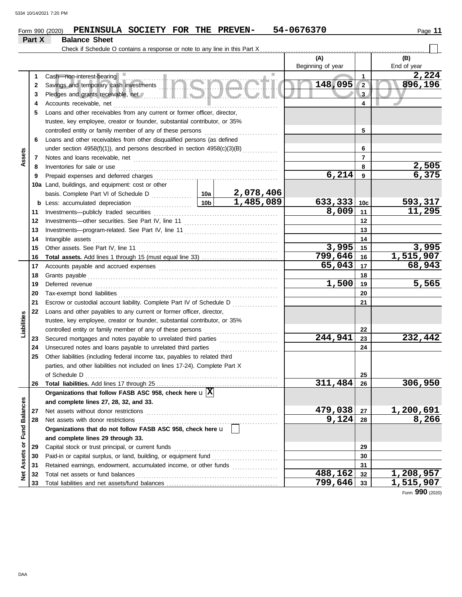|                 |              | 5334 10/14/2021 7:20 PM                                                                                                                                    |  |                        |                   |                         |                  |
|-----------------|--------------|------------------------------------------------------------------------------------------------------------------------------------------------------------|--|------------------------|-------------------|-------------------------|------------------|
|                 |              | PENINSULA SOCIETY FOR THE PREVEN-<br>Form 990 (2020)                                                                                                       |  |                        | 54-0676370        |                         | Page 11          |
|                 | Part X       | <b>Balance Sheet</b><br>Check if Schedule O contains a response or note to any line in this Part X                                                         |  |                        |                   |                         |                  |
|                 |              |                                                                                                                                                            |  |                        | (A)               |                         | (B)              |
|                 |              |                                                                                                                                                            |  |                        | Beginning of year |                         | End of year      |
|                 | 1.           | Cash-non-interest-bearing                                                                                                                                  |  | <b>III</b>             |                   | $\mathbf{1}$            | 2,224            |
|                 | $\mathbf{2}$ | Savings and temporary cash investments                                                                                                                     |  |                        | 148,095           | $\sqrt{2}$              | 896,196          |
|                 | 3            |                                                                                                                                                            |  |                        |                   | $\overline{\mathbf{3}}$ |                  |
|                 | 4            |                                                                                                                                                            |  |                        |                   | 4                       |                  |
|                 | 5            | Loans and other receivables from any current or former officer, director,                                                                                  |  |                        |                   |                         |                  |
|                 |              | trustee, key employee, creator or founder, substantial contributor, or 35%                                                                                 |  |                        |                   |                         |                  |
|                 |              | controlled entity or family member of any of these persons                                                                                                 |  |                        |                   | 5                       |                  |
|                 | 6.           | Loans and other receivables from other disqualified persons (as defined                                                                                    |  |                        |                   |                         |                  |
|                 |              | under section 4958(f)(1)), and persons described in section 4958(c)(3)(B)                                                                                  |  |                        |                   | 6                       |                  |
| Assets          | 7            |                                                                                                                                                            |  |                        |                   | $\overline{7}$          |                  |
|                 | 8            |                                                                                                                                                            |  |                        |                   | 8                       | 2,505            |
|                 | 9            |                                                                                                                                                            |  |                        | 6,214             | 9                       | 6,375            |
|                 |              | 10a Land, buildings, and equipment: cost or other                                                                                                          |  |                        |                   |                         |                  |
|                 |              |                                                                                                                                                            |  |                        |                   |                         |                  |
|                 |              |                                                                                                                                                            |  | $\overline{1,485,089}$ | 633,333           | 10c                     | 593,317          |
|                 | 11           |                                                                                                                                                            |  |                        | 8,009             | 11                      | 11,295           |
|                 | 12           |                                                                                                                                                            |  |                        |                   | 12                      |                  |
|                 | 13           |                                                                                                                                                            |  |                        |                   | 13                      |                  |
|                 | 14           |                                                                                                                                                            |  |                        |                   | 14                      |                  |
|                 | 15           |                                                                                                                                                            |  |                        | 3,995             | 15                      | 3,995            |
|                 | 16           |                                                                                                                                                            |  |                        | 799,646           | 16                      | 1,515,907        |
|                 | 17           |                                                                                                                                                            |  |                        | 65,043            | 17                      | 68,943           |
|                 | 18           |                                                                                                                                                            |  |                        |                   | 18                      |                  |
|                 | 19           |                                                                                                                                                            |  |                        | 1,500             | 19                      | 5,565            |
|                 | 20           |                                                                                                                                                            |  |                        |                   | 20                      |                  |
|                 | 21           | Escrow or custodial account liability. Complete Part IV of Schedule D                                                                                      |  |                        |                   | 21                      |                  |
|                 | 22           | Loans and other payables to any current or former officer, director,                                                                                       |  |                        |                   |                         |                  |
| Liabilities     |              | trustee, key employee, creator or founder, substantial contributor, or 35%                                                                                 |  |                        |                   |                         |                  |
|                 |              |                                                                                                                                                            |  |                        |                   | 22                      | 232,442          |
|                 | 23           |                                                                                                                                                            |  |                        | 244,941           | 23                      |                  |
|                 | 24           |                                                                                                                                                            |  |                        |                   | 24                      |                  |
|                 | 25           | Other liabilities (including federal income tax, payables to related third<br>parties, and other liabilities not included on lines 17-24). Complete Part X |  |                        |                   |                         |                  |
|                 |              |                                                                                                                                                            |  |                        |                   |                         |                  |
|                 | 26           |                                                                                                                                                            |  |                        | 311,484           | 25<br>26                | 306,950          |
|                 |              | Organizations that follow FASB ASC 958, check here $\mathbf{u} \mathbf{X} $                                                                                |  |                        |                   |                         |                  |
|                 |              | and complete lines 27, 28, 32, and 33.                                                                                                                     |  |                        |                   |                         |                  |
|                 | 27           |                                                                                                                                                            |  |                        | 479,038           | 27                      | <u>1,200,691</u> |
| <b>Balances</b> | 28           | Net assets with donor restrictions                                                                                                                         |  |                        | 9,124             | 28                      | 8,266            |

**Net Assets or Fund Balances** Net assets with donor restrictions . . . . . . . . . . . . . . . . . . . . . . . . . . . . . . . . . . . . . . . . . . . . . . . . . . . . . . . . Net Assets or Fund **Organizations that do not follow FASB ASC 958, check here** u **and complete lines 29 through 33.** Capital stock or trust principal, or current funds . . . . . . . . . . . . . . . . . . . . . . . . . . . . . . . . . . . . . . . . . **29 29** Paid-in or capital surplus, or land, building, or equipment fund .............................. **30 30** Retained earnings, endowment, accumulated income, or other funds ................... **31 31** Total net assets or fund balances . . . . . . . . . . . . . . . . . . . . . . . . . . . . . . . . . . . . . . . . . . . . . . . . . . . . . . . . **488,162 1,208,957 32 32 33** Total liabilities and net assets/fund balances .............. **799,646 1,515,907 33**

Form **990** (2020)

DAA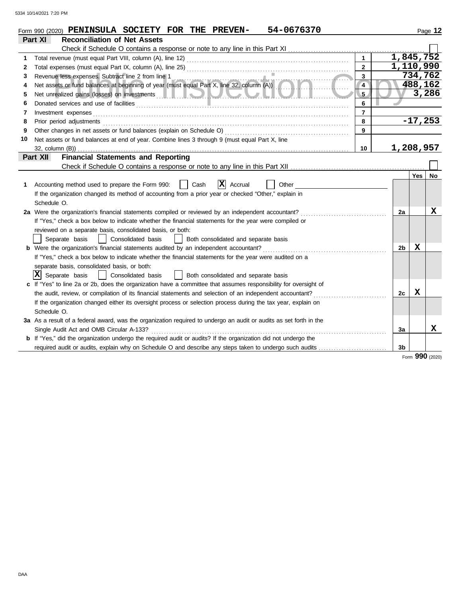|    | 54-0676370<br>Form 990 (2020) PENINSULA SOCIETY FOR THE PREVEN-                                                                                 |                |                |           | Page 12 |
|----|-------------------------------------------------------------------------------------------------------------------------------------------------|----------------|----------------|-----------|---------|
|    | Part XI<br><b>Reconciliation of Net Assets</b>                                                                                                  |                |                |           |         |
|    |                                                                                                                                                 |                |                |           |         |
| 1  |                                                                                                                                                 |                | 1,845,752      |           |         |
| 2  |                                                                                                                                                 | $\overline{2}$ | 1,110,990      |           |         |
| 3  |                                                                                                                                                 | 3              |                | 734,762   |         |
| 4  | Revenue less expenses. Subtract line 2 from line 1<br>Net assets or fund balances at beginning of year (must equal Part X, line 32, column (A)) | $\overline{4}$ |                | 488,162   |         |
| 5  |                                                                                                                                                 | 5              |                |           | 3,286   |
| 6  |                                                                                                                                                 | 6              |                |           |         |
| 7  | Investment expenses <b>constant expenses constant expenses constant expenses constant expenses</b>                                              | $\overline{7}$ |                |           |         |
| 8  | Prior period adjustments                                                                                                                        | 8              |                | $-17,253$ |         |
| 9  |                                                                                                                                                 | 9              |                |           |         |
| 10 | Net assets or fund balances at end of year. Combine lines 3 through 9 (must equal Part X, line                                                  |                |                |           |         |
|    |                                                                                                                                                 | 10             | 1,208,957      |           |         |
|    | <b>Financial Statements and Reporting</b><br>Part XII                                                                                           |                |                |           |         |
|    |                                                                                                                                                 |                |                |           |         |
|    |                                                                                                                                                 |                |                | Yes       | No      |
| 1. | $ {\bf x} $<br>Cash<br>Accrual<br>Other<br>Accounting method used to prepare the Form 990:                                                      |                |                |           |         |
|    | If the organization changed its method of accounting from a prior year or checked "Other," explain in                                           |                |                |           |         |
|    | Schedule O.                                                                                                                                     |                |                |           |         |
|    | 2a Were the organization's financial statements compiled or reviewed by an independent accountant?                                              |                | 2a             |           | X       |
|    | If "Yes," check a box below to indicate whether the financial statements for the year were compiled or                                          |                |                |           |         |
|    | reviewed on a separate basis, consolidated basis, or both:                                                                                      |                |                |           |         |
|    | Consolidated basis<br>Both consolidated and separate basis<br>Separate basis                                                                    |                |                |           |         |
|    | <b>b</b> Were the organization's financial statements audited by an independent accountant?                                                     |                | 2 <sub>b</sub> | x         |         |
|    | If "Yes," check a box below to indicate whether the financial statements for the year were audited on a                                         |                |                |           |         |
|    | separate basis, consolidated basis, or both:                                                                                                    |                |                |           |         |
|    | $ \mathbf{X} $ Separate basis<br>Consolidated basis<br>Both consolidated and separate basis                                                     |                |                |           |         |
|    | c If "Yes" to line 2a or 2b, does the organization have a committee that assumes responsibility for oversight of                                |                |                |           |         |
|    | the audit, review, or compilation of its financial statements and selection of an independent accountant?                                       |                | 2c             | X         |         |
|    | If the organization changed either its oversight process or selection process during the tax year, explain on                                   |                |                |           |         |
|    | Schedule O.                                                                                                                                     |                |                |           |         |
|    | 3a As a result of a federal award, was the organization required to undergo an audit or audits as set forth in the                              |                |                |           |         |
|    | Single Audit Act and OMB Circular A-133?                                                                                                        |                | 3a             |           | x       |
|    | b If "Yes," did the organization undergo the required audit or audits? If the organization did not undergo the                                  |                |                |           |         |
|    |                                                                                                                                                 |                | 3b             |           |         |

Form **990** (2020)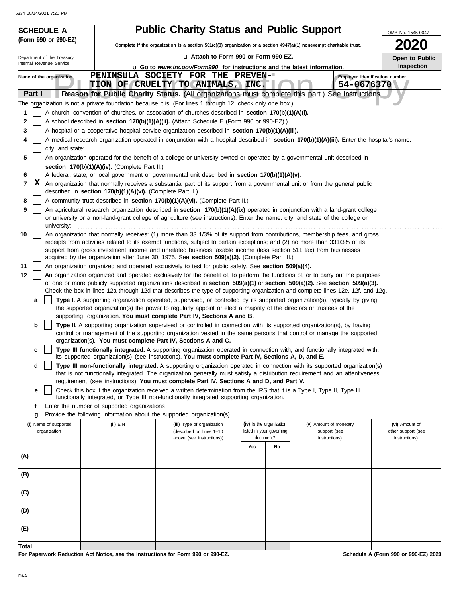| <b>SCHEDULE A</b>                     |                  |                                                            | <b>Public Charity Status and Public Support</b>                                                                                                                                                                                                                                                                                                       |                          |                          |                                | OMB No. 1545-0047                    |
|---------------------------------------|------------------|------------------------------------------------------------|-------------------------------------------------------------------------------------------------------------------------------------------------------------------------------------------------------------------------------------------------------------------------------------------------------------------------------------------------------|--------------------------|--------------------------|--------------------------------|--------------------------------------|
| (Form 990 or 990-EZ)                  |                  |                                                            | Complete if the organization is a section $501(c)(3)$ organization or a section $4947(a)(1)$ nonexempt charitable trust.                                                                                                                                                                                                                              | 2020                     |                          |                                |                                      |
| Department of the Treasury            |                  |                                                            | La Attach to Form 990 or Form 990-EZ.                                                                                                                                                                                                                                                                                                                 | Open to Public           |                          |                                |                                      |
| Internal Revenue Service              |                  |                                                            | u Go to www.irs.gov/Form990 for instructions and the latest information.                                                                                                                                                                                                                                                                              |                          |                          |                                | <b>Inspection</b>                    |
| Name of the organization              |                  |                                                            | PENINSULA SOCIETY FOR THE PREVEN-                                                                                                                                                                                                                                                                                                                     |                          |                          | Employer identification number |                                      |
| Part I                                |                  |                                                            | TION OF CRUELTY TO ANIMALS, INC.<br>Reason for Public Charity Status. (All organizations must complete this part.)                                                                                                                                                                                                                                    |                          |                          | 54-0676370<br>See instructions |                                      |
|                                       |                  |                                                            | The organization is not a private foundation because it is: (For lines 1 through 12, check only one box.)                                                                                                                                                                                                                                             |                          |                          |                                |                                      |
| 1                                     |                  |                                                            | A church, convention of churches, or association of churches described in section 170(b)(1)(A)(i).                                                                                                                                                                                                                                                    |                          |                          |                                |                                      |
| 2                                     |                  |                                                            | A school described in <b>section 170(b)(1)(A)(ii).</b> (Attach Schedule E (Form 990 or 990-EZ).)                                                                                                                                                                                                                                                      |                          |                          |                                |                                      |
| 3                                     |                  |                                                            | A hospital or a cooperative hospital service organization described in section 170(b)(1)(A)(iii).                                                                                                                                                                                                                                                     |                          |                          |                                |                                      |
| 4                                     |                  |                                                            | A medical research organization operated in conjunction with a hospital described in section 170(b)(1)(A)(iii). Enter the hospital's name,                                                                                                                                                                                                            |                          |                          |                                |                                      |
| 5                                     | city, and state: |                                                            | An organization operated for the benefit of a college or university owned or operated by a governmental unit described in                                                                                                                                                                                                                             |                          |                          |                                |                                      |
|                                       |                  | section 170(b)(1)(A)(iv). (Complete Part II.)              |                                                                                                                                                                                                                                                                                                                                                       |                          |                          |                                |                                      |
| 6                                     |                  |                                                            | A federal, state, or local government or governmental unit described in section 170(b)(1)(A)(v).                                                                                                                                                                                                                                                      |                          |                          |                                |                                      |
| X<br>7                                |                  | described in section 170(b)(1)(A)(vi). (Complete Part II.) | An organization that normally receives a substantial part of its support from a governmental unit or from the general public                                                                                                                                                                                                                          |                          |                          |                                |                                      |
| 8                                     |                  |                                                            | A community trust described in section 170(b)(1)(A)(vi). (Complete Part II.)                                                                                                                                                                                                                                                                          |                          |                          |                                |                                      |
| 9<br>university:                      |                  |                                                            | An agricultural research organization described in section 170(b)(1)(A)(ix) operated in conjunction with a land-grant college<br>or university or a non-land-grant college of agriculture (see instructions). Enter the name, city, and state of the college or                                                                                       |                          |                          |                                |                                      |
| 10                                    |                  |                                                            | An organization that normally receives: (1) more than 33 1/3% of its support from contributions, membership fees, and gross                                                                                                                                                                                                                           |                          |                          |                                |                                      |
|                                       |                  |                                                            | receipts from activities related to its exempt functions, subject to certain exceptions; and (2) no more than 331/3% of its                                                                                                                                                                                                                           |                          |                          |                                |                                      |
|                                       |                  |                                                            | support from gross investment income and unrelated business taxable income (less section 511 tax) from businesses<br>acquired by the organization after June 30, 1975. See section 509(a)(2). (Complete Part III.)                                                                                                                                    |                          |                          |                                |                                      |
| 11                                    |                  |                                                            | An organization organized and operated exclusively to test for public safety. See section 509(a)(4).                                                                                                                                                                                                                                                  |                          |                          |                                |                                      |
| 12                                    |                  |                                                            | An organization organized and operated exclusively for the benefit of, to perform the functions of, or to carry out the purposes                                                                                                                                                                                                                      |                          |                          |                                |                                      |
|                                       |                  |                                                            | of one or more publicly supported organizations described in section 509(a)(1) or section 509(a)(2). See section 509(a)(3).                                                                                                                                                                                                                           |                          |                          |                                |                                      |
| a                                     |                  |                                                            | Check the box in lines 12a through 12d that describes the type of supporting organization and complete lines 12e, 12f, and 12g.<br>Type I. A supporting organization operated, supervised, or controlled by its supported organization(s), typically by giving                                                                                        |                          |                          |                                |                                      |
|                                       |                  |                                                            | the supported organization(s) the power to regularly appoint or elect a majority of the directors or trustees of the<br>supporting organization. You must complete Part IV, Sections A and B.                                                                                                                                                         |                          |                          |                                |                                      |
| b                                     |                  |                                                            | Type II. A supporting organization supervised or controlled in connection with its supported organization(s), by having                                                                                                                                                                                                                               |                          |                          |                                |                                      |
|                                       |                  |                                                            | control or management of the supporting organization vested in the same persons that control or manage the supported                                                                                                                                                                                                                                  |                          |                          |                                |                                      |
|                                       |                  |                                                            | organization(s). You must complete Part IV, Sections A and C.                                                                                                                                                                                                                                                                                         |                          |                          |                                |                                      |
| c                                     |                  |                                                            | Type III functionally integrated. A supporting organization operated in connection with, and functionally integrated with,<br>its supported organization(s) (see instructions). You must complete Part IV, Sections A, D, and E.                                                                                                                      |                          |                          |                                |                                      |
| d                                     |                  |                                                            | Type III non-functionally integrated. A supporting organization operated in connection with its supported organization(s)<br>that is not functionally integrated. The organization generally must satisfy a distribution requirement and an attentiveness<br>requirement (see instructions). You must complete Part IV, Sections A and D, and Part V. |                          |                          |                                |                                      |
| e                                     |                  |                                                            | Check this box if the organization received a written determination from the IRS that it is a Type I, Type II, Type III                                                                                                                                                                                                                               |                          |                          |                                |                                      |
|                                       |                  |                                                            | functionally integrated, or Type III non-functionally integrated supporting organization.                                                                                                                                                                                                                                                             |                          |                          |                                |                                      |
| f                                     |                  | Enter the number of supported organizations                |                                                                                                                                                                                                                                                                                                                                                       |                          |                          |                                |                                      |
| g                                     |                  |                                                            | Provide the following information about the supported organization(s).<br>(iii) Type of organization                                                                                                                                                                                                                                                  | (iv) Is the organization |                          | (v) Amount of monetary         |                                      |
| (i) Name of supported<br>organization |                  | (ii) EIN                                                   | (described on lines 1-10                                                                                                                                                                                                                                                                                                                              |                          | listed in your governing | support (see                   | (vi) Amount of<br>other support (see |
|                                       |                  |                                                            | above (see instructions))                                                                                                                                                                                                                                                                                                                             | document?                |                          | instructions)                  | instructions)                        |
|                                       |                  |                                                            |                                                                                                                                                                                                                                                                                                                                                       | Yes                      | No                       |                                |                                      |
| (A)                                   |                  |                                                            |                                                                                                                                                                                                                                                                                                                                                       |                          |                          |                                |                                      |
| (B)                                   |                  |                                                            |                                                                                                                                                                                                                                                                                                                                                       |                          |                          |                                |                                      |
| (C)                                   |                  |                                                            |                                                                                                                                                                                                                                                                                                                                                       |                          |                          |                                |                                      |
| (D)                                   |                  |                                                            |                                                                                                                                                                                                                                                                                                                                                       |                          |                          |                                |                                      |
| (E)                                   |                  |                                                            |                                                                                                                                                                                                                                                                                                                                                       |                          |                          |                                |                                      |
| Total                                 |                  |                                                            |                                                                                                                                                                                                                                                                                                                                                       |                          |                          |                                |                                      |
|                                       |                  |                                                            | For Paperwork Reduction Act Notice, see the Instructions for Form 990 or 990-EZ.                                                                                                                                                                                                                                                                      |                          |                          |                                | Schedule A (Form 990 or 990-EZ) 2020 |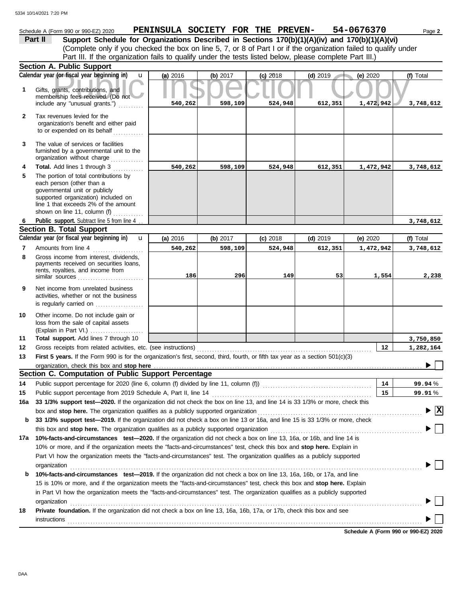### Schedule A (Form 990 or 990-EZ) 2020 **PENINSULA SOCIETY FOR THE PREVEN-** 54-0676370 Page 2 **Part II Support Schedule for Organizations Described in Sections 170(b)(1)(A)(iv) and 170(b)(1)(A)(vi)** (Complete only if you checked the box on line 5, 7, or 8 of Part I or if the organization failed to qualify under Part III. If the organization fails to qualify under the tests listed below, please complete Part III.) **Section A. Public Support** r (or fiscal year beginning in) **u** (a) 2016 (b) 2017 (c) 2018 (d) 2019 (e) 2020 (t)<br>grants, contributions, and<br>ership fees received. (Do not beginning in) 540, 262 598, 109 524, 948 612, 351 1, 472, 942 **Calendar year (or fiscal year beginning in) (f)** Total u **(a)** 2016 **(b)** 2017 **(c)** 2018 **(d)** 2019 **(e)** 2020 Gifts, grants, contributions, and **1** membership fees received. (Do not include any "unusual grants.") .......... **540,262 598,109 524,948 612,351 1,472,942 3,748,612 2** Tax revenues levied for the organization's benefit and either paid to or expended on its behalf ............ **3** The value of services or facilities furnished by a governmental unit to the organization without charge .............. **Total.** Add lines 1 through 3 ............ **4 540,262 598,109 524,948 612,351 1,472,942 3,748,612 5** The portion of total contributions by each person (other than a governmental unit or publicly supported organization) included on line 1 that exceeds 2% of the amount shown on line 11, column (f)  $\ldots$ Public support. Subtract line 5 from line 4. **3,748,612 6 Section B. Total Support Calendar year (or fiscal year beginning in) (f)** Total **(a)** 2016 u **(b)** 2017 **(c)** 2018 **(d)** 2019 **(e)** 2020 Amounts from line 4 ..................... **7 540,262 598,109 524,948 612,351 1,472,942 3,748,612 8** Gross income from interest, dividends, payments received on securities loans, rents, royalties, and income from similar sources . . . . . . . . . . . . . . . . . . . . . . . . . . **186 296 149 53 1,554 2,238** Net income from unrelated business **9** activities, whether or not the business is regularly carried on  $\dots\dots\dots\dots\dots$ **10** Other income. Do not include gain or loss from the sale of capital assets (Explain in Part VI.) . . . . . . . . . . . . . . . . . . . . . **11 Total support.** Add lines 7 through 10 **3,750,850 12 12 1,282,164** Gross receipts from related activities, etc. (see instructions) . . . . . . . . . . . . . . . . . . . . . . . . . . . . . . . . . . . . . . . . . . . . . . . . . . . . . . . . . . . . . . . . . . . . . **13** First 5 years. If the Form 990 is for the organization's first, second, third, fourth, or fifth tax year as a section 501(c)(3) organization, check this box and stop here ▶ **Section C. Computation of Public Support Percentage 14** % **99.94 14** Public support percentage for 2020 (line 6, column (f) divided by line 11, column (f))  $\ldots$ Public support percentage from 2019 Schedule A, Part II, line 14 . . . . . . . . . . . . . . . . . . . . . . . . . . . . . . . . . . . . . . . . . . . . . . . . . . . . . . . . . . . . . . . **15 15** % **99.91 16a 33 1/3% support test—2020.** If the organization did not check the box on line 13, and line 14 is 33 1/3% or more, check this box and **stop here.** The organization qualifies as a publicly supported organization . . . . . . . . . . . . . . . . . . . . . . . . . . . . . . . . . . . . . . . . . . . . . . . . . . . . . . . . . . . . . . . . . **X b 33 1/3% support test—2019.** If the organization did not check a box on line 13 or 16a, and line 15 is 33 1/3% or more, check this box and **stop here.** The organization qualifies as a publicly supported organization . . . . . . . . . . . . . . . . . . . . . . . . . . . . . . . . . . . . . . . . . . . . . . . . . . . . . . . . . . . .

**17a 10%-facts-and-circumstances test—2020.** If the organization did not check a box on line 13, 16a, or 16b, and line 14 is 10% or more, and if the organization meets the "facts-and-circumstances" test, check this box and **stop here.** Explain in Part VI how the organization meets the "facts-and-circumstances" test. The organization qualifies as a publicly supported **b 10%-facts-and-circumstances test—2019.** If the organization did not check a box on line 13, 16a, 16b, or 17a, and line in Part VI how the organization meets the "facts-and-circumstances" test. The organization qualifies as a publicly supported 15 is 10% or more, and if the organization meets the "facts-and-circumstances" test, check this box and **stop here.** Explain **18 Private foundation.** If the organization did not check a box on line 13, 16a, 16b, 17a, or 17b, check this box and see organization www.community.com/www.community.com/www.community.com/www.community.com/www.community.com/www.com organization . . . . . . . . . . . . . . . . . . . . . . . . . . . . . . . . . . . . . . . . . . . . . . . . . . . . . . . . . . . . . . . . . . . . . . . . . . . . . . . . . . . . . . . . . . . . . . . . . . . . . . . . . . . . . . . . . . . . . . . . . . . . . . . . . . . . . . . . . . . instructions . . . . . . . . . . . . . . . . . . . . . . . . . . . . . . . . . . . . . . . . . . . . . . . . . . . . . . . . . . . . . . . . . . . . . . . . . . . . . . . . . . . . . . . . . . . . . . . . . . . . . . . . . . . . . . . . . . . . . . . . . . . . . . . . . . . . . . . . . . . .

**Schedule A (Form 990 or 990-EZ) 2020**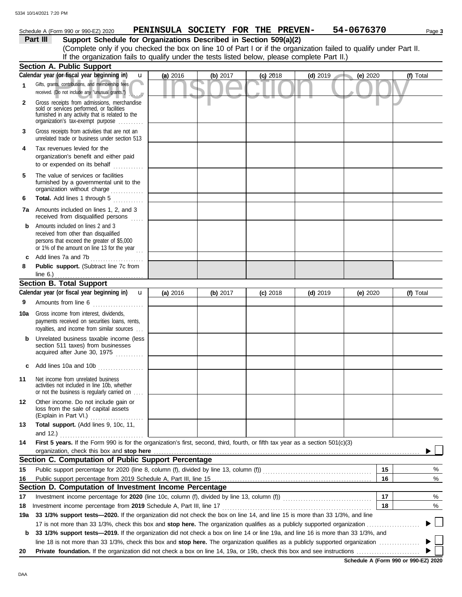# **Part III Support Schedule for Organizations Described in Section 509(a)(2)** Schedule A (Form 990 or 990-EZ) 2020 Page **3 PENINSULA SOCIETY FOR THE PREVEN- 54-0676370**

(Complete only if you checked the box on line 10 of Part I or if the organization failed to qualify under Part II. If the organization fails to qualify under the tests listed below, please complete Part II.)

| <b>Section A. Public Support</b> |                                                                                                                                                                                   |          |          |            |            |            |           |  |
|----------------------------------|-----------------------------------------------------------------------------------------------------------------------------------------------------------------------------------|----------|----------|------------|------------|------------|-----------|--|
|                                  | Calendar year (or fiscal year beginning in)<br>u                                                                                                                                  | (a) 2016 | (b) 2017 | $(c)$ 2018 | $(d)$ 2019 | (e) 2020   | (f) Total |  |
| $\mathbf{1}$                     | Gifts, grants, contributions, and membership fees<br>received. (Do not include any "unusual grants.")                                                                             |          |          |            |            |            |           |  |
| $\mathbf{2}$                     | Gross receipts from admissions, merchandise<br>sold or services performed, or facilities<br>furnished in any activity that is related to the<br>organization's tax-exempt purpose |          |          |            |            |            |           |  |
| 3                                | Gross receipts from activities that are not an<br>unrelated trade or business under section 513                                                                                   |          |          |            |            |            |           |  |
| 4                                | Tax revenues levied for the<br>organization's benefit and either paid<br>to or expended on its behalf<br>. <b>.</b> .                                                             |          |          |            |            |            |           |  |
| 5                                | The value of services or facilities<br>furnished by a governmental unit to the<br>organization without charge                                                                     |          |          |            |            |            |           |  |
| 6                                | Total. Add lines 1 through 5                                                                                                                                                      |          |          |            |            |            |           |  |
| 7а                               | Amounts included on lines 1, 2, and 3<br>received from disqualified persons                                                                                                       |          |          |            |            |            |           |  |
| b                                | Amounts included on lines 2 and 3<br>received from other than disqualified<br>persons that exceed the greater of \$5,000<br>or 1% of the amount on line 13 for the year           |          |          |            |            |            |           |  |
| c                                | Add lines 7a and 7b                                                                                                                                                               |          |          |            |            |            |           |  |
| 8                                | Public support. (Subtract line 7c from                                                                                                                                            |          |          |            |            |            |           |  |
|                                  | line 6.) $\ldots$<br><u>.</u><br>Section B. Total Support                                                                                                                         |          |          |            |            |            |           |  |
|                                  | Calendar year (or fiscal year beginning in)<br>$\mathbf{u}$                                                                                                                       | (a) 2016 | (b) 2017 |            |            |            | (f) Total |  |
|                                  |                                                                                                                                                                                   |          |          | $(c)$ 2018 | (d) $2019$ | (e) $2020$ |           |  |
| 9                                | Amounts from line 6                                                                                                                                                               |          |          |            |            |            |           |  |
| 10a                              | Gross income from interest, dividends,<br>payments received on securities loans, rents,<br>royalties, and income from similar sources                                             |          |          |            |            |            |           |  |
| b                                | Unrelated business taxable income (less<br>section 511 taxes) from businesses<br>acquired after June 30, 1975                                                                     |          |          |            |            |            |           |  |
| c                                | Add lines 10a and 10b                                                                                                                                                             |          |          |            |            |            |           |  |
| 11                               | Net income from unrelated business<br>activities not included in line 10b, whether<br>or not the business is regularly carried on                                                 |          |          |            |            |            |           |  |
| 12                               | Other income. Do not include gain or<br>loss from the sale of capital assets<br>(Explain in Part VI.)                                                                             |          |          |            |            |            |           |  |
| 13                               | Total support. (Add lines 9, 10c, 11,                                                                                                                                             |          |          |            |            |            |           |  |
|                                  | and 12.)                                                                                                                                                                          |          |          |            |            |            |           |  |
| 14                               | First 5 years. If the Form 990 is for the organization's first, second, third, fourth, or fifth tax year as a section 501(c)(3)                                                   |          |          |            |            |            |           |  |
|                                  | organization, check this box and stop here<br>Section C. Computation of Public Support Percentage                                                                                 |          |          |            |            |            |           |  |
|                                  |                                                                                                                                                                                   |          |          |            |            | 15         | %         |  |
| 15                               |                                                                                                                                                                                   |          |          |            |            | 16         | %         |  |
| 16                               | Section D. Computation of Investment Income Percentage                                                                                                                            |          |          |            |            |            |           |  |
|                                  |                                                                                                                                                                                   |          |          |            |            | 17         | %         |  |
| 17<br>18                         | Investment income percentage from 2019 Schedule A, Part III, line 17                                                                                                              |          |          |            |            | 18         | %         |  |
| 19a                              | 33 1/3% support tests-2020. If the organization did not check the box on line 14, and line 15 is more than 33 1/3%, and line                                                      |          |          |            |            |            |           |  |
|                                  |                                                                                                                                                                                   |          |          |            |            |            |           |  |
| b                                | 33 1/3% support tests-2019. If the organization did not check a box on line 14 or line 19a, and line 16 is more than 33 1/3%, and                                                 |          |          |            |            |            |           |  |
|                                  | line 18 is not more than 33 1/3%, check this box and stop here. The organization qualifies as a publicly supported organization                                                   |          |          |            |            |            |           |  |
| 20                               |                                                                                                                                                                                   |          |          |            |            |            |           |  |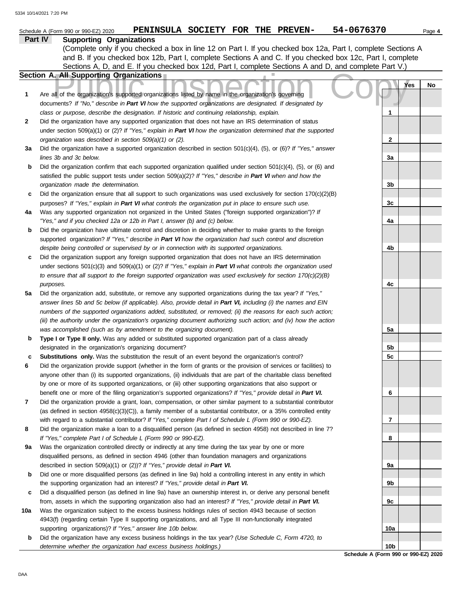|              | 54-0676370<br>PENINSULA SOCIETY FOR THE PREVEN-<br>Schedule A (Form 990 or 990-EZ) 2020                                                                                                                               |                 |     | Page 4 |
|--------------|-----------------------------------------------------------------------------------------------------------------------------------------------------------------------------------------------------------------------|-----------------|-----|--------|
|              | Part IV<br><b>Supporting Organizations</b>                                                                                                                                                                            |                 |     |        |
|              | (Complete only if you checked a box in line 12 on Part I. If you checked box 12a, Part I, complete Sections A                                                                                                         |                 |     |        |
|              | and B. If you checked box 12b, Part I, complete Sections A and C. If you checked box 12c, Part I, complete                                                                                                            |                 |     |        |
|              | Sections A, D, and E. If you checked box 12d, Part I, complete Sections A and D, and complete Part V.)                                                                                                                |                 |     |        |
|              | <b>Section A. All Supporting Organizations</b>                                                                                                                                                                        |                 |     |        |
|              |                                                                                                                                                                                                                       |                 | Yes | No     |
| 1            | Are all of the organization's supported organizations listed by name in the organization's governing                                                                                                                  |                 |     |        |
|              | documents? If "No," describe in Part VI how the supported organizations are designated. If designated by                                                                                                              |                 |     |        |
|              | class or purpose, describe the designation. If historic and continuing relationship, explain.                                                                                                                         | 1               |     |        |
| $\mathbf{2}$ | Did the organization have any supported organization that does not have an IRS determination of status                                                                                                                |                 |     |        |
|              | under section 509(a)(1) or (2)? If "Yes," explain in Part VI how the organization determined that the supported                                                                                                       |                 |     |        |
| За           | organization was described in section 509(a)(1) or (2).<br>Did the organization have a supported organization described in section $501(c)(4)$ , (5), or (6)? If "Yes," answer                                        | $\mathbf{2}$    |     |        |
|              | lines 3b and 3c below.                                                                                                                                                                                                | 3a              |     |        |
| b            | Did the organization confirm that each supported organization qualified under section $501(c)(4)$ , $(5)$ , or $(6)$ and                                                                                              |                 |     |        |
|              | satisfied the public support tests under section 509(a)(2)? If "Yes," describe in Part VI when and how the                                                                                                            |                 |     |        |
|              | organization made the determination.                                                                                                                                                                                  | 3 <sub>b</sub>  |     |        |
| c            | Did the organization ensure that all support to such organizations was used exclusively for section $170(c)(2)(B)$                                                                                                    |                 |     |        |
|              | purposes? If "Yes," explain in Part VI what controls the organization put in place to ensure such use.                                                                                                                | 3c              |     |        |
| 4a           | Was any supported organization not organized in the United States ("foreign supported organization")? If                                                                                                              |                 |     |        |
|              | "Yes," and if you checked 12a or 12b in Part I, answer (b) and (c) below.                                                                                                                                             | 4a              |     |        |
| b            | Did the organization have ultimate control and discretion in deciding whether to make grants to the foreign                                                                                                           |                 |     |        |
|              | supported organization? If "Yes," describe in Part VI how the organization had such control and discretion                                                                                                            |                 |     |        |
|              | despite being controlled or supervised by or in connection with its supported organizations.                                                                                                                          | 4b              |     |        |
| c            | Did the organization support any foreign supported organization that does not have an IRS determination                                                                                                               |                 |     |        |
|              | under sections $501(c)(3)$ and $509(a)(1)$ or (2)? If "Yes," explain in Part VI what controls the organization used                                                                                                   |                 |     |        |
|              | to ensure that all support to the foreign supported organization was used exclusively for section $170(c)(2)(B)$                                                                                                      |                 |     |        |
|              | purposes.                                                                                                                                                                                                             | 4c              |     |        |
| 5a           | Did the organization add, substitute, or remove any supported organizations during the tax year? If "Yes,"                                                                                                            |                 |     |        |
|              | answer lines 5b and 5c below (if applicable). Also, provide detail in Part VI, including (i) the names and EIN                                                                                                        |                 |     |        |
|              | numbers of the supported organizations added, substituted, or removed; (ii) the reasons for each such action;                                                                                                         |                 |     |        |
|              | (iii) the authority under the organization's organizing document authorizing such action; and (iv) how the action                                                                                                     |                 |     |        |
| b            | was accomplished (such as by amendment to the organizing document).<br>Type I or Type II only. Was any added or substituted supported organization part of a class already                                            | 5а              |     |        |
|              | designated in the organization's organizing document?                                                                                                                                                                 | 5b              |     |        |
| c            | Substitutions only. Was the substitution the result of an event beyond the organization's control?                                                                                                                    | 5c              |     |        |
| 6            | Did the organization provide support (whether in the form of grants or the provision of services or facilities) to                                                                                                    |                 |     |        |
|              | anyone other than (i) its supported organizations, (ii) individuals that are part of the charitable class benefited                                                                                                   |                 |     |        |
|              | by one or more of its supported organizations, or (iii) other supporting organizations that also support or                                                                                                           |                 |     |        |
|              | benefit one or more of the filing organization's supported organizations? If "Yes," provide detail in Part VI.                                                                                                        | 6               |     |        |
| 7            | Did the organization provide a grant, loan, compensation, or other similar payment to a substantial contributor                                                                                                       |                 |     |        |
|              | (as defined in section $4958(c)(3)(C)$ ), a family member of a substantial contributor, or a 35% controlled entity                                                                                                    |                 |     |        |
|              | with regard to a substantial contributor? If "Yes," complete Part I of Schedule L (Form 990 or 990-EZ).                                                                                                               | 7               |     |        |
| 8            | Did the organization make a loan to a disqualified person (as defined in section 4958) not described in line 7?                                                                                                       |                 |     |        |
|              | If "Yes," complete Part I of Schedule L (Form 990 or 990-EZ).                                                                                                                                                         | 8               |     |        |
| 9а           | Was the organization controlled directly or indirectly at any time during the tax year by one or more                                                                                                                 |                 |     |        |
|              | disqualified persons, as defined in section 4946 (other than foundation managers and organizations                                                                                                                    |                 |     |        |
|              | described in section 509(a)(1) or (2))? If "Yes," provide detail in Part VI.                                                                                                                                          | 9a              |     |        |
| b            | Did one or more disqualified persons (as defined in line 9a) hold a controlling interest in any entity in which                                                                                                       |                 |     |        |
|              | the supporting organization had an interest? If "Yes," provide detail in Part VI.                                                                                                                                     | 9b              |     |        |
| c            | Did a disqualified person (as defined in line 9a) have an ownership interest in, or derive any personal benefit                                                                                                       |                 |     |        |
| 10a          | from, assets in which the supporting organization also had an interest? If "Yes," provide detail in Part VI.<br>Was the organization subject to the excess business holdings rules of section 4943 because of section | 9c              |     |        |
|              | 4943(f) (regarding certain Type II supporting organizations, and all Type III non-functionally integrated                                                                                                             |                 |     |        |
|              | supporting organizations)? If "Yes," answer line 10b below.                                                                                                                                                           | 10a             |     |        |
| b            | Did the organization have any excess business holdings in the tax year? (Use Schedule C, Form 4720, to                                                                                                                |                 |     |        |
|              | determine whether the organization had excess business holdings.)                                                                                                                                                     | 10 <sub>b</sub> |     |        |

**Schedule A (Form 990 or 990-EZ) 2020**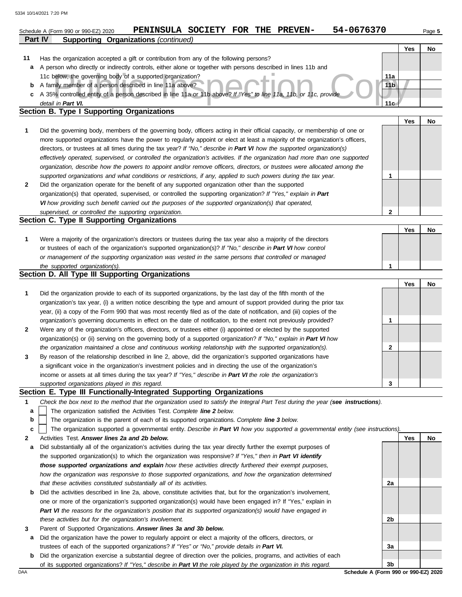|    | 54-0676370<br>PENINSULA SOCIETY FOR<br>THE<br><b>PREVEN-</b><br>Schedule A (Form 990 or 990-EZ) 2020                                                                                                                                    |                 |     | Page 5 |
|----|-----------------------------------------------------------------------------------------------------------------------------------------------------------------------------------------------------------------------------------------|-----------------|-----|--------|
|    | Part IV<br><b>Supporting Organizations (continued)</b>                                                                                                                                                                                  |                 |     |        |
| 11 | Has the organization accepted a gift or contribution from any of the following persons?                                                                                                                                                 |                 | Yes | No     |
| a  | A person who directly or indirectly controls, either alone or together with persons described in lines 11b and                                                                                                                          |                 |     |        |
|    | 11c below, the governing body of a supported organization?                                                                                                                                                                              | 11a             |     |        |
| b  | A family member of a person described in line 11a above?                                                                                                                                                                                | 11 <sub>b</sub> |     |        |
| c  | A 35% controlled entity of a person described in line 11a or 11b above? If "Yes" to line 11a, 11b, or 11c, provide                                                                                                                      |                 |     |        |
|    | detail in Part VI.                                                                                                                                                                                                                      | 11c             |     |        |
|    | Section B. Type I Supporting Organizations                                                                                                                                                                                              |                 | Yes | No     |
| 1  | Did the governing body, members of the governing body, officers acting in their official capacity, or membership of one or                                                                                                              |                 |     |        |
|    | more supported organizations have the power to regularly appoint or elect at least a majority of the organization's officers,                                                                                                           |                 |     |        |
|    | directors, or trustees at all times during the tax year? If "No," describe in Part VI how the supported organization(s)                                                                                                                 |                 |     |        |
|    | effectively operated, supervised, or controlled the organization's activities. If the organization had more than one supported                                                                                                          |                 |     |        |
|    | organization, describe how the powers to appoint and/or remove officers, directors, or trustees were allocated among the                                                                                                                |                 |     |        |
|    | supported organizations and what conditions or restrictions, if any, applied to such powers during the tax year.                                                                                                                        | 1               |     |        |
| 2  | Did the organization operate for the benefit of any supported organization other than the supported                                                                                                                                     |                 |     |        |
|    | organization(s) that operated, supervised, or controlled the supporting organization? If "Yes," explain in Part                                                                                                                         |                 |     |        |
|    | VI how providing such benefit carried out the purposes of the supported organization(s) that operated,                                                                                                                                  | $\mathbf{2}$    |     |        |
|    | supervised, or controlled the supporting organization.<br>Section C. Type II Supporting Organizations                                                                                                                                   |                 |     |        |
|    |                                                                                                                                                                                                                                         |                 | Yes | No     |
| 1  | Were a majority of the organization's directors or trustees during the tax year also a majority of the directors                                                                                                                        |                 |     |        |
|    | or trustees of each of the organization's supported organization(s)? If "No," describe in Part VI how control                                                                                                                           |                 |     |        |
|    | or management of the supporting organization was vested in the same persons that controlled or managed                                                                                                                                  |                 |     |        |
|    | the supported organization(s).                                                                                                                                                                                                          | 1               |     |        |
|    | Section D. All Type III Supporting Organizations                                                                                                                                                                                        |                 |     |        |
|    |                                                                                                                                                                                                                                         |                 | Yes | No     |
| 1  | Did the organization provide to each of its supported organizations, by the last day of the fifth month of the<br>organization's tax year, (i) a written notice describing the type and amount of support provided during the prior tax |                 |     |        |
|    | year, (ii) a copy of the Form 990 that was most recently filed as of the date of notification, and (iii) copies of the                                                                                                                  |                 |     |        |
|    | organization's governing documents in effect on the date of notification, to the extent not previously provided?                                                                                                                        | 1               |     |        |
| 2  | Were any of the organization's officers, directors, or trustees either (i) appointed or elected by the supported                                                                                                                        |                 |     |        |
|    | organization(s) or (ii) serving on the governing body of a supported organization? If "No," explain in Part VI how                                                                                                                      |                 |     |        |
|    | the organization maintained a close and continuous working relationship with the supported organization(s).                                                                                                                             | 2               |     |        |
|    | By reason of the relationship described in line 2, above, did the organization's supported organizations have                                                                                                                           |                 |     |        |
|    | a significant voice in the organization's investment policies and in directing the use of the organization's                                                                                                                            |                 |     |        |
|    | income or assets at all times during the tax year? If "Yes," describe in Part VI the role the organization's                                                                                                                            |                 |     |        |
|    | supported organizations played in this regard.<br>Section E. Type III Functionally-Integrated Supporting Organizations                                                                                                                  | 3               |     |        |
| 1  | Check the box next to the method that the organization used to satisfy the Integral Part Test during the year (see instructions).                                                                                                       |                 |     |        |
| a  | The organization satisfied the Activities Test. Complete line 2 below.                                                                                                                                                                  |                 |     |        |
| b  | The organization is the parent of each of its supported organizations. Complete line 3 below.                                                                                                                                           |                 |     |        |
| c  | The organization supported a governmental entity. Describe in Part VI how you supported a governmental entity (see instructions).                                                                                                       |                 |     |        |
| 2  | Activities Test. Answer lines 2a and 2b below.                                                                                                                                                                                          |                 | Yes | No     |
| а  | Did substantially all of the organization's activities during the tax year directly further the exempt purposes of                                                                                                                      |                 |     |        |
|    | the supported organization(s) to which the organization was responsive? If "Yes," then in Part VI identify                                                                                                                              |                 |     |        |
|    | those supported organizations and explain how these activities directly furthered their exempt purposes,                                                                                                                                |                 |     |        |
|    | how the organization was responsive to those supported organizations, and how the organization determined                                                                                                                               |                 |     |        |
| b  | that these activities constituted substantially all of its activities.<br>Did the activities described in line 2a, above, constitute activities that, but for the organization's involvement,                                           | 2a              |     |        |
|    | one or more of the organization's supported organization(s) would have been engaged in? If "Yes," explain in                                                                                                                            |                 |     |        |
|    | Part VI the reasons for the organization's position that its supported organization(s) would have engaged in                                                                                                                            |                 |     |        |
|    | these activities but for the organization's involvement.                                                                                                                                                                                | 2b              |     |        |
| 3  | Parent of Supported Organizations. Answer lines 3a and 3b below.                                                                                                                                                                        |                 |     |        |
| а  | Did the organization have the power to regularly appoint or elect a majority of the officers, directors, or                                                                                                                             |                 |     |        |
|    | trustees of each of the supported organizations? If "Yes" or "No," provide details in Part VI.                                                                                                                                          | 3a              |     |        |

**b** Did the organization exercise a substantial degree of direction over the policies, programs, and activities of each

of its supported organizations? *If "Yes," describe in Part VI the role played by the organization in this regard.*

DAA **Schedule A (Form 990 or 990-EZ) 2020 3b**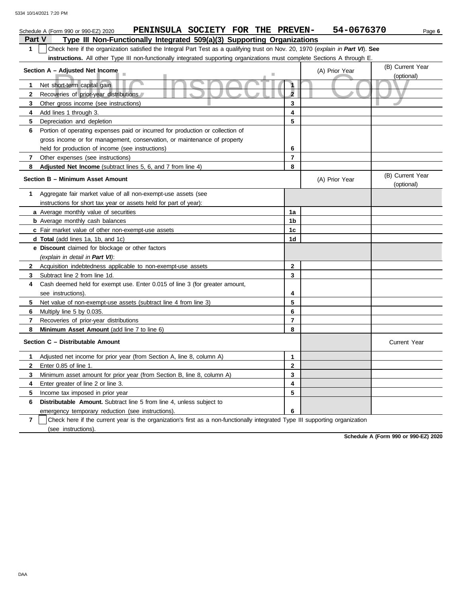|                | PENINSULA SOCIETY FOR THE PREVEN-<br>Schedule A (Form 990 or 990-EZ) 2020                                                        |                | 54-0676370     | Page 6                         |
|----------------|----------------------------------------------------------------------------------------------------------------------------------|----------------|----------------|--------------------------------|
| Part V         | Type III Non-Functionally Integrated 509(a)(3) Supporting Organizations                                                          |                |                |                                |
| 1              | Check here if the organization satisfied the Integral Part Test as a qualifying trust on Nov. 20, 1970 (explain in Part VI). See |                |                |                                |
|                | instructions. All other Type III non-functionally integrated supporting organizations must complete Sections A through E.        |                |                |                                |
|                | Section A - Adjusted Net Income                                                                                                  |                | (A) Prior Year | (B) Current Year               |
|                |                                                                                                                                  |                |                | (optional)                     |
| $\mathbf 1$    | Net short-term capital gain                                                                                                      | 1              |                |                                |
| $\mathbf{2}$   | Recoveries of prior-year distributions                                                                                           | $\overline{2}$ |                |                                |
| 3              | Other gross income (see instructions)                                                                                            | 3              |                |                                |
| 4              | Add lines 1 through 3.                                                                                                           | 4              |                |                                |
| 5              | Depreciation and depletion                                                                                                       | 5              |                |                                |
| 6              | Portion of operating expenses paid or incurred for production or collection of                                                   |                |                |                                |
|                | gross income or for management, conservation, or maintenance of property                                                         |                |                |                                |
|                | held for production of income (see instructions)                                                                                 | 6              |                |                                |
| $\overline{7}$ | Other expenses (see instructions)                                                                                                | 7              |                |                                |
| 8              | Adjusted Net Income (subtract lines 5, 6, and 7 from line 4)                                                                     | 8              |                |                                |
|                | Section B - Minimum Asset Amount                                                                                                 |                | (A) Prior Year | (B) Current Year<br>(optional) |
| $\mathbf{1}$   | Aggregate fair market value of all non-exempt-use assets (see                                                                    |                |                |                                |
|                | instructions for short tax year or assets held for part of year):                                                                |                |                |                                |
|                | a Average monthly value of securities                                                                                            | 1a             |                |                                |
|                | <b>b</b> Average monthly cash balances                                                                                           | 1b             |                |                                |
|                | c Fair market value of other non-exempt-use assets                                                                               | 1c             |                |                                |
|                | <b>d Total</b> (add lines 1a, 1b, and 1c)                                                                                        | 1d             |                |                                |
|                | e Discount claimed for blockage or other factors                                                                                 |                |                |                                |
|                | (explain in detail in Part VI):                                                                                                  |                |                |                                |
|                | 2 Acquisition indebtedness applicable to non-exempt-use assets                                                                   | $\overline{2}$ |                |                                |
| 3              | Subtract line 2 from line 1d.                                                                                                    | 3              |                |                                |
| 4              | Cash deemed held for exempt use. Enter 0.015 of line 3 (for greater amount,                                                      |                |                |                                |
|                | see instructions)                                                                                                                | 4              |                |                                |
| 5              | Net value of non-exempt-use assets (subtract line 4 from line 3)                                                                 | 5              |                |                                |
| 6              | Multiply line 5 by 0.035.                                                                                                        | 6              |                |                                |
| $\overline{7}$ | Recoveries of prior-year distributions                                                                                           | $\overline{7}$ |                |                                |
| 8              | Minimum Asset Amount (add line 7 to line 6)                                                                                      | 8              |                |                                |
|                | Section C - Distributable Amount                                                                                                 |                |                | <b>Current Year</b>            |
| 1.             | Adjusted net income for prior year (from Section A, line 8, column A)                                                            | $\mathbf{1}$   |                |                                |
| $\overline{2}$ | Enter 0.85 of line 1.                                                                                                            | $\mathbf{2}$   |                |                                |
| 3              | Minimum asset amount for prior year (from Section B, line 8, column A)                                                           | 3              |                |                                |
| 4              | Enter greater of line 2 or line 3.                                                                                               | 4              |                |                                |
| 5              | Income tax imposed in prior year                                                                                                 | 5              |                |                                |
| 6              | <b>Distributable Amount.</b> Subtract line 5 from line 4, unless subject to                                                      |                |                |                                |
|                | emergency temporary reduction (see instructions).                                                                                | 6              |                |                                |

**7** (see instructions). Check here if the current year is the organization's first as a non-functionally integrated Type III supporting organization

**Schedule A (Form 990 or 990-EZ) 2020**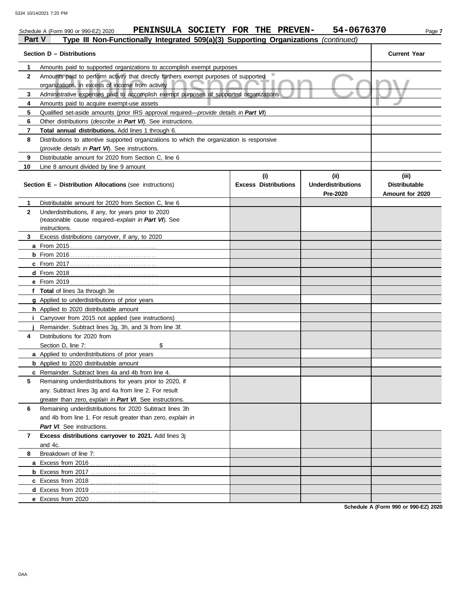|              | PENINSULA SOCIETY FOR THE PREVEN-<br>Schedule A (Form 990 or 990-EZ) 2020                                                                |                             | 54-0676370                | Page 7               |
|--------------|------------------------------------------------------------------------------------------------------------------------------------------|-----------------------------|---------------------------|----------------------|
| Part V       | Type III Non-Functionally Integrated 509(a)(3) Supporting Organizations (continued)                                                      |                             |                           |                      |
|              | Section D - Distributions                                                                                                                |                             |                           | <b>Current Year</b>  |
| 1            | Amounts paid to supported organizations to accomplish exempt purposes                                                                    |                             |                           |                      |
| $\mathbf{2}$ | Amounts paid to perform activity that directly furthers exempt purposes of supported<br>organizations, in excess of income from activity |                             |                           |                      |
| 3            | Administrative expenses paid to accomplish exempt purposes of supported organizations                                                    |                             |                           |                      |
| 4            | Amounts paid to acquire exempt-use assets                                                                                                |                             |                           |                      |
| 5            | Qualified set-aside amounts (prior IRS approval required—provide details in Part VI)                                                     |                             |                           |                      |
| 6            | Other distributions (describe in Part VI). See instructions.                                                                             |                             |                           |                      |
| 7            | Total annual distributions. Add lines 1 through 6.                                                                                       |                             |                           |                      |
| 8            | Distributions to attentive supported organizations to which the organization is responsive                                               |                             |                           |                      |
|              | (provide details in Part VI). See instructions.                                                                                          |                             |                           |                      |
| 9            | Distributable amount for 2020 from Section C, line 6                                                                                     |                             |                           |                      |
| 10           | Line 8 amount divided by line 9 amount                                                                                                   |                             |                           |                      |
|              |                                                                                                                                          | (i)                         | (ii)                      | (iii)                |
|              | <b>Section E - Distribution Allocations (see instructions)</b>                                                                           | <b>Excess Distributions</b> | <b>Underdistributions</b> | <b>Distributable</b> |
|              |                                                                                                                                          |                             | Pre-2020                  | Amount for 2020      |
| 1            | Distributable amount for 2020 from Section C, line 6                                                                                     |                             |                           |                      |
| $\mathbf{2}$ | Underdistributions, if any, for years prior to 2020<br>(reasonable cause required-explain in Part VI). See<br>instructions.              |                             |                           |                      |
| 3            | Excess distributions carryover, if any, to 2020                                                                                          |                             |                           |                      |
|              |                                                                                                                                          |                             |                           |                      |
|              |                                                                                                                                          |                             |                           |                      |
|              |                                                                                                                                          |                             |                           |                      |
|              |                                                                                                                                          |                             |                           |                      |
|              |                                                                                                                                          |                             |                           |                      |
|              | f Total of lines 3a through 3e                                                                                                           |                             |                           |                      |
|              | g Applied to underdistributions of prior years                                                                                           |                             |                           |                      |
|              | h Applied to 2020 distributable amount                                                                                                   |                             |                           |                      |
|              | Carryover from 2015 not applied (see instructions)                                                                                       |                             |                           |                      |
|              | Remainder. Subtract lines 3g, 3h, and 3i from line 3f.                                                                                   |                             |                           |                      |
| 4            | Distributions for 2020 from                                                                                                              |                             |                           |                      |
|              | Section D. line 7:<br>\$                                                                                                                 |                             |                           |                      |
|              | a Applied to underdistributions of prior years                                                                                           |                             |                           |                      |
|              | <b>b</b> Applied to 2020 distributable amount                                                                                            |                             |                           |                      |
|              | c Remainder. Subtract lines 4a and 4b from line 4.                                                                                       |                             |                           |                      |
| 5            | Remaining underdistributions for years prior to 2020, if                                                                                 |                             |                           |                      |
|              | any. Subtract lines 3g and 4a from line 2. For result                                                                                    |                             |                           |                      |
|              | greater than zero, explain in Part VI. See instructions.                                                                                 |                             |                           |                      |
| 6            | Remaining underdistributions for 2020 Subtract lines 3h                                                                                  |                             |                           |                      |
|              | and 4b from line 1. For result greater than zero, explain in                                                                             |                             |                           |                      |
|              | Part VI. See instructions.                                                                                                               |                             |                           |                      |
| 7            | Excess distributions carryover to 2021. Add lines 3j                                                                                     |                             |                           |                      |
|              | and 4c.                                                                                                                                  |                             |                           |                      |
| 8            | Breakdown of line 7:                                                                                                                     |                             |                           |                      |
|              |                                                                                                                                          |                             |                           |                      |
|              |                                                                                                                                          |                             |                           |                      |
|              |                                                                                                                                          |                             |                           |                      |

**Schedule A (Form 990 or 990-EZ) 2020**

**d** Excess from 2019 . . . . . . . . . . . . . . . . . . . . . . . . . . . **e** Excess from 2020 . . . . . . . . . . . . . . . . . . . . . . . . . . .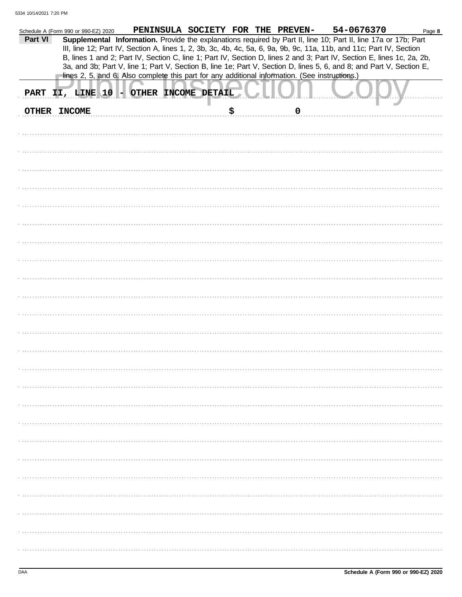|             | Schedule A (Form 990 or 990-EZ) 2020 |                                                                                                | PENINSULA SOCIETY FOR THE PREVEN- |             | 54-0676370                                                                                                             | Page 8 |
|-------------|--------------------------------------|------------------------------------------------------------------------------------------------|-----------------------------------|-------------|------------------------------------------------------------------------------------------------------------------------|--------|
| Part VI     |                                      |                                                                                                |                                   |             | Supplemental Information. Provide the explanations required by Part II, line 10; Part II, line 17a or 17b; Part        |        |
|             |                                      |                                                                                                |                                   |             | III, line 12; Part IV, Section A, lines 1, 2, 3b, 3c, 4b, 4c, 5a, 6, 9a, 9b, 9c, 11a, 11b, and 11c; Part IV, Section   |        |
|             |                                      |                                                                                                |                                   |             | B, lines 1 and 2; Part IV, Section C, line 1; Part IV, Section D, lines 2 and 3; Part IV, Section E, lines 1c, 2a, 2b, |        |
|             |                                      |                                                                                                |                                   |             | 3a, and 3b; Part V, line 1; Part V, Section B, line 1e; Part V, Section D, lines 5, 6, and 8; and Part V, Section E,   |        |
|             |                                      | lines 2, 5, and 6. Also complete this part for any additional information. (See instructions.) |                                   |             |                                                                                                                        |        |
|             |                                      |                                                                                                |                                   |             |                                                                                                                        |        |
| <b>PART</b> |                                      | II, LINE 10 - OTHER INCOME DETAIL                                                              |                                   |             |                                                                                                                        |        |
|             |                                      |                                                                                                |                                   |             |                                                                                                                        |        |
|             | <b>OTHER INCOME</b>                  |                                                                                                |                                   | $\mathbf 0$ |                                                                                                                        |        |
|             |                                      |                                                                                                |                                   |             |                                                                                                                        |        |
|             |                                      |                                                                                                |                                   |             |                                                                                                                        |        |
|             |                                      |                                                                                                |                                   |             |                                                                                                                        |        |
|             |                                      |                                                                                                |                                   |             |                                                                                                                        |        |
|             |                                      |                                                                                                |                                   |             |                                                                                                                        |        |
|             |                                      |                                                                                                |                                   |             |                                                                                                                        |        |
|             |                                      |                                                                                                |                                   |             |                                                                                                                        |        |
|             |                                      |                                                                                                |                                   |             |                                                                                                                        |        |
|             |                                      |                                                                                                |                                   |             |                                                                                                                        |        |
|             |                                      |                                                                                                |                                   |             |                                                                                                                        |        |
|             |                                      |                                                                                                |                                   |             |                                                                                                                        |        |
|             |                                      |                                                                                                |                                   |             |                                                                                                                        |        |
|             |                                      |                                                                                                |                                   |             |                                                                                                                        |        |
|             |                                      |                                                                                                |                                   |             |                                                                                                                        |        |
|             |                                      |                                                                                                |                                   |             |                                                                                                                        |        |
|             |                                      |                                                                                                |                                   |             |                                                                                                                        |        |
|             |                                      |                                                                                                |                                   |             |                                                                                                                        |        |
|             |                                      |                                                                                                |                                   |             |                                                                                                                        |        |
|             |                                      |                                                                                                |                                   |             |                                                                                                                        |        |
|             |                                      |                                                                                                |                                   |             |                                                                                                                        |        |
|             |                                      |                                                                                                |                                   |             |                                                                                                                        |        |
|             |                                      |                                                                                                |                                   |             |                                                                                                                        |        |
|             |                                      |                                                                                                |                                   |             |                                                                                                                        |        |
|             |                                      |                                                                                                |                                   |             |                                                                                                                        |        |
|             |                                      |                                                                                                |                                   |             |                                                                                                                        |        |
|             |                                      |                                                                                                |                                   |             |                                                                                                                        |        |
|             |                                      |                                                                                                |                                   |             |                                                                                                                        |        |
|             |                                      |                                                                                                |                                   |             |                                                                                                                        |        |
|             |                                      |                                                                                                |                                   |             |                                                                                                                        |        |
|             |                                      |                                                                                                |                                   |             |                                                                                                                        |        |
|             |                                      |                                                                                                |                                   |             |                                                                                                                        |        |
|             |                                      |                                                                                                |                                   |             |                                                                                                                        |        |
|             |                                      |                                                                                                |                                   |             |                                                                                                                        |        |
|             |                                      |                                                                                                |                                   |             |                                                                                                                        |        |
|             |                                      |                                                                                                |                                   |             |                                                                                                                        |        |
|             |                                      |                                                                                                |                                   |             |                                                                                                                        |        |
|             |                                      |                                                                                                |                                   |             |                                                                                                                        |        |
|             |                                      |                                                                                                |                                   |             |                                                                                                                        |        |
|             |                                      |                                                                                                |                                   |             |                                                                                                                        |        |
|             |                                      |                                                                                                |                                   |             |                                                                                                                        |        |
|             |                                      |                                                                                                |                                   |             |                                                                                                                        |        |
|             |                                      |                                                                                                |                                   |             |                                                                                                                        |        |
|             |                                      |                                                                                                |                                   |             |                                                                                                                        |        |
|             |                                      |                                                                                                |                                   |             |                                                                                                                        |        |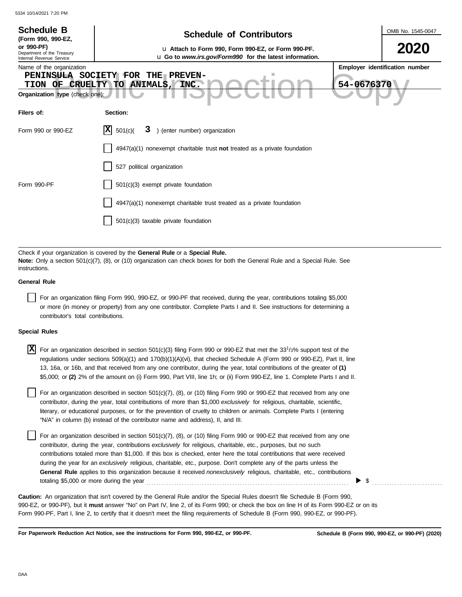| <b>Schedule B</b><br>(Form 990, 990-EZ,                                                 | <b>Schedule of Contributors</b>                                                                                                                      |            | OMB No. 1545-0047              |
|-----------------------------------------------------------------------------------------|------------------------------------------------------------------------------------------------------------------------------------------------------|------------|--------------------------------|
| or 990-PF)<br>Department of the Treasury<br>Internal Revenue Service                    | u Attach to Form 990, Form 990-EZ, or Form 990-PF.<br><b>u</b> Go to www.irs.gov/Form990 for the latest information.                                 |            | 2020                           |
| Name of the organization<br><b>CRUELTY</b><br>TION OF<br>Organization type (check one): | PENINSULA SOCIETY FOR THE PREVEN-<br>TO ANIMALS, INC.                                                                                                | 54-0676370 | Employer identification number |
| Filers of:                                                                              | Section:                                                                                                                                             |            |                                |
| Form 990 or 990-EZ                                                                      | X <br>3 ) (enter number) organization<br>501(c)                                                                                                      |            |                                |
|                                                                                         | $4947(a)(1)$ nonexempt charitable trust not treated as a private foundation<br>527 political organization                                            |            |                                |
| Form 990-PF                                                                             | 501(c)(3) exempt private foundation<br>4947(a)(1) nonexempt charitable trust treated as a private foundation<br>501(c)(3) taxable private foundation |            |                                |
|                                                                                         | Check if your organization is covered by the General Rule or a Special Rule.                                                                         |            |                                |

**Note:** Only a section 501(c)(7), (8), or (10) organization can check boxes for both the General Rule and a Special Rule. See instructions.

### **General Rule**

For an organization filing Form 990, 990-EZ, or 990-PF that received, during the year, contributions totaling \$5,000 or more (in money or property) from any one contributor. Complete Parts I and II. See instructions for determining a contributor's total contributions.

### **Special Rules**

| X For an organization described in section 501(c)(3) filing Form 990 or 990-EZ that met the 33 <sup>1</sup> /3% support test of the |
|-------------------------------------------------------------------------------------------------------------------------------------|
| regulations under sections 509(a)(1) and 170(b)(1)(A)(vi), that checked Schedule A (Form 990 or 990-EZ), Part II, line              |
| 13, 16a, or 16b, and that received from any one contributor, during the year, total contributions of the greater of (1)             |
| \$5,000; or (2) 2% of the amount on (i) Form 990, Part VIII, line 1h; or (ii) Form 990-EZ, line 1. Complete Parts I and II.         |

literary, or educational purposes, or for the prevention of cruelty to children or animals. Complete Parts I (entering For an organization described in section  $501(c)(7)$ , (8), or (10) filing Form 990 or 990-EZ that received from any one contributor, during the year, total contributions of more than \$1,000 *exclusively* for religious, charitable, scientific, "N/A" in column (b) instead of the contributor name and address), II, and III.

For an organization described in section 501(c)(7), (8), or (10) filing Form 990 or 990-EZ that received from any one contributor, during the year, contributions *exclusively* for religious, charitable, etc., purposes, but no such contributions totaled more than \$1,000. If this box is checked, enter here the total contributions that were received during the year for an *exclusively* religious, charitable, etc., purpose. Don't complete any of the parts unless the **General Rule** applies to this organization because it received *nonexclusively* religious, charitable, etc., contributions totaling \$5,000 or more during the year . . . . . . . . . . . . . . . . . . . . . . . . . . . . . . . . . . . . . . . . . . . . . . . . . . . . . . . . . . . . . . . . . . . . . . . . . . . . . . . .

990-EZ, or 990-PF), but it **must** answer "No" on Part IV, line 2, of its Form 990; or check the box on line H of its Form 990-EZ or on its Form 990-PF, Part I, line 2, to certify that it doesn't meet the filing requirements of Schedule B (Form 990, 990-EZ, or 990-PF). **Caution:** An organization that isn't covered by the General Rule and/or the Special Rules doesn't file Schedule B (Form 990,

**For Paperwork Reduction Act Notice, see the instructions for Form 990, 990-EZ, or 990-PF.**

Ī

 $\triangleright$  \$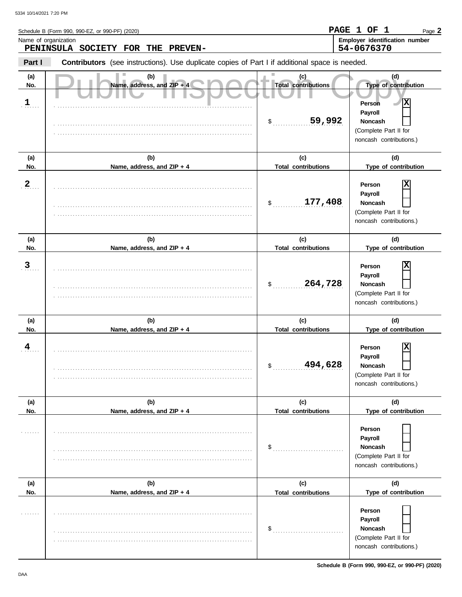|                              | Schedule B (Form 990, 990-EZ, or 990-PF) (2020)                                                       | <b>PAGE</b>                                                | 1 OF<br>1<br>Page 2                                                                                                          |
|------------------------------|-------------------------------------------------------------------------------------------------------|------------------------------------------------------------|------------------------------------------------------------------------------------------------------------------------------|
|                              | Name of organization                                                                                  |                                                            | Employer identification number                                                                                               |
|                              | PENINSULA SOCIETY FOR<br>THE<br><b>PREVEN-</b>                                                        |                                                            | 54-0676370                                                                                                                   |
| Part I                       | <b>Contributors</b> (see instructions). Use duplicate copies of Part I if additional space is needed. |                                                            |                                                                                                                              |
| (a)<br>No.<br>$\mathbf{1}$ . | (b)<br>Name, address, and ZIP + 4                                                                     | (c)<br><b>Total contributions</b><br>59,992<br>$\sim$      | (d)<br>Type of contribution<br> x<br><b>Person</b><br>Payroll<br>Noncash<br>(Complete Part II for<br>noncash contributions.) |
| (a)                          | (b)                                                                                                   | (c)                                                        | (d)                                                                                                                          |
| No.                          | Name, address, and ZIP + 4                                                                            | <b>Total contributions</b>                                 | Type of contribution                                                                                                         |
| $2_{1}$                      |                                                                                                       | 177,408<br>$\sim$                                          | х<br>Person<br>Payroll<br>Noncash<br>(Complete Part II for<br>noncash contributions.)                                        |
| (a)                          | (b)                                                                                                   | (c)                                                        | (d)                                                                                                                          |
| No.                          | Name, address, and ZIP + 4                                                                            | <b>Total contributions</b>                                 | Type of contribution                                                                                                         |
| $\mathbf{3}$                 |                                                                                                       | 264,728<br>\$                                              | х<br>Person<br>Payroll<br>Noncash<br>(Complete Part II for<br>noncash contributions.)                                        |
| (a)                          | (b)                                                                                                   | (c)                                                        | (d)                                                                                                                          |
| No.                          | Name, address, and ZIP + 4                                                                            | <b>Total contributions</b>                                 | Type of contribution                                                                                                         |
| $\frac{4}{3}$                |                                                                                                       | 494,628<br>\$                                              | X<br>Person<br>Payroll<br>Noncash<br>(Complete Part II for<br>noncash contributions.)                                        |
| (a)                          | (b)                                                                                                   | (c)                                                        | (d)                                                                                                                          |
| No.                          | Name, address, and ZIP + 4                                                                            | <b>Total contributions</b>                                 | Type of contribution                                                                                                         |
| .                            |                                                                                                       | $\$\ldots\ldots\ldots\ldots\ldots\ldots\ldots\ldots\ldots$ | Person<br>Payroll<br>Noncash<br>(Complete Part II for<br>noncash contributions.)                                             |
| (a)                          | (b)                                                                                                   | (c)                                                        | (d)                                                                                                                          |
| No.                          | Name, address, and ZIP + 4                                                                            | <b>Total contributions</b>                                 | Type of contribution                                                                                                         |
| 1.1.1.1                      |                                                                                                       | $\$\ldots\ldots\ldots\ldots\ldots\ldots\ldots\ldots\ldots$ | Person<br>Payroll<br>Noncash<br>(Complete Part II for<br>noncash contributions.)                                             |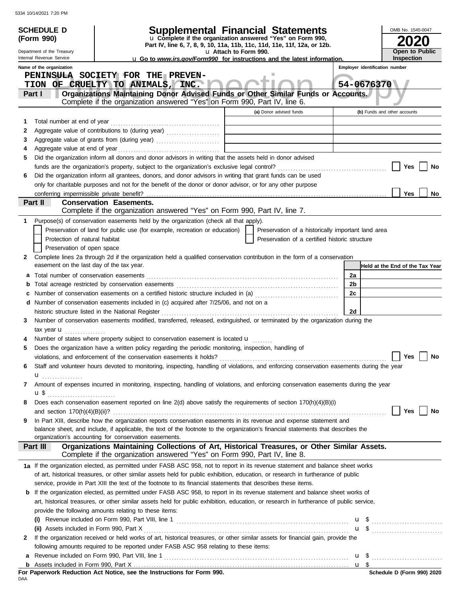|     | <b>Supplemental Financial Statements</b><br><b>SCHEDULE D</b><br>u Complete if the organization answered "Yes" on Form 990,<br>(Form 990)<br>Part IV, line 6, 7, 8, 9, 10, 11a, 11b, 11c, 11d, 11e, 11f, 12a, or 12b.<br>u Attach to Form 990.<br>Department of the Treasury<br>Internal Revenue Service |                                                                                                                                           |                                |                                 |  |
|-----|----------------------------------------------------------------------------------------------------------------------------------------------------------------------------------------------------------------------------------------------------------------------------------------------------------|-------------------------------------------------------------------------------------------------------------------------------------------|--------------------------------|---------------------------------|--|
|     |                                                                                                                                                                                                                                                                                                          | <b>u</b> Go to www.irs.gov/Form990 for instructions and the latest information.                                                           |                                | <b>Inspection</b>               |  |
|     | Name of the organization                                                                                                                                                                                                                                                                                 |                                                                                                                                           | Employer identification number |                                 |  |
|     |                                                                                                                                                                                                                                                                                                          | PENINSULA SOCIETY FOR THE PREVEN-<br>TION OF CRUELTY TO ANIMALS, INC.                                                                     | 54-0676370                     |                                 |  |
|     | Part I                                                                                                                                                                                                                                                                                                   | Organizations Maintaining Donor Advised Funds or Other Similar Funds or Accounts.                                                         |                                |                                 |  |
|     |                                                                                                                                                                                                                                                                                                          | Complete if the organization answered "Yes" on Form 990, Part IV, line 6.                                                                 |                                |                                 |  |
|     |                                                                                                                                                                                                                                                                                                          | (a) Donor advised funds                                                                                                                   |                                | (b) Funds and other accounts    |  |
| 1   |                                                                                                                                                                                                                                                                                                          |                                                                                                                                           |                                |                                 |  |
| 2   |                                                                                                                                                                                                                                                                                                          |                                                                                                                                           |                                |                                 |  |
| 3   |                                                                                                                                                                                                                                                                                                          | <u> 1989 - Johann Stein, fransk politik (</u>                                                                                             |                                |                                 |  |
| 4   |                                                                                                                                                                                                                                                                                                          |                                                                                                                                           |                                |                                 |  |
| 5   |                                                                                                                                                                                                                                                                                                          | Did the organization inform all donors and donor advisors in writing that the assets held in donor advised                                |                                |                                 |  |
|     |                                                                                                                                                                                                                                                                                                          |                                                                                                                                           |                                | Yes<br>No                       |  |
| 6   |                                                                                                                                                                                                                                                                                                          | Did the organization inform all grantees, donors, and donor advisors in writing that grant funds can be used                              |                                |                                 |  |
|     |                                                                                                                                                                                                                                                                                                          | only for charitable purposes and not for the benefit of the donor or donor advisor, or for any other purpose                              |                                |                                 |  |
|     |                                                                                                                                                                                                                                                                                                          |                                                                                                                                           |                                | Yes<br>No                       |  |
|     | Part II                                                                                                                                                                                                                                                                                                  | <b>Conservation Easements.</b>                                                                                                            |                                |                                 |  |
|     |                                                                                                                                                                                                                                                                                                          | Complete if the organization answered "Yes" on Form 990, Part IV, line 7.                                                                 |                                |                                 |  |
| 1   |                                                                                                                                                                                                                                                                                                          | Purpose(s) of conservation easements held by the organization (check all that apply).                                                     |                                |                                 |  |
|     |                                                                                                                                                                                                                                                                                                          | Preservation of land for public use (for example, recreation or education)<br>Preservation of a historically important land area          |                                |                                 |  |
|     | Protection of natural habitat                                                                                                                                                                                                                                                                            | Preservation of a certified historic structure                                                                                            |                                |                                 |  |
|     | Preservation of open space                                                                                                                                                                                                                                                                               |                                                                                                                                           |                                |                                 |  |
| 2   |                                                                                                                                                                                                                                                                                                          | Complete lines 2a through 2d if the organization held a qualified conservation contribution in the form of a conservation                 |                                |                                 |  |
|     | easement on the last day of the tax year.                                                                                                                                                                                                                                                                |                                                                                                                                           |                                | Held at the End of the Tax Year |  |
|     |                                                                                                                                                                                                                                                                                                          |                                                                                                                                           | 2a                             |                                 |  |
| b   |                                                                                                                                                                                                                                                                                                          |                                                                                                                                           | 2b                             |                                 |  |
| c   |                                                                                                                                                                                                                                                                                                          |                                                                                                                                           | 2c                             |                                 |  |
|     |                                                                                                                                                                                                                                                                                                          | d Number of conservation easements included in (c) acquired after 7/25/06, and not on a                                                   |                                |                                 |  |
|     |                                                                                                                                                                                                                                                                                                          | historic structure listed in the National Register [111] [12] Annald March 2014 [13] Annald Register [11] Anna                            | 2d                             |                                 |  |
| 3   |                                                                                                                                                                                                                                                                                                          | Number of conservation easements modified, transferred, released, extinguished, or terminated by the organization during the              |                                |                                 |  |
|     |                                                                                                                                                                                                                                                                                                          |                                                                                                                                           |                                |                                 |  |
|     | tax year $\mathbf{u}$                                                                                                                                                                                                                                                                                    | Number of states where property subject to conservation easement is located u                                                             |                                |                                 |  |
| 5   |                                                                                                                                                                                                                                                                                                          | Does the organization have a written policy regarding the periodic monitoring, inspection, handling of                                    |                                |                                 |  |
|     |                                                                                                                                                                                                                                                                                                          | violations, and enforcement of the conservation easements it holds?                                                                       |                                | Yes<br>No                       |  |
|     |                                                                                                                                                                                                                                                                                                          | Staff and volunteer hours devoted to monitoring, inspecting, handling of violations, and enforcing conservation easements during the year |                                |                                 |  |
| 6   |                                                                                                                                                                                                                                                                                                          |                                                                                                                                           |                                |                                 |  |
|     |                                                                                                                                                                                                                                                                                                          | Amount of expenses incurred in monitoring, inspecting, handling of violations, and enforcing conservation easements during the year       |                                |                                 |  |
| 7   |                                                                                                                                                                                                                                                                                                          |                                                                                                                                           |                                |                                 |  |
| 8   |                                                                                                                                                                                                                                                                                                          | Does each conservation easement reported on line 2(d) above satisfy the requirements of section 170(h)(4)(B)(i)                           |                                |                                 |  |
|     |                                                                                                                                                                                                                                                                                                          |                                                                                                                                           |                                | Yes    <br>No                   |  |
| 9   |                                                                                                                                                                                                                                                                                                          | In Part XIII, describe how the organization reports conservation easements in its revenue and expense statement and                       |                                |                                 |  |
|     |                                                                                                                                                                                                                                                                                                          | balance sheet, and include, if applicable, the text of the footnote to the organization's financial statements that describes the         |                                |                                 |  |
|     |                                                                                                                                                                                                                                                                                                          | organization's accounting for conservation easements.                                                                                     |                                |                                 |  |
|     | Part III                                                                                                                                                                                                                                                                                                 | Organizations Maintaining Collections of Art, Historical Treasures, or Other Similar Assets.                                              |                                |                                 |  |
|     |                                                                                                                                                                                                                                                                                                          | Complete if the organization answered "Yes" on Form 990, Part IV, line 8.                                                                 |                                |                                 |  |
|     |                                                                                                                                                                                                                                                                                                          | 1a If the organization elected, as permitted under FASB ASC 958, not to report in its revenue statement and balance sheet works           |                                |                                 |  |
|     |                                                                                                                                                                                                                                                                                                          | of art, historical treasures, or other similar assets held for public exhibition, education, or research in furtherance of public         |                                |                                 |  |
|     |                                                                                                                                                                                                                                                                                                          | service, provide in Part XIII the text of the footnote to its financial statements that describes these items.                            |                                |                                 |  |
| b   |                                                                                                                                                                                                                                                                                                          | If the organization elected, as permitted under FASB ASC 958, to report in its revenue statement and balance sheet works of               |                                |                                 |  |
|     |                                                                                                                                                                                                                                                                                                          | art, historical treasures, or other similar assets held for public exhibition, education, or research in furtherance of public service,   |                                |                                 |  |
|     |                                                                                                                                                                                                                                                                                                          | provide the following amounts relating to these items:                                                                                    |                                |                                 |  |
|     |                                                                                                                                                                                                                                                                                                          |                                                                                                                                           |                                | $\mathbf{u}$ \$                 |  |
|     |                                                                                                                                                                                                                                                                                                          |                                                                                                                                           |                                | $\mathbf{u}$ \$                 |  |
| 2   |                                                                                                                                                                                                                                                                                                          | If the organization received or held works of art, historical treasures, or other similar assets for financial gain, provide the          |                                |                                 |  |
|     |                                                                                                                                                                                                                                                                                                          | following amounts required to be reported under FASB ASC 958 relating to these items:                                                     |                                |                                 |  |
| a   |                                                                                                                                                                                                                                                                                                          |                                                                                                                                           |                                |                                 |  |
|     |                                                                                                                                                                                                                                                                                                          |                                                                                                                                           | <u>u \$</u>                    |                                 |  |
|     |                                                                                                                                                                                                                                                                                                          | For Paperwork Reduction Act Notice, see the Instructions for Form 990.                                                                    |                                | Schedule D (Form 990) 2020      |  |
| DAA |                                                                                                                                                                                                                                                                                                          |                                                                                                                                           |                                |                                 |  |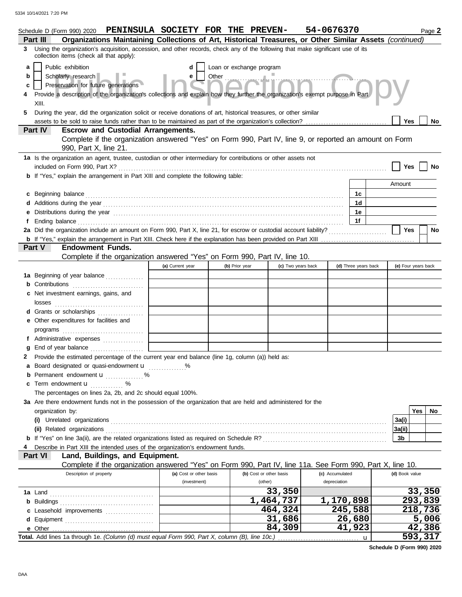|    | Schedule D (Form 990) 2020 PENINSULA SOCIETY FOR THE PREVEN-<br>Organizations Maintaining Collections of Art, Historical Treasures, or Other Similar Assets (continued)<br>Part III |                         |                          |                         | 54-0676370      |                      |                 | Page 2              |
|----|-------------------------------------------------------------------------------------------------------------------------------------------------------------------------------------|-------------------------|--------------------------|-------------------------|-----------------|----------------------|-----------------|---------------------|
| 3. | Using the organization's acquisition, accession, and other records, check any of the following that make significant use of its                                                     |                         |                          |                         |                 |                      |                 |                     |
|    | collection items (check all that apply):                                                                                                                                            |                         |                          |                         |                 |                      |                 |                     |
| a  | Public exhibition                                                                                                                                                                   | d                       | Loan or exchange program |                         |                 |                      |                 |                     |
| b  | Scholarly research<br>Preservation for future generations                                                                                                                           | e                       | Other $\frac{1}{2}$      |                         |                 |                      |                 |                     |
| c  | Provide a description of the organization's collections and explain how they further the organization's exempt purpose in Part                                                      |                         |                          |                         |                 |                      |                 |                     |
|    | XIII.                                                                                                                                                                               |                         |                          |                         |                 |                      |                 |                     |
| 5  | During the year, did the organization solicit or receive donations of art, historical treasures, or other similar                                                                   |                         |                          |                         |                 |                      |                 |                     |
|    |                                                                                                                                                                                     |                         |                          |                         |                 |                      | <b>Yes</b>      | No                  |
|    | Part IV<br><b>Escrow and Custodial Arrangements.</b>                                                                                                                                |                         |                          |                         |                 |                      |                 |                     |
|    | Complete if the organization answered "Yes" on Form 990, Part IV, line 9, or reported an amount on Form                                                                             |                         |                          |                         |                 |                      |                 |                     |
|    | 990, Part X, line 21.                                                                                                                                                               |                         |                          |                         |                 |                      |                 |                     |
|    | 1a Is the organization an agent, trustee, custodian or other intermediary for contributions or other assets not                                                                     |                         |                          |                         |                 |                      |                 |                     |
|    | <b>b</b> If "Yes," explain the arrangement in Part XIII and complete the following table:                                                                                           |                         |                          |                         |                 |                      | Yes             | No                  |
|    |                                                                                                                                                                                     |                         |                          |                         |                 |                      | Amount          |                     |
| c  |                                                                                                                                                                                     |                         |                          |                         |                 | 1с                   |                 |                     |
|    |                                                                                                                                                                                     |                         |                          |                         |                 | 1d                   |                 |                     |
|    |                                                                                                                                                                                     |                         |                          |                         |                 | 1е                   |                 |                     |
| f  |                                                                                                                                                                                     |                         |                          |                         |                 | 1f                   |                 |                     |
|    | 2a Did the organization include an amount on Form 990, Part X, line 21, for escrow or custodial account liability?                                                                  |                         |                          |                         |                 |                      | Yes             | No                  |
|    | <b>Endowment Funds.</b>                                                                                                                                                             |                         |                          |                         |                 |                      |                 |                     |
|    | Part V<br>Complete if the organization answered "Yes" on Form 990, Part IV, line 10.                                                                                                |                         |                          |                         |                 |                      |                 |                     |
|    |                                                                                                                                                                                     | (a) Current year        | (b) Prior year           | (c) Two years back      |                 | (d) Three years back |                 | (e) Four years back |
|    | 1a Beginning of year balance                                                                                                                                                        |                         |                          |                         |                 |                      |                 |                     |
|    | <b>b</b> Contributions <b>contributions</b>                                                                                                                                         |                         |                          |                         |                 |                      |                 |                     |
|    | c Net investment earnings, gains, and                                                                                                                                               |                         |                          |                         |                 |                      |                 |                     |
|    |                                                                                                                                                                                     |                         |                          |                         |                 |                      |                 |                     |
|    | d Grants or scholarships                                                                                                                                                            |                         |                          |                         |                 |                      |                 |                     |
|    | e Other expenditures for facilities and                                                                                                                                             |                         |                          |                         |                 |                      |                 |                     |
|    |                                                                                                                                                                                     |                         |                          |                         |                 |                      |                 |                     |
|    | f Administrative expenses<br>End of year balance                                                                                                                                    |                         |                          |                         |                 |                      |                 |                     |
| 2  | Provide the estimated percentage of the current year end balance (line 1g, column (a)) held as:                                                                                     |                         |                          |                         |                 |                      |                 |                     |
|    | a Board designated or quasi-endowment u                                                                                                                                             |                         |                          |                         |                 |                      |                 |                     |
| b  | Permanent endowment <b>u</b> %                                                                                                                                                      |                         |                          |                         |                 |                      |                 |                     |
| c  | Term endowment <b>u</b>                                                                                                                                                             |                         |                          |                         |                 |                      |                 |                     |
|    | The percentages on lines 2a, 2b, and 2c should equal 100%.                                                                                                                          |                         |                          |                         |                 |                      |                 |                     |
|    | 3a Are there endowment funds not in the possession of the organization that are held and administered for the                                                                       |                         |                          |                         |                 |                      |                 |                     |
|    | organization by:                                                                                                                                                                    |                         |                          |                         |                 |                      |                 | Yes<br>No           |
|    |                                                                                                                                                                                     |                         |                          |                         |                 |                      | 3a(i)<br>3a(ii) |                     |
|    |                                                                                                                                                                                     |                         |                          |                         |                 |                      | 3b              |                     |
|    | Describe in Part XIII the intended uses of the organization's endowment funds.                                                                                                      |                         |                          |                         |                 |                      |                 |                     |
|    | Part VI<br>Land, Buildings, and Equipment.                                                                                                                                          |                         |                          |                         |                 |                      |                 |                     |
|    | Complete if the organization answered "Yes" on Form 990, Part IV, line 11a. See Form 990, Part X, line 10.                                                                          |                         |                          |                         |                 |                      |                 |                     |
|    | Description of property                                                                                                                                                             | (a) Cost or other basis |                          | (b) Cost or other basis | (c) Accumulated |                      | (d) Book value  |                     |
|    |                                                                                                                                                                                     | (investment)            |                          | (other)                 | depreciation    |                      |                 |                     |
|    |                                                                                                                                                                                     |                         |                          | 33,350                  |                 |                      |                 | 33,350              |
|    |                                                                                                                                                                                     |                         |                          | 1,464,737<br>464,324    | 1,170,898       | 245,588              |                 | 293,839<br>218,736  |
|    | c Leasehold improvements                                                                                                                                                            |                         |                          | 31,686                  |                 | 26,680               |                 | 5,006               |
|    |                                                                                                                                                                                     |                         |                          | 84,309                  |                 | 41,923               |                 | 42,386              |
|    |                                                                                                                                                                                     |                         |                          |                         |                 | $\mathbf{u}$         |                 | 593,317             |

**Schedule D (Form 990) 2020**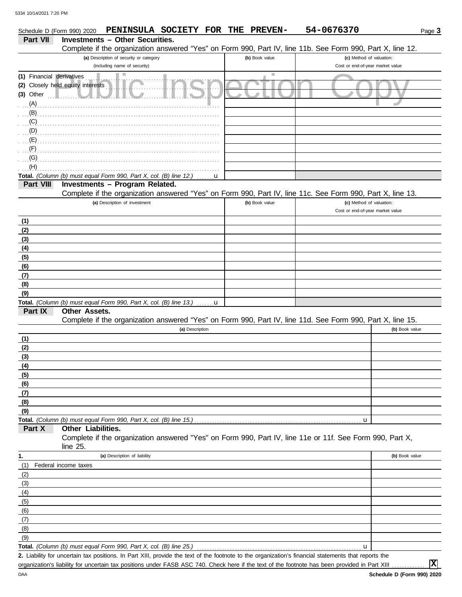|                           | Schedule D (Form 990) 2020        | PENINSULA SOCIETY FOR                                                                                                                                |                 |              | THE | <b>PREVEN-</b> | 54-0676370 |                                  | Page 3         |
|---------------------------|-----------------------------------|------------------------------------------------------------------------------------------------------------------------------------------------------|-----------------|--------------|-----|----------------|------------|----------------------------------|----------------|
| <b>Part VII</b>           |                                   | <b>Investments - Other Securities.</b>                                                                                                               |                 |              |     |                |            |                                  |                |
|                           |                                   | Complete if the organization answered "Yes" on Form 990, Part IV, line 11b. See Form 990, Part X, line 12.                                           |                 |              |     |                |            |                                  |                |
|                           |                                   | (a) Description of security or category                                                                                                              |                 |              |     | (b) Book value |            | (c) Method of valuation:         |                |
|                           |                                   | (including name of security)                                                                                                                         |                 |              |     |                |            | Cost or end-of-year market value |                |
| (1) Financial derivatives |                                   | ш                                                                                                                                                    |                 |              |     | ш              |            |                                  |                |
|                           | (2) Closely held equity interests |                                                                                                                                                      |                 |              |     |                |            |                                  |                |
| $(3)$ Other               |                                   |                                                                                                                                                      |                 |              |     |                |            |                                  |                |
| $(A)$ .                   |                                   |                                                                                                                                                      |                 |              |     |                |            |                                  |                |
| (B)                       |                                   |                                                                                                                                                      |                 |              |     |                |            |                                  |                |
| (C)                       |                                   |                                                                                                                                                      |                 |              |     |                |            |                                  |                |
| (D)                       |                                   |                                                                                                                                                      |                 |              |     |                |            |                                  |                |
| (E)                       |                                   |                                                                                                                                                      |                 |              |     |                |            |                                  |                |
| (F)                       |                                   |                                                                                                                                                      |                 |              |     |                |            |                                  |                |
| (G)                       |                                   |                                                                                                                                                      |                 |              |     |                |            |                                  |                |
| (H)                       |                                   |                                                                                                                                                      |                 |              |     |                |            |                                  |                |
| Part VIII                 |                                   | Total. (Column (b) must equal Form 990, Part X, col. (B) line 12.)                                                                                   |                 | u            |     |                |            |                                  |                |
|                           |                                   | Investments - Program Related.<br>Complete if the organization answered "Yes" on Form 990, Part IV, line 11c. See Form 990, Part X, line 13.         |                 |              |     |                |            |                                  |                |
|                           |                                   | (a) Description of investment                                                                                                                        |                 |              |     | (b) Book value |            | (c) Method of valuation:         |                |
|                           |                                   |                                                                                                                                                      |                 |              |     |                |            | Cost or end-of-year market value |                |
| (1)                       |                                   |                                                                                                                                                      |                 |              |     |                |            |                                  |                |
| (2)                       |                                   |                                                                                                                                                      |                 |              |     |                |            |                                  |                |
| (3)                       |                                   |                                                                                                                                                      |                 |              |     |                |            |                                  |                |
| (4)                       |                                   |                                                                                                                                                      |                 |              |     |                |            |                                  |                |
| (5)                       |                                   |                                                                                                                                                      |                 |              |     |                |            |                                  |                |
| (6)                       |                                   |                                                                                                                                                      |                 |              |     |                |            |                                  |                |
| (7)                       |                                   |                                                                                                                                                      |                 |              |     |                |            |                                  |                |
| (8)                       |                                   |                                                                                                                                                      |                 |              |     |                |            |                                  |                |
| (9)                       |                                   |                                                                                                                                                      |                 |              |     |                |            |                                  |                |
|                           |                                   | Total. (Column (b) must equal Form 990, Part X, col. (B) line 13.)                                                                                   |                 | . <b>. u</b> |     |                |            |                                  |                |
| Part IX                   | Other Assets.                     |                                                                                                                                                      |                 |              |     |                |            |                                  |                |
|                           |                                   | Complete if the organization answered "Yes" on Form 990, Part IV, line 11d. See Form 990, Part X, line 15.                                           |                 |              |     |                |            |                                  |                |
|                           |                                   |                                                                                                                                                      | (a) Description |              |     |                |            |                                  | (b) Book value |
| (1)                       |                                   |                                                                                                                                                      |                 |              |     |                |            |                                  |                |
| (2)                       |                                   |                                                                                                                                                      |                 |              |     |                |            |                                  |                |
| (3)                       |                                   |                                                                                                                                                      |                 |              |     |                |            |                                  |                |
| (4)                       |                                   |                                                                                                                                                      |                 |              |     |                |            |                                  |                |
| (5)                       |                                   |                                                                                                                                                      |                 |              |     |                |            |                                  |                |
| (6)                       |                                   |                                                                                                                                                      |                 |              |     |                |            |                                  |                |
| (7)                       |                                   |                                                                                                                                                      |                 |              |     |                |            |                                  |                |
| (8)                       |                                   |                                                                                                                                                      |                 |              |     |                |            |                                  |                |
| (9)                       |                                   |                                                                                                                                                      |                 |              |     |                |            |                                  |                |
| Part X                    | Other Liabilities.                |                                                                                                                                                      |                 |              |     |                |            | u                                |                |
|                           |                                   | Complete if the organization answered "Yes" on Form 990, Part IV, line 11e or 11f. See Form 990, Part X,                                             |                 |              |     |                |            |                                  |                |
|                           | line $25$ .                       |                                                                                                                                                      |                 |              |     |                |            |                                  |                |
| 1.                        |                                   | (a) Description of liability                                                                                                                         |                 |              |     |                |            |                                  | (b) Book value |
| (1)                       | Federal income taxes              |                                                                                                                                                      |                 |              |     |                |            |                                  |                |
| (2)                       |                                   |                                                                                                                                                      |                 |              |     |                |            |                                  |                |
| (3)                       |                                   |                                                                                                                                                      |                 |              |     |                |            |                                  |                |
| (4)                       |                                   |                                                                                                                                                      |                 |              |     |                |            |                                  |                |
| (5)                       |                                   |                                                                                                                                                      |                 |              |     |                |            |                                  |                |
| (6)                       |                                   |                                                                                                                                                      |                 |              |     |                |            |                                  |                |
| (7)                       |                                   |                                                                                                                                                      |                 |              |     |                |            |                                  |                |
| (8)                       |                                   |                                                                                                                                                      |                 |              |     |                |            |                                  |                |
| (9)                       |                                   |                                                                                                                                                      |                 |              |     |                |            |                                  |                |
|                           |                                   | Total. (Column (b) must equal Form 990, Part X, col. (B) line 25.)                                                                                   |                 |              |     |                |            | u                                |                |
|                           |                                   | 2. Liability for uncertain tax positions. In Part XIII, provide the text of the footnote to the organization's financial statements that reports the |                 |              |     |                |            |                                  |                |

organization's liability for uncertain tax positions under FASB ASC 740. Check here if the text of the footnote has been provided in Part XIII .....

**X**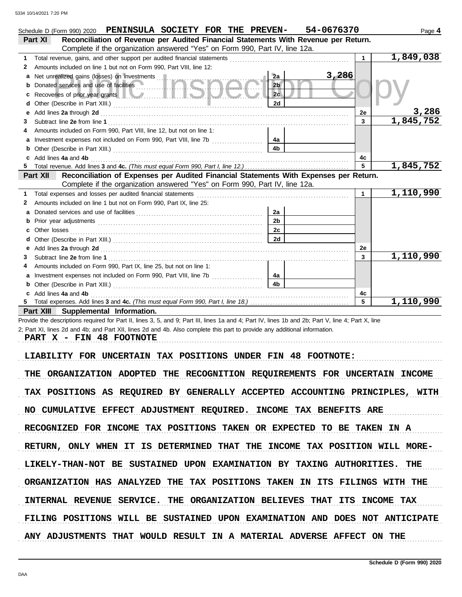|   | Schedule D (Form 990) 2020 PENINSULA SOCIETY FOR THE PREVEN-                                                                                                                                                                              |                | 54-0676370 |                         | Page 4    |
|---|-------------------------------------------------------------------------------------------------------------------------------------------------------------------------------------------------------------------------------------------|----------------|------------|-------------------------|-----------|
|   | Reconciliation of Revenue per Audited Financial Statements With Revenue per Return.<br>Part XI                                                                                                                                            |                |            |                         |           |
|   | Complete if the organization answered "Yes" on Form 990, Part IV, line 12a.                                                                                                                                                               |                |            |                         |           |
|   | Total revenue, gains, and other support per audited financial statements [111] [12] Total revenue in the statements                                                                                                                       |                |            | $\mathbf{1}$            | 1,849,038 |
| 2 | Amounts included on line 1 but not on Form 990. Part VIII, line 12:                                                                                                                                                                       |                |            |                         |           |
| a | Net unrealized gains (losses) on investments                                                                                                                                                                                              | 2a             | 3,286      |                         |           |
| b | Donated services and use of facilities                                                                                                                                                                                                    | 2 <sub>b</sub> |            |                         |           |
| с | Recoveries of prior year grants <b>the contract of the contract of prior</b> year grants <b>the contract of the contract of the contract of the contract of the contract of the contract of the contract of the contract of the contr</b> | 2 <sub>c</sub> |            |                         |           |
| d |                                                                                                                                                                                                                                           | 2d             |            |                         |           |
| е | Add lines 2a through 2d [11] And The Contract of the Contract of the Contract of the Contract of the Contract of the Contract of the Contract of the Contract of the Contract of the Contract of the Contract of the Contract             |                |            | 2e                      | 3,286     |
| 3 |                                                                                                                                                                                                                                           |                |            | $\overline{\mathbf{3}}$ | 1,845,752 |
| 4 | Amounts included on Form 990, Part VIII, line 12, but not on line 1:                                                                                                                                                                      |                |            |                         |           |
| а |                                                                                                                                                                                                                                           | 4а             |            |                         |           |
| b |                                                                                                                                                                                                                                           | 4 <sub>b</sub> |            |                         |           |
|   | c Add lines 4a and 4b                                                                                                                                                                                                                     |                |            | 4c<br>5                 | 1,845,752 |
|   | Reconciliation of Expenses per Audited Financial Statements With Expenses per Return.<br>Part XII                                                                                                                                         |                |            |                         |           |
|   | Complete if the organization answered "Yes" on Form 990, Part IV, line 12a.                                                                                                                                                               |                |            |                         |           |
|   |                                                                                                                                                                                                                                           |                |            | $\mathbf{1}$            | 1,110,990 |
|   | Total expenses and losses per audited financial statements                                                                                                                                                                                |                |            |                         |           |
| 2 | Amounts included on line 1 but not on Form 990, Part IX, line 25:                                                                                                                                                                         |                |            |                         |           |
| а |                                                                                                                                                                                                                                           | 2a             |            |                         |           |
| b |                                                                                                                                                                                                                                           | 2 <sub>b</sub> |            |                         |           |
| c | Other losses                                                                                                                                                                                                                              | 2c             |            |                         |           |
|   |                                                                                                                                                                                                                                           | 2d             |            |                         |           |
| е | Add lines 2a through 2d [11] March 20 [11] March 20 [11] March 20 [11] March 20 [11] March 20 [11] March 20 [11] March 20 [11] March 20 [11] March 20 [11] March 20 [11] March 20 [11] March 20 [11] March 20 [11] March 20 [1            |                |            | 2e                      | 1,110,990 |
| 3 |                                                                                                                                                                                                                                           |                |            | $\mathbf{3}$            |           |
|   | Amounts included on Form 990, Part IX, line 25, but not on line 1:                                                                                                                                                                        |                |            |                         |           |
| a | Investment expenses not included on Form 990, Part VIII, line 7b [                                                                                                                                                                        | 4a             |            |                         |           |
|   |                                                                                                                                                                                                                                           | 4 <sub>b</sub> |            |                         |           |
|   | c Add lines 4a and 4b                                                                                                                                                                                                                     |                |            | 4c<br>5                 |           |
|   |                                                                                                                                                                                                                                           |                |            |                         | 1,110,990 |
|   | Part XIII Supplemental Information.<br>Provide the descriptions required for Part II, lines 3, 5, and 9; Part III, lines 1a and 4; Part IV, lines 1b and 2b; Part V, line 4; Part X, line                                                 |                |            |                         |           |
|   | 2; Part XI, lines 2d and 4b; and Part XII, lines 2d and 4b. Also complete this part to provide any additional information.                                                                                                                |                |            |                         |           |
|   | PART X - FIN 48 FOOTNOTE                                                                                                                                                                                                                  |                |            |                         |           |
|   |                                                                                                                                                                                                                                           |                |            |                         |           |
|   | LIABILITY FOR UNCERTAIN TAX POSITIONS UNDER FIN 48 FOOTNOTE:                                                                                                                                                                              |                |            |                         |           |
|   |                                                                                                                                                                                                                                           |                |            |                         |           |
|   | THE ORGANIZATION ADOPTED THE RECOGNITION REQUIREMENTS FOR UNCERTAIN INCOME                                                                                                                                                                |                |            |                         |           |
|   |                                                                                                                                                                                                                                           |                |            |                         |           |
|   | TAX POSITIONS AS REQUIRED BY GENERALLY ACCEPTED ACCOUNTING PRINCIPLES, WITH                                                                                                                                                               |                |            |                         |           |
|   |                                                                                                                                                                                                                                           |                |            |                         |           |
|   | NO CUMULATIVE EFFECT ADJUSTMENT REQUIRED. INCOME TAX BENEFITS ARE                                                                                                                                                                         |                |            |                         |           |
|   |                                                                                                                                                                                                                                           |                |            |                         |           |
|   | RECOGNIZED FOR INCOME TAX POSITIONS TAKEN OR EXPECTED TO BE TAKEN IN A                                                                                                                                                                    |                |            |                         |           |
|   | RETURN, ONLY WHEN IT IS DETERMINED THAT THE INCOME TAX POSITION WILL MORE-                                                                                                                                                                |                |            |                         |           |
|   | LIKELY-THAN-NOT BE SUSTAINED UPON EXAMINATION BY TAXING AUTHORITIES. THE                                                                                                                                                                  |                |            |                         |           |
|   | ORGANIZATION HAS ANALYZED THE TAX POSITIONS TAKEN IN ITS FILINGS WITH THE                                                                                                                                                                 |                |            |                         |           |
|   |                                                                                                                                                                                                                                           |                |            |                         |           |
|   | INTERNAL REVENUE SERVICE. THE ORGANIZATION BELIEVES THAT ITS INCOME TAX                                                                                                                                                                   |                |            |                         |           |
|   | FILING POSITIONS WILL BE SUSTAINED UPON EXAMINATION AND DOES NOT ANTICIPATE                                                                                                                                                               |                |            |                         |           |
|   | ANY ADJUSTMENTS THAT WOULD RESULT IN A MATERIAL ADVERSE AFFECT ON THE                                                                                                                                                                     |                |            |                         |           |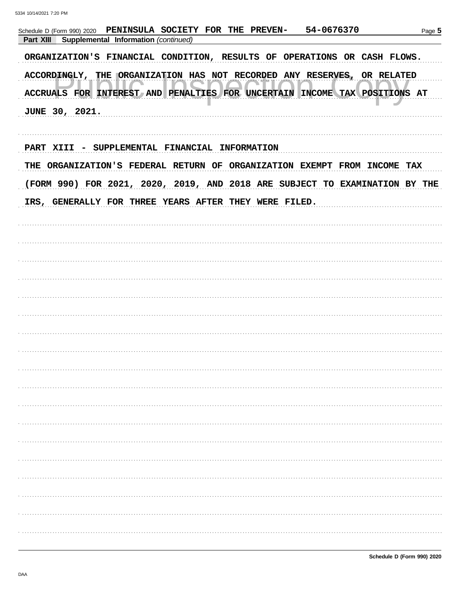| Schedule D (Form 990) 2020 PENINSULA SOCIETY FOR THE PREVEN- 54-0676370<br>Supplemental Information (continued)<br>Part XIII | Page 5 |
|------------------------------------------------------------------------------------------------------------------------------|--------|
| ORGANIZATION'S FINANCIAL CONDITION, RESULTS OF OPERATIONS OR CASH FLOWS.                                                     |        |
| ACCORDINGLY, THE ORGANIZATION HAS NOT RECORDED ANY RESERVES, OR RELATED                                                      |        |
| ACCRUALS FOR INTEREST AND PENALTIES FOR UNCERTAIN INCOME TAX POSITIONS AT                                                    |        |
| JUNE 30, 2021.                                                                                                               |        |
|                                                                                                                              |        |
| PART XIII - SUPPLEMENTAL FINANCIAL INFORMATION                                                                               |        |
| THE ORGANIZATION'S FEDERAL RETURN OF ORGANIZATION EXEMPT FROM INCOME TAX                                                     |        |
| (FORM 990) FOR 2021, 2020, 2019, AND 2018 ARE SUBJECT TO EXAMINATION BY THE                                                  |        |
| IRS, GENERALLY FOR THREE YEARS AFTER THEY WERE FILED.                                                                        |        |
|                                                                                                                              |        |
|                                                                                                                              |        |
|                                                                                                                              |        |
|                                                                                                                              |        |
|                                                                                                                              |        |
|                                                                                                                              |        |
|                                                                                                                              |        |
|                                                                                                                              |        |
|                                                                                                                              |        |
|                                                                                                                              |        |
|                                                                                                                              |        |
|                                                                                                                              |        |
|                                                                                                                              |        |
|                                                                                                                              |        |
|                                                                                                                              |        |
|                                                                                                                              |        |
|                                                                                                                              |        |
|                                                                                                                              |        |
|                                                                                                                              |        |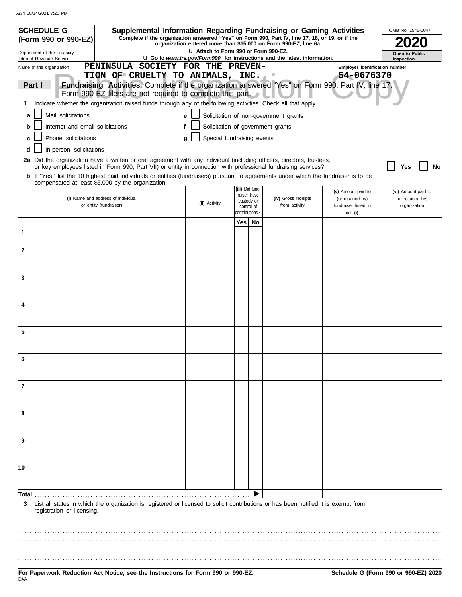| <b>SCHEDULE G</b>                                      | Supplemental Information Regarding Fundraising or Gaming Activities                                                                                                                                                                      |                                        |                              |      |                                       |                                  | OMB No. 1545-0047   |
|--------------------------------------------------------|------------------------------------------------------------------------------------------------------------------------------------------------------------------------------------------------------------------------------------------|----------------------------------------|------------------------------|------|---------------------------------------|----------------------------------|---------------------|
| (Form 990 or 990-EZ)                                   | Complete if the organization answered "Yes" on Form 990, Part IV, line 17, 18, or 19, or if the<br>organization entered more than \$15,000 on Form 990-EZ, line 6a.                                                                      |                                        |                              |      |                                       |                                  |                     |
| Department of the Treasury<br>Internal Revenue Service | L1 Attach to Form 990 or Form 990-EZ.<br><b>u</b> Go to www.irs.gov/Form990 for instructions and the latest information.                                                                                                                 |                                        | Open to Public<br>Inspection |      |                                       |                                  |                     |
| Name of the organization                               | PENINSULA SOCIETY FOR THE PREVEN-                                                                                                                                                                                                        |                                        |                              |      |                                       | Employer identification number   |                     |
|                                                        | TION OF CRUELTY TO ANIMALS,                                                                                                                                                                                                              |                                        |                              | INC. |                                       | 54-0676370                       |                     |
| Part I                                                 | Fundraising Activities. Complete if the organization answered "Yes" on Form 990, Part IV, line 17.<br>Form 990-EZ filers are not required to complete this part.                                                                         |                                        |                              |      |                                       |                                  |                     |
| 1                                                      | Indicate whether the organization raised funds through any of the following activities. Check all that apply.                                                                                                                            |                                        |                              |      |                                       |                                  |                     |
| Mail solicitations<br>a                                |                                                                                                                                                                                                                                          | e                                      |                              |      | Solicitation of non-government grants |                                  |                     |
| Internet and email solicitations<br>b                  |                                                                                                                                                                                                                                          | Solicitation of government grants<br>f |                              |      |                                       |                                  |                     |
| Phone solicitations<br>c                               |                                                                                                                                                                                                                                          | Special fundraising events<br>a        |                              |      |                                       |                                  |                     |
| In-person solicitations<br>d                           |                                                                                                                                                                                                                                          |                                        |                              |      |                                       |                                  |                     |
|                                                        | 2a Did the organization have a written or oral agreement with any individual (including officers, directors, trustees,<br>or key employees listed in Form 990, Part VII) or entity in connection with professional fundraising services? |                                        |                              |      |                                       |                                  | Yes<br>No           |
|                                                        | <b>b</b> If "Yes," list the 10 highest paid individuals or entities (fundraisers) pursuant to agreements under which the fundraiser is to be<br>compensated at least \$5,000 by the organization.                                        |                                        |                              |      |                                       |                                  |                     |
|                                                        |                                                                                                                                                                                                                                          |                                        | (iii) Did fund-              |      |                                       | (v) Amount paid to               | (vi) Amount paid to |
|                                                        | (i) Name and address of individual                                                                                                                                                                                                       | (ii) Activity                          | raiser have<br>custody or    |      | (iv) Gross receipts                   | (or retained by)                 | (or retained by)    |
|                                                        | or entity (fundraiser)                                                                                                                                                                                                                   |                                        | control of<br>contributions? |      | from activity                         | fundraiser listed in<br>col. (i) | organization        |
|                                                        |                                                                                                                                                                                                                                          |                                        | Yes l                        | No   |                                       |                                  |                     |
| 1                                                      |                                                                                                                                                                                                                                          |                                        |                              |      |                                       |                                  |                     |
| $\mathbf{2}$                                           |                                                                                                                                                                                                                                          |                                        |                              |      |                                       |                                  |                     |
|                                                        |                                                                                                                                                                                                                                          |                                        |                              |      |                                       |                                  |                     |
| 3                                                      |                                                                                                                                                                                                                                          |                                        |                              |      |                                       |                                  |                     |
|                                                        |                                                                                                                                                                                                                                          |                                        |                              |      |                                       |                                  |                     |
| 4                                                      |                                                                                                                                                                                                                                          |                                        |                              |      |                                       |                                  |                     |
|                                                        |                                                                                                                                                                                                                                          |                                        |                              |      |                                       |                                  |                     |
| 5                                                      |                                                                                                                                                                                                                                          |                                        |                              |      |                                       |                                  |                     |
|                                                        |                                                                                                                                                                                                                                          |                                        |                              |      |                                       |                                  |                     |
|                                                        |                                                                                                                                                                                                                                          |                                        |                              |      |                                       |                                  |                     |
|                                                        |                                                                                                                                                                                                                                          |                                        |                              |      |                                       |                                  |                     |
| 7                                                      |                                                                                                                                                                                                                                          |                                        |                              |      |                                       |                                  |                     |
|                                                        |                                                                                                                                                                                                                                          |                                        |                              |      |                                       |                                  |                     |
| 8                                                      |                                                                                                                                                                                                                                          |                                        |                              |      |                                       |                                  |                     |
|                                                        |                                                                                                                                                                                                                                          |                                        |                              |      |                                       |                                  |                     |
| 9                                                      |                                                                                                                                                                                                                                          |                                        |                              |      |                                       |                                  |                     |
|                                                        |                                                                                                                                                                                                                                          |                                        |                              |      |                                       |                                  |                     |
| 10                                                     |                                                                                                                                                                                                                                          |                                        |                              |      |                                       |                                  |                     |
|                                                        |                                                                                                                                                                                                                                          |                                        |                              |      |                                       |                                  |                     |
| Total                                                  |                                                                                                                                                                                                                                          |                                        |                              |      |                                       |                                  |                     |
| 3<br>registration or licensing.                        | List all states in which the organization is registered or licensed to solicit contributions or has been notified it is exempt from                                                                                                      |                                        |                              |      |                                       |                                  |                     |
|                                                        |                                                                                                                                                                                                                                          |                                        |                              |      |                                       |                                  |                     |
|                                                        |                                                                                                                                                                                                                                          |                                        |                              |      |                                       |                                  |                     |
|                                                        |                                                                                                                                                                                                                                          |                                        |                              |      |                                       |                                  |                     |
|                                                        |                                                                                                                                                                                                                                          |                                        |                              |      |                                       |                                  |                     |
|                                                        |                                                                                                                                                                                                                                          |                                        |                              |      |                                       |                                  |                     |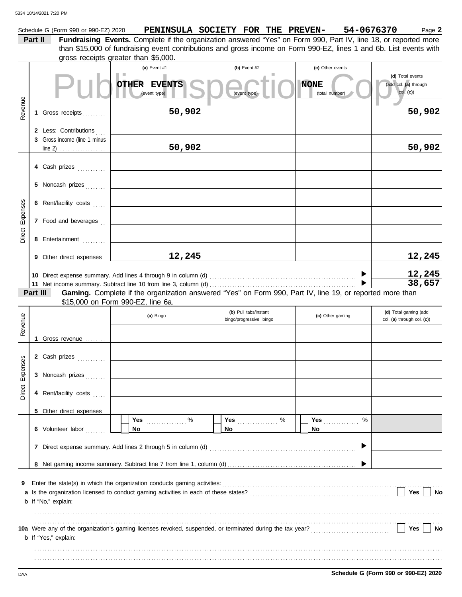|                 |                     | Schedule G (Form 990 or 990-EZ) 2020 | PENINSULA SOCIETY FOR THE PREVEN- 54-0676370                                                                       |    |                         |             |                  | Page 2                     |
|-----------------|---------------------|--------------------------------------|--------------------------------------------------------------------------------------------------------------------|----|-------------------------|-------------|------------------|----------------------------|
|                 | Part II             |                                      | Fundraising Events. Complete if the organization answered "Yes" on Form 990, Part IV, line 18, or reported more    |    |                         |             |                  |                            |
|                 |                     |                                      | than \$15,000 of fundraising event contributions and gross income on Form 990-EZ, lines 1 and 6b. List events with |    |                         |             |                  |                            |
|                 |                     |                                      | gross receipts greater than \$5,000.                                                                               |    |                         |             |                  |                            |
|                 |                     |                                      | (a) Event #1                                                                                                       |    | (b) Event $#2$          |             | (c) Other events | (d) Total events           |
|                 |                     |                                      | <b>OTHER EVENTS</b>                                                                                                |    |                         | <b>NONE</b> |                  | (add col. (a) through      |
|                 |                     |                                      | (event type)                                                                                                       |    | (event type)            |             | (total number)   | col. (c)                   |
| Revenue         |                     |                                      |                                                                                                                    |    |                         |             |                  |                            |
|                 |                     | 1 Gross receipts                     | 50,902                                                                                                             |    |                         |             |                  | 50,902                     |
|                 |                     |                                      |                                                                                                                    |    |                         |             |                  |                            |
|                 |                     | 2 Less: Contributions                |                                                                                                                    |    |                         |             |                  |                            |
|                 |                     | 3 Gross income (line 1 minus         | 50,902                                                                                                             |    |                         |             |                  | 50,902                     |
|                 |                     |                                      |                                                                                                                    |    |                         |             |                  |                            |
|                 |                     | 4 Cash prizes                        |                                                                                                                    |    |                         |             |                  |                            |
|                 |                     |                                      |                                                                                                                    |    |                         |             |                  |                            |
|                 |                     | 5 Noncash prizes                     |                                                                                                                    |    |                         |             |                  |                            |
|                 |                     |                                      |                                                                                                                    |    |                         |             |                  |                            |
|                 |                     | 6 Rent/facility costs                |                                                                                                                    |    |                         |             |                  |                            |
| Direct Expenses |                     | 7 Food and beverages                 |                                                                                                                    |    |                         |             |                  |                            |
|                 |                     |                                      |                                                                                                                    |    |                         |             |                  |                            |
|                 |                     | 8 Entertainment                      |                                                                                                                    |    |                         |             |                  |                            |
|                 |                     |                                      |                                                                                                                    |    |                         |             |                  |                            |
|                 |                     | 9 Other direct expenses              | 12,245                                                                                                             |    |                         |             |                  | 12,245                     |
|                 |                     |                                      |                                                                                                                    |    |                         |             |                  | 12,245                     |
|                 |                     |                                      |                                                                                                                    |    |                         |             |                  | 38,657                     |
|                 | Part III            |                                      | Gaming. Complete if the organization answered "Yes" on Form 990, Part IV, line 19, or reported more than           |    |                         |             |                  |                            |
|                 |                     |                                      | \$15,000 on Form 990-EZ, line 6a.                                                                                  |    |                         |             |                  |                            |
|                 |                     |                                      | (a) Bingo                                                                                                          |    | (b) Pull tabs/instant   |             | (c) Other gaming | (d) Total gaming (add      |
| Revenue         |                     |                                      |                                                                                                                    |    | bingo/progressive bingo |             |                  | col. (a) through col. (c)) |
|                 |                     |                                      |                                                                                                                    |    |                         |             |                  |                            |
|                 |                     | 1 Gross revenue                      |                                                                                                                    |    |                         |             |                  |                            |
| 8               |                     | 2 Cash prizes                        |                                                                                                                    |    |                         |             |                  |                            |
|                 |                     |                                      |                                                                                                                    |    |                         |             |                  |                            |
|                 |                     | 3 Noncash prizes                     |                                                                                                                    |    |                         |             |                  |                            |
| Direct Expens   |                     |                                      |                                                                                                                    |    |                         |             |                  |                            |
|                 |                     | 4 Rent/facility costs                |                                                                                                                    |    |                         |             |                  |                            |
|                 |                     | 5 Other direct expenses              |                                                                                                                    |    |                         |             |                  |                            |
|                 |                     |                                      |                                                                                                                    |    | Yes  %                  |             | Yes  %           |                            |
|                 |                     | 6 Volunteer labor                    | No.                                                                                                                | No |                         | <b>No</b>   |                  |                            |
|                 |                     |                                      |                                                                                                                    |    |                         |             |                  |                            |
|                 |                     |                                      |                                                                                                                    |    |                         |             |                  |                            |
|                 |                     |                                      |                                                                                                                    |    |                         |             |                  |                            |
|                 |                     |                                      |                                                                                                                    |    |                         |             |                  |                            |
| 9               |                     |                                      |                                                                                                                    |    |                         |             |                  |                            |
|                 |                     |                                      |                                                                                                                    |    |                         |             |                  | Yes<br>  No                |
|                 | b If "No," explain: |                                      |                                                                                                                    |    |                         |             |                  |                            |
|                 |                     |                                      |                                                                                                                    |    |                         |             |                  |                            |
|                 |                     |                                      |                                                                                                                    |    |                         |             |                  | Yes<br>  No                |
|                 |                     | <b>b</b> If "Yes," explain:          |                                                                                                                    |    |                         |             |                  |                            |
|                 |                     |                                      |                                                                                                                    |    |                         |             |                  |                            |
|                 |                     |                                      |                                                                                                                    |    |                         |             |                  |                            |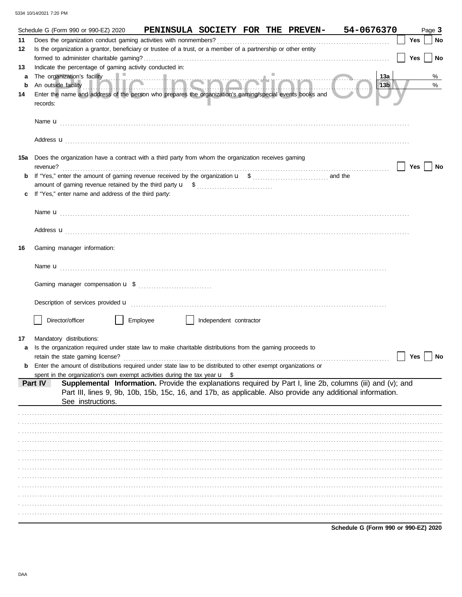|     | PENINSULA SOCIETY FOR THE PREVEN- 54-0676370<br>Page 3<br>Schedule G (Form 990 or 990-EZ) 2020                                                                                                         |  |
|-----|--------------------------------------------------------------------------------------------------------------------------------------------------------------------------------------------------------|--|
| 11  | Yes<br>No                                                                                                                                                                                              |  |
| 12  | Is the organization a grantor, beneficiary or trustee of a trust, or a member of a partnership or other entity                                                                                         |  |
| 13  | <b>No</b><br>Yes<br>Indicate the percentage of gaming activity conducted in:                                                                                                                           |  |
| a   | 13а<br>%                                                                                                                                                                                               |  |
| b   | %<br>13 <sub>b</sub>                                                                                                                                                                                   |  |
| 14  | Enter the name and address of the person who prepares the organization's gaming/special events books and                                                                                               |  |
|     | records:                                                                                                                                                                                               |  |
|     |                                                                                                                                                                                                        |  |
|     |                                                                                                                                                                                                        |  |
|     |                                                                                                                                                                                                        |  |
|     | Address <b>u</b>                                                                                                                                                                                       |  |
| 15a | Does the organization have a contract with a third party from whom the organization receives gaming                                                                                                    |  |
|     | Yes<br>No                                                                                                                                                                                              |  |
| b   |                                                                                                                                                                                                        |  |
|     | If "Yes," enter name and address of the third party:                                                                                                                                                   |  |
| C   |                                                                                                                                                                                                        |  |
|     |                                                                                                                                                                                                        |  |
|     |                                                                                                                                                                                                        |  |
|     | Address <b>u</b>                                                                                                                                                                                       |  |
|     |                                                                                                                                                                                                        |  |
| 16  | Gaming manager information:                                                                                                                                                                            |  |
|     |                                                                                                                                                                                                        |  |
|     |                                                                                                                                                                                                        |  |
|     |                                                                                                                                                                                                        |  |
|     |                                                                                                                                                                                                        |  |
|     |                                                                                                                                                                                                        |  |
|     | Director/officer<br>Employee<br>Independent contractor                                                                                                                                                 |  |
|     |                                                                                                                                                                                                        |  |
| 17  | Mandatory distributions:                                                                                                                                                                               |  |
| a   | Is the organization required under state law to make charitable distributions from the gaming proceeds to                                                                                              |  |
|     | Yes<br>No                                                                                                                                                                                              |  |
| b   | Enter the amount of distributions required under state law to be distributed to other exempt organizations or<br>spent in the organization's own exempt activities during the tax year $\mathbf{u}$ \$ |  |
|     | Supplemental Information. Provide the explanations required by Part I, line 2b, columns (iii) and (v); and<br>Part IV                                                                                  |  |
|     | Part III, lines 9, 9b, 10b, 15b, 15c, 16, and 17b, as applicable. Also provide any additional information.                                                                                             |  |
|     | See instructions.                                                                                                                                                                                      |  |
|     |                                                                                                                                                                                                        |  |
|     |                                                                                                                                                                                                        |  |
|     |                                                                                                                                                                                                        |  |
|     |                                                                                                                                                                                                        |  |
|     |                                                                                                                                                                                                        |  |
|     |                                                                                                                                                                                                        |  |
|     |                                                                                                                                                                                                        |  |
|     |                                                                                                                                                                                                        |  |
|     |                                                                                                                                                                                                        |  |
|     |                                                                                                                                                                                                        |  |
|     |                                                                                                                                                                                                        |  |
|     |                                                                                                                                                                                                        |  |

Schedule G (Form 990 or 990-EZ) 2020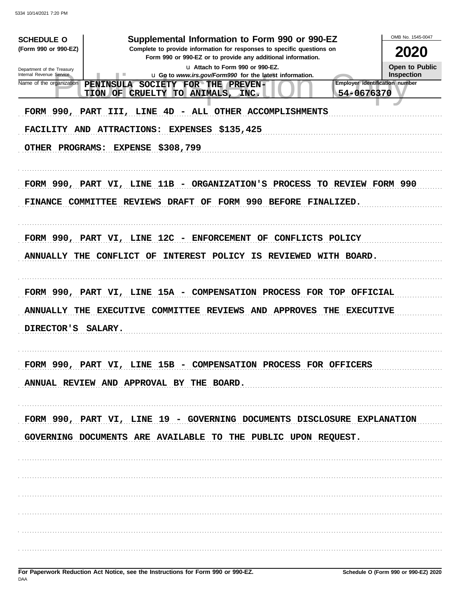| <b>SCHEDULE O</b><br>(Form 990 or 990-EZ)<br>Department of the Treasury<br>Internal Revenue Service | Supplemental Information to Form 990 or 990-EZ<br>Complete to provide information for responses to specific questions on<br>Form 990 or 990-EZ or to provide any additional information.<br>La Attach to Form 990 or 990-EZ.<br>u Go to www.irs.gov/Form990 for the latest information.<br>ш | OMB No. 1545-0047<br><b>2020</b><br>Open to Public<br>Inspection |
|-----------------------------------------------------------------------------------------------------|----------------------------------------------------------------------------------------------------------------------------------------------------------------------------------------------------------------------------------------------------------------------------------------------|------------------------------------------------------------------|
| Name of the organization                                                                            | <b>SOCIETY</b><br><b>PENINSULA</b><br>FOR THE PREVEN-                                                                                                                                                                                                                                        | <b>Employer identification number</b>                            |
|                                                                                                     | CRUELTY TO ANIMALS, INC.<br>54-0676370<br>TION OF                                                                                                                                                                                                                                            |                                                                  |
|                                                                                                     | FORM 990, PART III, LINE 4D - ALL OTHER ACCOMPLISHMENTS                                                                                                                                                                                                                                      |                                                                  |
|                                                                                                     | FACILITY AND ATTRACTIONS: EXPENSES \$135,425                                                                                                                                                                                                                                                 |                                                                  |
|                                                                                                     | OTHER PROGRAMS: EXPENSE \$308,799                                                                                                                                                                                                                                                            |                                                                  |
|                                                                                                     | FORM 990, PART VI, LINE 11B - ORGANIZATION'S PROCESS TO REVIEW FORM 990<br>FINANCE COMMITTEE REVIEWS DRAFT OF FORM 990 BEFORE FINALIZED.                                                                                                                                                     |                                                                  |
|                                                                                                     | FORM 990, PART VI, LINE 12C - ENFORCEMENT OF CONFLICTS POLICY                                                                                                                                                                                                                                |                                                                  |
|                                                                                                     | ANNUALLY THE CONFLICT OF<br>INTEREST POLICY IS REVIEWED WITH BOARD.                                                                                                                                                                                                                          |                                                                  |
|                                                                                                     |                                                                                                                                                                                                                                                                                              |                                                                  |
|                                                                                                     | FORM 990, PART VI, LINE 15A - COMPENSATION PROCESS FOR TOP OFFICIAL                                                                                                                                                                                                                          |                                                                  |
|                                                                                                     | ANNUALLY THE EXECUTIVE COMMITTEE REVIEWS AND APPROVES<br>THE EXECUTIVE                                                                                                                                                                                                                       |                                                                  |
| DIRECTOR'S SALARY.                                                                                  |                                                                                                                                                                                                                                                                                              |                                                                  |
|                                                                                                     |                                                                                                                                                                                                                                                                                              |                                                                  |
| <b>FORM 990</b>                                                                                     | PART VI,<br>LINE 15B - COMPENSATION PROCESS FOR OFFICERS                                                                                                                                                                                                                                     |                                                                  |
|                                                                                                     | ANNUAL REVIEW AND APPROVAL BY THE BOARD.                                                                                                                                                                                                                                                     |                                                                  |
|                                                                                                     |                                                                                                                                                                                                                                                                                              |                                                                  |
|                                                                                                     | FORM 990, PART VI, LINE 19 - GOVERNING DOCUMENTS DISCLOSURE EXPLANATION                                                                                                                                                                                                                      |                                                                  |
|                                                                                                     | GOVERNING DOCUMENTS ARE AVAILABLE TO THE PUBLIC UPON REQUEST.                                                                                                                                                                                                                                |                                                                  |
|                                                                                                     |                                                                                                                                                                                                                                                                                              |                                                                  |
|                                                                                                     |                                                                                                                                                                                                                                                                                              |                                                                  |
|                                                                                                     |                                                                                                                                                                                                                                                                                              |                                                                  |
|                                                                                                     |                                                                                                                                                                                                                                                                                              |                                                                  |
|                                                                                                     |                                                                                                                                                                                                                                                                                              |                                                                  |
|                                                                                                     |                                                                                                                                                                                                                                                                                              |                                                                  |
|                                                                                                     |                                                                                                                                                                                                                                                                                              |                                                                  |